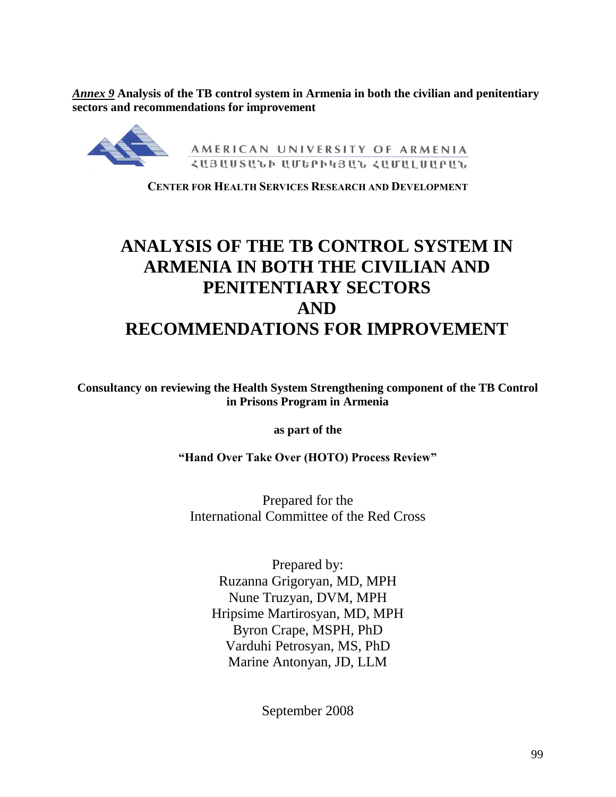*Annex 9* **Analysis of the TB control system in Armenia in both the civilian and penitentiary sectors and recommendations for improvement**



**CENTER FOR HEALTH SERVICES RESEARCH AND DEVELOPMENT**

# **ANALYSIS OF THE TB CONTROL SYSTEM IN ARMENIA IN BOTH THE CIVILIAN AND PENITENTIARY SECTORS AND RECOMMENDATIONS FOR IMPROVEMENT**

**Consultancy on reviewing the Health System Strengthening component of the TB Control in Prisons Program in Armenia**

**as part of the**

**"Hand Over Take Over (HOTO) Process Review"**

Prepared for the International Committee of the Red Cross

Prepared by: Ruzanna Grigoryan, MD, MPH Nune Truzyan, DVM, MPH Hripsime Martirosyan, MD, MPH Byron Crape, MSPH, PhD Varduhi Petrosyan, MS, PhD Marine Antonyan, JD, LLM

September 2008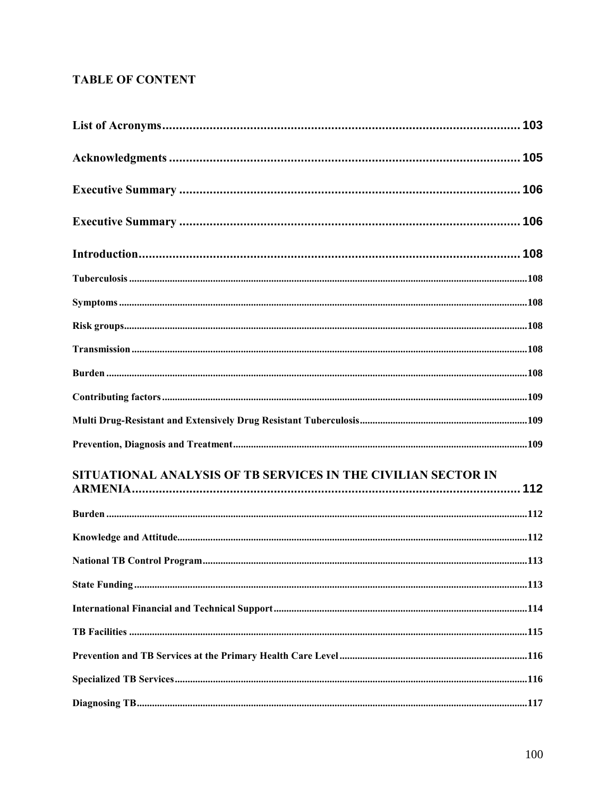# **TABLE OF CONTENT**

| SITUATIONAL ANALYSIS OF TB SERVICES IN THE CIVILIAN SECTOR IN |  |
|---------------------------------------------------------------|--|
|                                                               |  |
|                                                               |  |
|                                                               |  |
|                                                               |  |
|                                                               |  |
|                                                               |  |
|                                                               |  |
|                                                               |  |
|                                                               |  |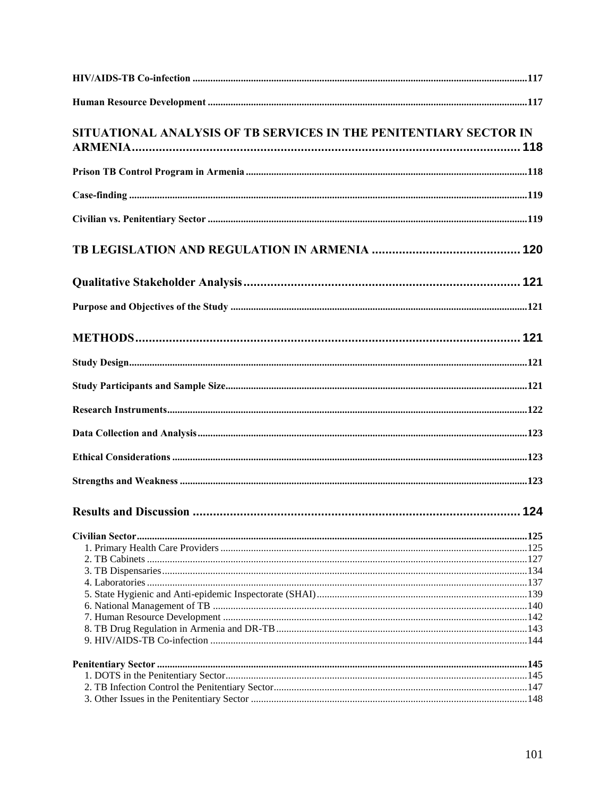| SITUATIONAL ANALYSIS OF TB SERVICES IN THE PENITENTIARY SECTOR IN |  |
|-------------------------------------------------------------------|--|
|                                                                   |  |
|                                                                   |  |
|                                                                   |  |
|                                                                   |  |
|                                                                   |  |
|                                                                   |  |
|                                                                   |  |
|                                                                   |  |
|                                                                   |  |
|                                                                   |  |
|                                                                   |  |
|                                                                   |  |
|                                                                   |  |
|                                                                   |  |
|                                                                   |  |
|                                                                   |  |
|                                                                   |  |
|                                                                   |  |
|                                                                   |  |
|                                                                   |  |
|                                                                   |  |
|                                                                   |  |
|                                                                   |  |
|                                                                   |  |
|                                                                   |  |
|                                                                   |  |
|                                                                   |  |
|                                                                   |  |
|                                                                   |  |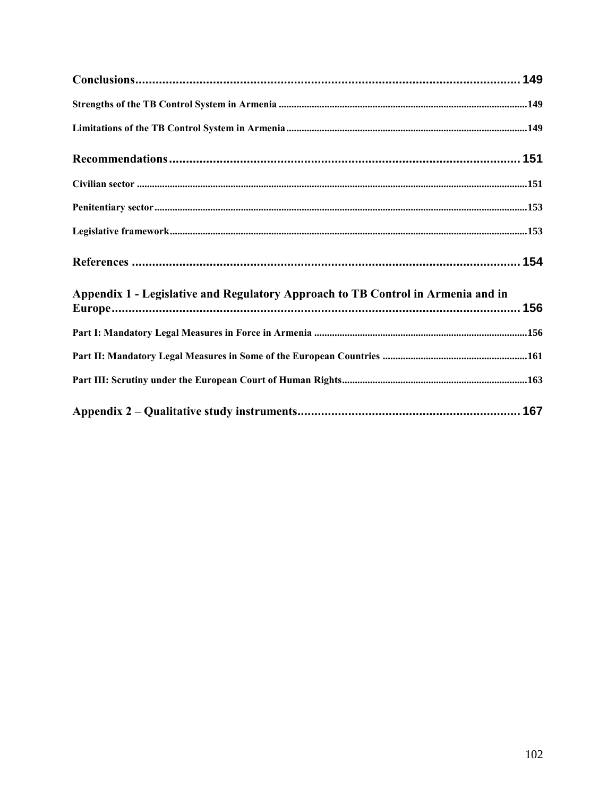| Appendix 1 - Legislative and Regulatory Approach to TB Control in Armenia and in |  |
|----------------------------------------------------------------------------------|--|
|                                                                                  |  |
|                                                                                  |  |
|                                                                                  |  |
|                                                                                  |  |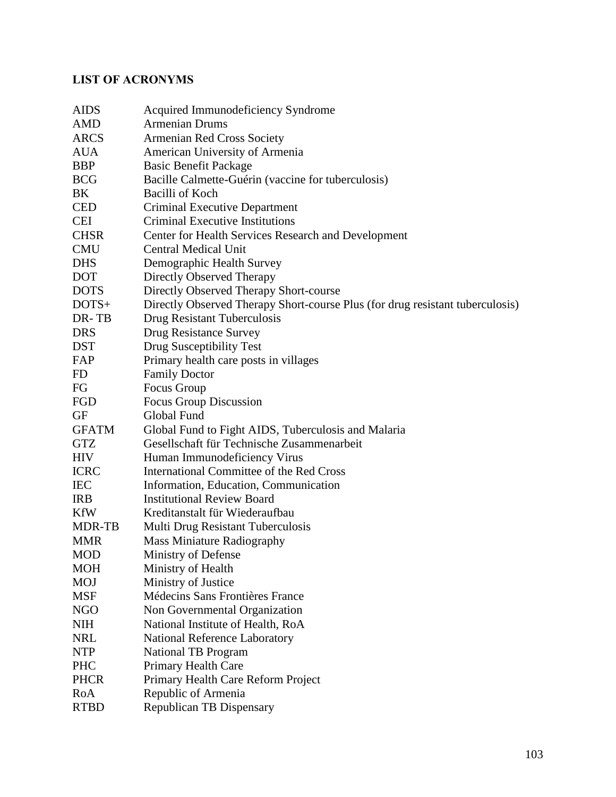# <span id="page-4-0"></span>**LIST OF ACRONYMS**

| <b>AIDS</b>   | Acquired Immunodeficiency Syndrome                                            |
|---------------|-------------------------------------------------------------------------------|
| <b>AMD</b>    | <b>Armenian Drums</b>                                                         |
| <b>ARCS</b>   | Armenian Red Cross Society                                                    |
| <b>AUA</b>    | American University of Armenia                                                |
| <b>BBP</b>    | <b>Basic Benefit Package</b>                                                  |
| <b>BCG</b>    | Bacille Calmette-Guérin (vaccine for tuberculosis)                            |
| BK            | <b>Bacilli of Koch</b>                                                        |
| <b>CED</b>    | Criminal Executive Department                                                 |
| <b>CEI</b>    | Criminal Executive Institutions                                               |
| <b>CHSR</b>   | Center for Health Services Research and Development                           |
| <b>CMU</b>    | <b>Central Medical Unit</b>                                                   |
| <b>DHS</b>    | Demographic Health Survey                                                     |
| <b>DOT</b>    | Directly Observed Therapy                                                     |
| <b>DOTS</b>   | Directly Observed Therapy Short-course                                        |
| $DOTS+$       | Directly Observed Therapy Short-course Plus (for drug resistant tuberculosis) |
| DR-TB         | Drug Resistant Tuberculosis                                                   |
| <b>DRS</b>    | Drug Resistance Survey                                                        |
| <b>DST</b>    | Drug Susceptibility Test                                                      |
| FAP           | Primary health care posts in villages                                         |
| FD            | <b>Family Doctor</b>                                                          |
| FG            | Focus Group                                                                   |
| FGD           | Focus Group Discussion                                                        |
| <b>GF</b>     | Global Fund                                                                   |
| <b>GFATM</b>  | Global Fund to Fight AIDS, Tuberculosis and Malaria                           |
| <b>GTZ</b>    | Gesellschaft für Technische Zusammenarbeit                                    |
| <b>HIV</b>    | Human Immunodeficiency Virus                                                  |
| <b>ICRC</b>   | International Committee of the Red Cross                                      |
| <b>IEC</b>    | Information, Education, Communication                                         |
| <b>IRB</b>    | <b>Institutional Review Board</b>                                             |
| <b>KfW</b>    | Kreditanstalt für Wiederaufbau                                                |
| <b>MDR-TB</b> | Multi Drug Resistant Tuberculosis                                             |
| <b>MMR</b>    | <b>Mass Miniature Radiography</b>                                             |
| <b>MOD</b>    | Ministry of Defense                                                           |
| <b>MOH</b>    | Ministry of Health                                                            |
| <b>MOJ</b>    | Ministry of Justice                                                           |
| <b>MSF</b>    | Médecins Sans Frontières France                                               |
| <b>NGO</b>    | Non Governmental Organization                                                 |
| <b>NIH</b>    | National Institute of Health, RoA                                             |
| <b>NRL</b>    | National Reference Laboratory                                                 |
| <b>NTP</b>    | National TB Program                                                           |
| <b>PHC</b>    | Primary Health Care                                                           |
| <b>PHCR</b>   | Primary Health Care Reform Project                                            |
| RoA           | Republic of Armenia                                                           |
| <b>RTBD</b>   | Republican TB Dispensary                                                      |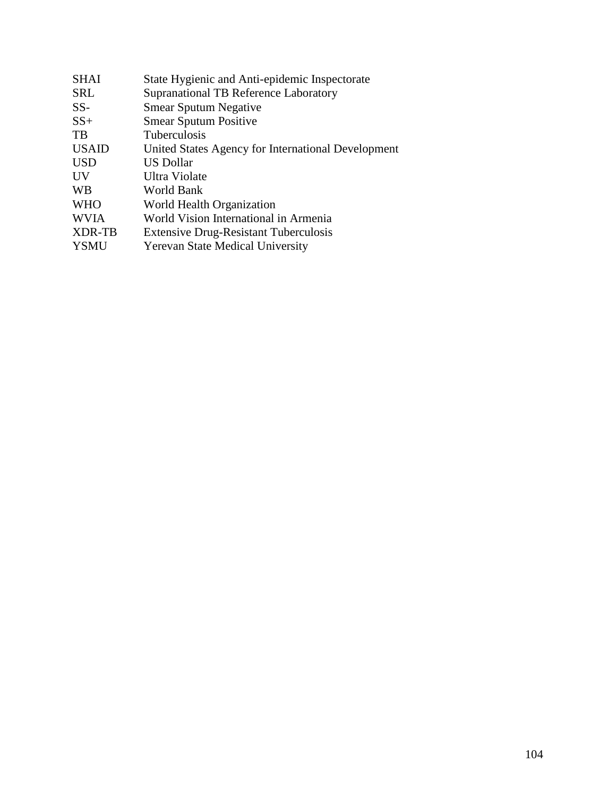| <b>SHAI</b>   | State Hygienic and Anti-epidemic Inspectorate      |
|---------------|----------------------------------------------------|
| <b>SRL</b>    | <b>Supranational TB Reference Laboratory</b>       |
| $SS-$         | <b>Smear Sputum Negative</b>                       |
| $SS+$         | <b>Smear Sputum Positive</b>                       |
| TB            | <b>Tuberculosis</b>                                |
| <b>USAID</b>  | United States Agency for International Development |
| <b>USD</b>    | US Dollar                                          |
| UV            | Ultra Violate                                      |
| <b>WB</b>     | World Bank                                         |
| <b>WHO</b>    | World Health Organization                          |
| <b>WVIA</b>   | World Vision International in Armenia              |
| <b>XDR-TB</b> | <b>Extensive Drug-Resistant Tuberculosis</b>       |
| <b>YSMU</b>   | <b>Yerevan State Medical University</b>            |
|               |                                                    |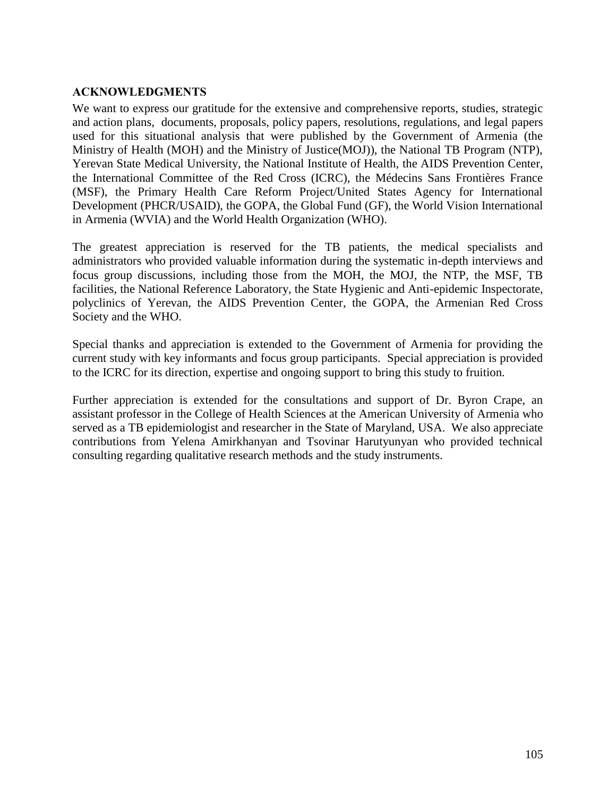#### <span id="page-6-0"></span>**ACKNOWLEDGMENTS**

We want to express our gratitude for the extensive and comprehensive reports, studies, strategic and action plans, documents, proposals, policy papers, resolutions, regulations, and legal papers used for this situational analysis that were published by the Government of Armenia (the Ministry of Health (MOH) and the Ministry of Justice(MOJ)), the National TB Program (NTP), Yerevan State Medical University, the National Institute of Health, the AIDS Prevention Center, the International Committee of the Red Cross (ICRC), the Médecins Sans Frontières France (MSF), the Primary Health Care Reform Project/United States Agency for International Development (PHCR/USAID), the GOPA, the Global Fund (GF), the World Vision International in Armenia (WVIA) and the World Health Organization (WHO).

The greatest appreciation is reserved for the TB patients, the medical specialists and administrators who provided valuable information during the systematic in-depth interviews and focus group discussions, including those from the MOH, the MOJ, the NTP, the MSF, TB facilities, the National Reference Laboratory, the State Hygienic and Anti-epidemic Inspectorate, polyclinics of Yerevan, the AIDS Prevention Center, the GOPA, the Armenian Red Cross Society and the WHO.

Special thanks and appreciation is extended to the Government of Armenia for providing the current study with key informants and focus group participants. Special appreciation is provided to the ICRC for its direction, expertise and ongoing support to bring this study to fruition.

Further appreciation is extended for the consultations and support of Dr. Byron Crape, an assistant professor in the College of Health Sciences at the American University of Armenia who served as a TB epidemiologist and researcher in the State of Maryland, USA. We also appreciate contributions from Yelena Amirkhanyan and Tsovinar Harutyunyan who provided technical consulting regarding qualitative research methods and the study instruments.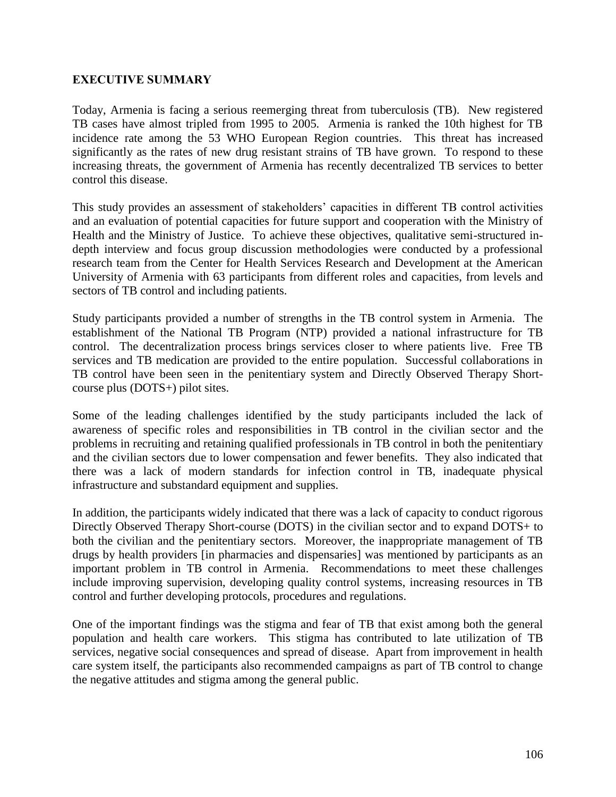#### <span id="page-7-0"></span>**EXECUTIVE SUMMARY**

Today, Armenia is facing a serious reemerging threat from tuberculosis (TB). New registered TB cases have almost tripled from 1995 to 2005. Armenia is ranked the 10th highest for TB incidence rate among the 53 WHO European Region countries. This threat has increased significantly as the rates of new drug resistant strains of TB have grown. To respond to these increasing threats, the government of Armenia has recently decentralized TB services to better control this disease.

This study provides an assessment of stakeholders' capacities in different TB control activities and an evaluation of potential capacities for future support and cooperation with the Ministry of Health and the Ministry of Justice. To achieve these objectives, qualitative semi-structured indepth interview and focus group discussion methodologies were conducted by a professional research team from the Center for Health Services Research and Development at the American University of Armenia with 63 participants from different roles and capacities, from levels and sectors of TB control and including patients.

Study participants provided a number of strengths in the TB control system in Armenia. The establishment of the National TB Program (NTP) provided a national infrastructure for TB control. The decentralization process brings services closer to where patients live. Free TB services and TB medication are provided to the entire population. Successful collaborations in TB control have been seen in the penitentiary system and Directly Observed Therapy Shortcourse plus (DOTS+) pilot sites.

Some of the leading challenges identified by the study participants included the lack of awareness of specific roles and responsibilities in TB control in the civilian sector and the problems in recruiting and retaining qualified professionals in TB control in both the penitentiary and the civilian sectors due to lower compensation and fewer benefits. They also indicated that there was a lack of modern standards for infection control in TB, inadequate physical infrastructure and substandard equipment and supplies.

In addition, the participants widely indicated that there was a lack of capacity to conduct rigorous Directly Observed Therapy Short-course (DOTS) in the civilian sector and to expand DOTS+ to both the civilian and the penitentiary sectors. Moreover, the inappropriate management of TB drugs by health providers [in pharmacies and dispensaries] was mentioned by participants as an important problem in TB control in Armenia. Recommendations to meet these challenges include improving supervision, developing quality control systems, increasing resources in TB control and further developing protocols, procedures and regulations.

One of the important findings was the stigma and fear of TB that exist among both the general population and health care workers. This stigma has contributed to late utilization of TB services, negative social consequences and spread of disease. Apart from improvement in health care system itself, the participants also recommended campaigns as part of TB control to change the negative attitudes and stigma among the general public.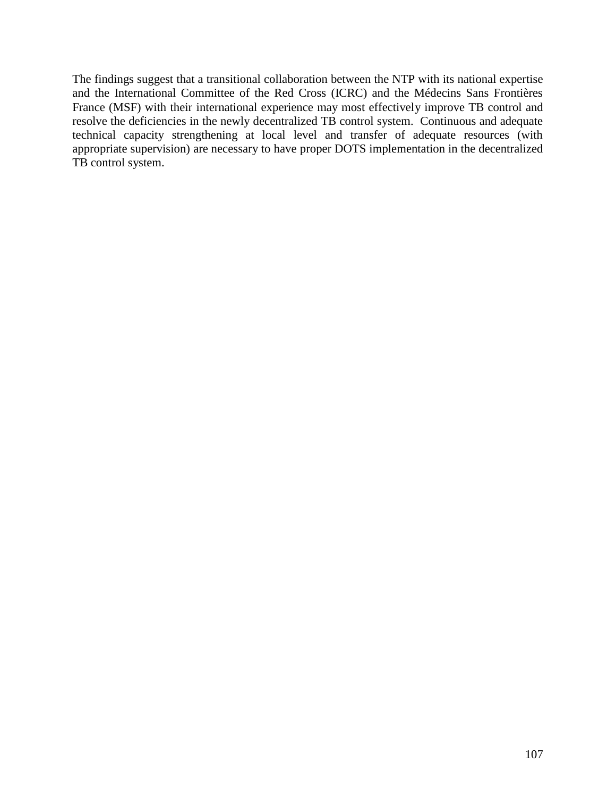The findings suggest that a transitional collaboration between the NTP with its national expertise and the International Committee of the Red Cross (ICRC) and the Médecins Sans Frontières France (MSF) with their international experience may most effectively improve TB control and resolve the deficiencies in the newly decentralized TB control system. Continuous and adequate technical capacity strengthening at local level and transfer of adequate resources (with appropriate supervision) are necessary to have proper DOTS implementation in the decentralized TB control system.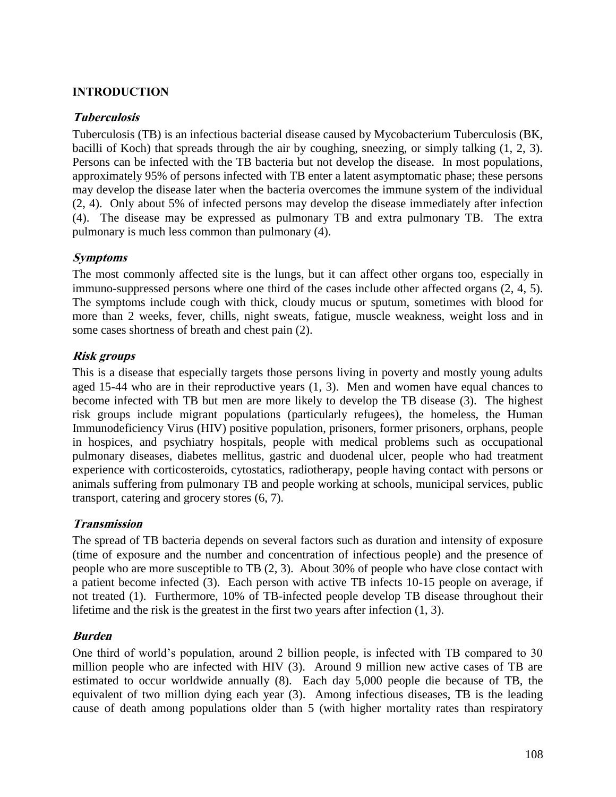# <span id="page-9-0"></span>**INTRODUCTION**

#### <span id="page-9-1"></span>**Tuberculosis**

Tuberculosis (TB) is an infectious bacterial disease caused by Mycobacterium Tuberculosis (BK, bacilli of Koch) that spreads through the air by coughing, sneezing, or simply talking (1, 2, 3). Persons can be infected with the TB bacteria but not develop the disease. In most populations, approximately 95% of persons infected with TB enter a latent asymptomatic phase; these persons may develop the disease later when the bacteria overcomes the immune system of the individual (2, 4). Only about 5% of infected persons may develop the disease immediately after infection (4). The disease may be expressed as pulmonary TB and extra pulmonary TB. The extra pulmonary is much less common than pulmonary (4).

#### <span id="page-9-2"></span>**Symptoms**

The most commonly affected site is the lungs, but it can affect other organs too, especially in immuno-suppressed persons where one third of the cases include other affected organs (2, 4, 5). The symptoms include cough with thick, cloudy mucus or sputum, sometimes with blood for more than 2 weeks, fever, chills, night sweats, fatigue, muscle weakness, weight loss and in some cases shortness of breath and chest pain (2).

#### <span id="page-9-3"></span>**Risk groups**

This is a disease that especially targets those persons living in poverty and mostly young adults aged 15-44 who are in their reproductive years (1, 3). Men and women have equal chances to become infected with TB but men are more likely to develop the TB disease (3). The highest risk groups include migrant populations (particularly refugees), the homeless, the Human Immunodeficiency Virus (HIV) positive population, prisoners, former prisoners, orphans, people in hospices, and psychiatry hospitals, people with medical problems such as occupational pulmonary diseases, diabetes mellitus, gastric and duodenal ulcer, people who had treatment experience with corticosteroids, cytostatics, radiotherapy, people having contact with persons or animals suffering from pulmonary TB and people working at schools, municipal services, public transport, catering and grocery stores (6, 7).

#### <span id="page-9-4"></span>**Transmission**

The spread of TB bacteria depends on several factors such as duration and intensity of exposure (time of exposure and the number and concentration of infectious people) and the presence of people who are more susceptible to TB (2, 3). About 30% of people who have close contact with a patient become infected (3). Each person with active TB infects 10-15 people on average, if not treated (1). Furthermore, 10% of TB-infected people develop TB disease throughout their lifetime and the risk is the greatest in the first two years after infection (1, 3).

#### <span id="page-9-5"></span>**Burden**

One third of world"s population, around 2 billion people, is infected with TB compared to 30 million people who are infected with HIV (3). Around 9 million new active cases of TB are estimated to occur worldwide annually (8). Each day 5,000 people die because of TB, the equivalent of two million dying each year (3). Among infectious diseases, TB is the leading cause of death among populations older than 5 (with higher mortality rates than respiratory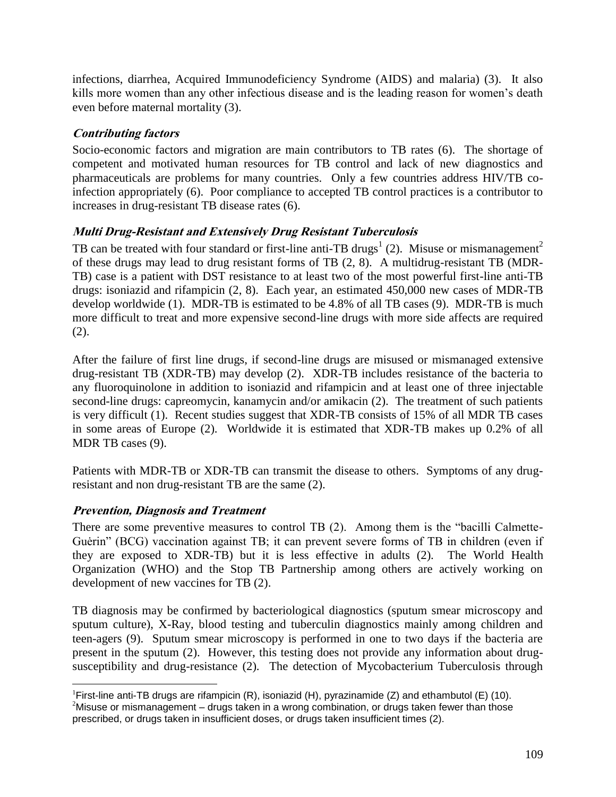infections, diarrhea, Acquired Immunodeficiency Syndrome (AIDS) and malaria) (3). It also kills more women than any other infectious disease and is the leading reason for women"s death even before maternal mortality (3).

# <span id="page-10-0"></span>**Contributing factors**

Socio-economic factors and migration are main contributors to TB rates (6). The shortage of competent and motivated human resources for TB control and lack of new diagnostics and pharmaceuticals are problems for many countries. Only a few countries address HIV/TB coinfection appropriately (6). Poor compliance to accepted TB control practices is a contributor to increases in drug-resistant TB disease rates (6).

# <span id="page-10-1"></span>**Multi Drug-Resistant and Extensively Drug Resistant Tuberculosis**

TB can be treated with four standard or first-line anti-TB drugs<sup>1</sup> (2). Misuse or mismanagement<sup>2</sup> of these drugs may lead to drug resistant forms of TB (2, 8). A multidrug-resistant TB (MDR-TB) case is a patient with DST resistance to at least two of the most powerful first-line anti-TB drugs: isoniazid and rifampicin (2, 8). Each year, an estimated 450,000 new cases of MDR-TB develop worldwide (1). MDR-TB is estimated to be 4.8% of all TB cases (9). MDR-TB is much more difficult to treat and more expensive second-line drugs with more side affects are required (2).

After the failure of first line drugs, if second-line drugs are misused or mismanaged extensive drug-resistant TB (XDR-TB) may develop (2). XDR-TB includes resistance of the bacteria to any fluoroquinolone in addition to isoniazid and rifampicin and at least one of three injectable second-line drugs: capreomycin, kanamycin and/or amikacin (2). The treatment of such patients is very difficult (1). Recent studies suggest that XDR-TB consists of 15% of all MDR TB cases in some areas of Europe (2). Worldwide it is estimated that XDR-TB makes up 0.2% of all MDR TB cases (9).

Patients with MDR-TB or XDR-TB can transmit the disease to others. Symptoms of any drugresistant and non drug-resistant TB are the same (2).

# <span id="page-10-2"></span>**Prevention, Diagnosis and Treatment**

There are some preventive measures to control TB (2). Among them is the "bacilli Calmette-Guėrin" (BCG) vaccination against TB; it can prevent severe forms of TB in children (even if they are exposed to XDR-TB) but it is less effective in adults (2). The World Health Organization (WHO) and the Stop TB Partnership among others are actively working on development of new vaccines for TB (2).

TB diagnosis may be confirmed by bacteriological diagnostics (sputum smear microscopy and sputum culture), X-Ray, blood testing and tuberculin diagnostics mainly among children and teen-agers (9). Sputum smear microscopy is performed in one to two days if the bacteria are present in the sputum (2). However, this testing does not provide any information about drugsusceptibility and drug-resistance (2). The detection of Mycobacterium Tuberculosis through

 $\overline{a}$ <sup>1</sup>First-line anti-TB drugs are rifampicin  $(R)$ , isoniazid  $(H)$ , pyrazinamide  $(Z)$  and ethambutol  $(E)$  (10).

<sup>&</sup>lt;sup>2</sup>Misuse or mismanagement – drugs taken in a wrong combination, or drugs taken fewer than those prescribed, or drugs taken in insufficient doses, or drugs taken insufficient times (2).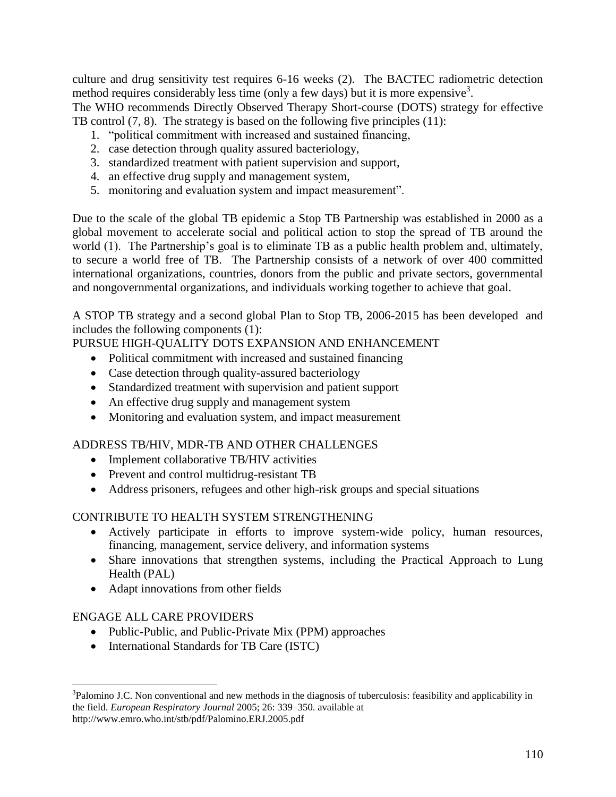culture and drug sensitivity test requires 6-16 weeks (2). The BACTEC radiometric detection method requires considerably less time (only a few days) but it is more expensive<sup>3</sup>.

The WHO recommends Directly Observed Therapy Short-course (DOTS) strategy for effective TB control (7, 8). The strategy is based on the following five principles (11):

- 1. "political commitment with increased and sustained financing,
- 2. case detection through quality assured bacteriology,
- 3. standardized treatment with patient supervision and support,
- 4. an effective drug supply and management system,
- 5. monitoring and evaluation system and impact measurement".

Due to the scale of the global TB epidemic a Stop TB Partnership was established in 2000 as a global movement to accelerate social and political action to stop the spread of TB around the world (1). The Partnership's goal is to eliminate TB as a public health problem and, ultimately, to secure a world free of TB. The Partnership consists of a network of over 400 committed international organizations, countries, donors from the public and private sectors, governmental and nongovernmental organizations, and individuals working together to achieve that goal.

A STOP TB strategy and a second global Plan to Stop TB, 2006-2015 has been developed and includes the following components (1):

# PURSUE HIGH-QUALITY DOTS EXPANSION AND ENHANCEMENT

- Political commitment with increased and sustained financing
- Case detection through quality-assured bacteriology
- Standardized treatment with supervision and patient support
- An effective drug supply and management system
- Monitoring and evaluation system, and impact measurement

#### ADDRESS TB/HIV, MDR-TB AND OTHER CHALLENGES

- Implement collaborative TB/HIV activities
- Prevent and control multidrug-resistant TB
- Address prisoners, refugees and other high-risk groups and special situations

#### CONTRIBUTE TO HEALTH SYSTEM STRENGTHENING

- Actively participate in efforts to improve system-wide policy, human resources, financing, management, service delivery, and information systems
- Share innovations that strengthen systems, including the Practical Approach to Lung Health (PAL)
- Adapt innovations from other fields

#### ENGAGE ALL CARE PROVIDERS

- Public-Public, and Public-Private Mix (PPM) approaches
- International Standards for TB Care (ISTC)

 $\overline{a}$ <sup>3</sup>Palomino J.C. Non conventional and new methods in the diagnosis of tuberculosis: feasibility and applicability in the field. *European Respiratory Journal* 2005; 26: 339–350. available at http://www.emro.who.int/stb/pdf/Palomino.ERJ.2005.pdf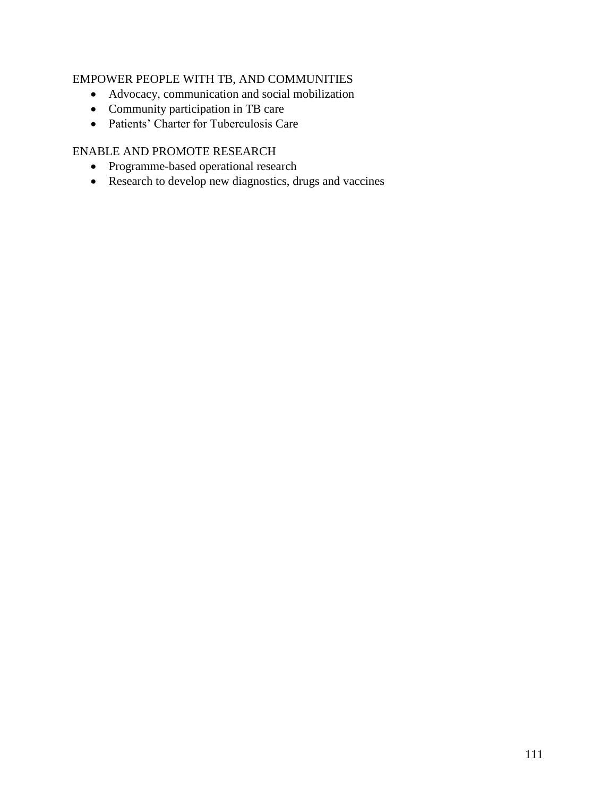### EMPOWER PEOPLE WITH TB, AND COMMUNITIES

- Advocacy, communication and social mobilization
- Community participation in TB care
- Patients" Charter for Tuberculosis Care

# ENABLE AND PROMOTE RESEARCH

- Programme-based operational research
- Research to develop new diagnostics, drugs and vaccines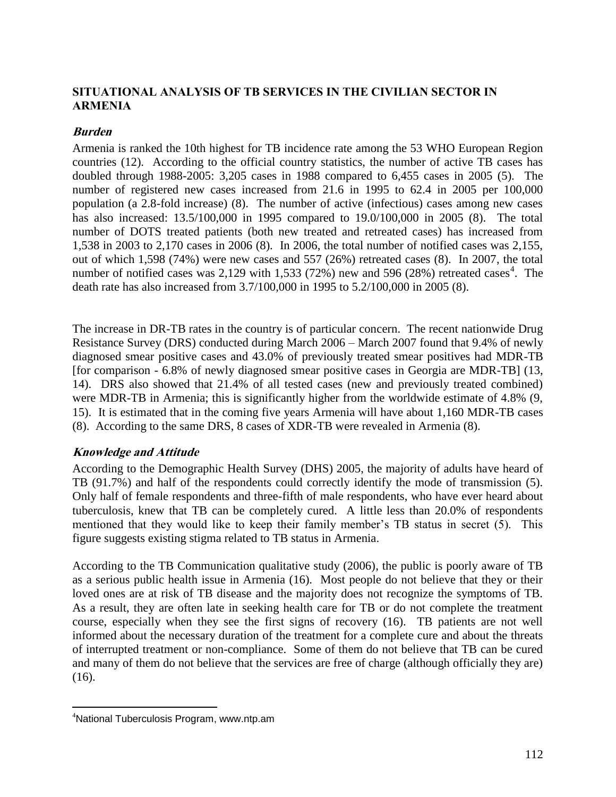## <span id="page-13-0"></span>**SITUATIONAL ANALYSIS OF TB SERVICES IN THE CIVILIAN SECTOR IN ARMENIA**

#### <span id="page-13-1"></span>**Burden**

Armenia is ranked the 10th highest for TB incidence rate among the 53 WHO European Region countries (12). According to the official country statistics, the number of active TB cases has doubled through 1988-2005: 3,205 cases in 1988 compared to 6,455 cases in 2005 (5). The number of registered new cases increased from 21.6 in 1995 to 62.4 in 2005 per 100,000 population (a 2.8-fold increase) (8). The number of active (infectious) cases among new cases has also increased: 13.5/100,000 in 1995 compared to 19.0/100,000 in 2005 (8). The total number of DOTS treated patients (both new treated and retreated cases) has increased from 1,538 in 2003 to 2,170 cases in 2006 (8). In 2006, the total number of notified cases was 2,155, out of which 1,598 (74%) were new cases and 557 (26%) retreated cases (8). In 2007, the total number of notified cases was 2,129 with 1,533 (72%) new and 596 (28%) retreated cases<sup>4</sup>. The death rate has also increased from 3.7/100,000 in 1995 to 5.2/100,000 in 2005 (8).

The increase in DR-TB rates in the country is of particular concern. The recent nationwide Drug Resistance Survey (DRS) conducted during March 2006 – March 2007 found that 9.4% of newly diagnosed smear positive cases and 43.0% of previously treated smear positives had MDR-TB [for comparison - 6.8% of newly diagnosed smear positive cases in Georgia are MDR-TB] (13, 14). DRS also showed that 21.4% of all tested cases (new and previously treated combined) were MDR-TB in Armenia; this is significantly higher from the worldwide estimate of 4.8% (9, 15). It is estimated that in the coming five years Armenia will have about 1,160 MDR-TB cases (8). According to the same DRS, 8 cases of XDR-TB were revealed in Armenia (8).

#### <span id="page-13-2"></span>**Knowledge and Attitude**

According to the Demographic Health Survey (DHS) 2005, the majority of adults have heard of TB (91.7%) and half of the respondents could correctly identify the mode of transmission (5). Only half of female respondents and three-fifth of male respondents, who have ever heard about tuberculosis, knew that TB can be completely cured. A little less than 20.0% of respondents mentioned that they would like to keep their family member's TB status in secret (5). This figure suggests existing stigma related to TB status in Armenia.

According to the TB Communication qualitative study (2006), the public is poorly aware of TB as a serious public health issue in Armenia (16). Most people do not believe that they or their loved ones are at risk of TB disease and the majority does not recognize the symptoms of TB. As a result, they are often late in seeking health care for TB or do not complete the treatment course, especially when they see the first signs of recovery (16). TB patients are not well informed about the necessary duration of the treatment for a complete cure and about the threats of interrupted treatment or non-compliance. Some of them do not believe that TB can be cured and many of them do not believe that the services are free of charge (although officially they are) (16).

 $\overline{a}$ 

<sup>4</sup>National Tuberculosis Program, www.ntp.am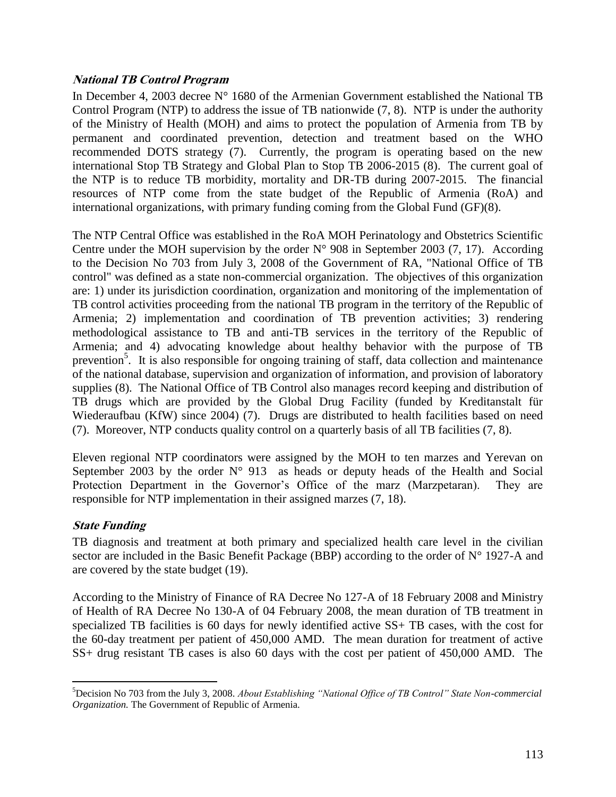#### <span id="page-14-0"></span>**National TB Control Program**

In December 4, 2003 decree N° 1680 of the Armenian Government established the National TB Control Program (NTP) to address the issue of TB nationwide (7, 8). NTP is under the authority of the Ministry of Health (MOH) and aims to protect the population of Armenia from TB by permanent and coordinated prevention, detection and treatment based on the WHO recommended DOTS strategy (7). Currently, the program is operating based on the new international Stop TB Strategy and Global Plan to Stop TB 2006-2015 (8). The current goal of the NTP is to reduce TB morbidity, mortality and DR-TB during 2007-2015. The financial resources of NTP come from the state budget of the Republic of Armenia (RoA) and international organizations, with primary funding coming from the Global Fund (GF)(8).

The NTP Central Office was established in the RoA MOH Perinatology and Obstetrics Scientific Centre under the MOH supervision by the order  $N^{\circ}$  908 in September 2003 (7, 17). According to the Decision No 703 from July 3, 2008 of the Government of RA, "National Office of TB control" was defined as a state non-commercial organization. The objectives of this organization are: 1) under its jurisdiction coordination, organization and monitoring of the implementation of TB control activities proceeding from the national TB program in the territory of the Republic of Armenia; 2) implementation and coordination of TB prevention activities; 3) rendering methodological assistance to TB and anti-TB services in the territory of the Republic of Armenia; and 4) advocating knowledge about healthy behavior with the purpose of TB prevention<sup>5</sup>. It is also responsible for ongoing training of staff, data collection and maintenance of the national database, supervision and organization of information, and provision of laboratory supplies (8). The National Office of TB Control also manages record keeping and distribution of TB drugs which are provided by the Global Drug Facility (funded by Kreditanstalt für Wiederaufbau (KfW) since 2004) (7). Drugs are distributed to health facilities based on need (7). Moreover, NTP conducts quality control on a quarterly basis of all TB facilities (7, 8).

Eleven regional NTP coordinators were assigned by the MOH to ten marzes and Yerevan on September 2003 by the order  $N^{\circ}$  913 as heads or deputy heads of the Health and Social Protection Department in the Governor's Office of the marz (Marzpetaran). They are responsible for NTP implementation in their assigned marzes (7, 18).

#### <span id="page-14-1"></span>**State Funding**

 $\overline{a}$ 

TB diagnosis and treatment at both primary and specialized health care level in the civilian sector are included in the Basic Benefit Package (BBP) according to the order of N° 1927-A and are covered by the state budget (19).

According to the Ministry of Finance of RA Decree No 127-A of 18 February 2008 and Ministry of Health of RA Decree No 130-A of 04 February 2008, the mean duration of TB treatment in specialized TB facilities is 60 days for newly identified active SS+ TB cases, with the cost for the 60-day treatment per patient of 450,000 AMD. The mean duration for treatment of active SS+ drug resistant TB cases is also 60 days with the cost per patient of 450,000 AMD. The

<sup>5</sup>Decision No 703 from the July 3, 2008. *About Establishing "National Office of TB Control" State Non-commercial Organization.* The Government of Republic of Armenia.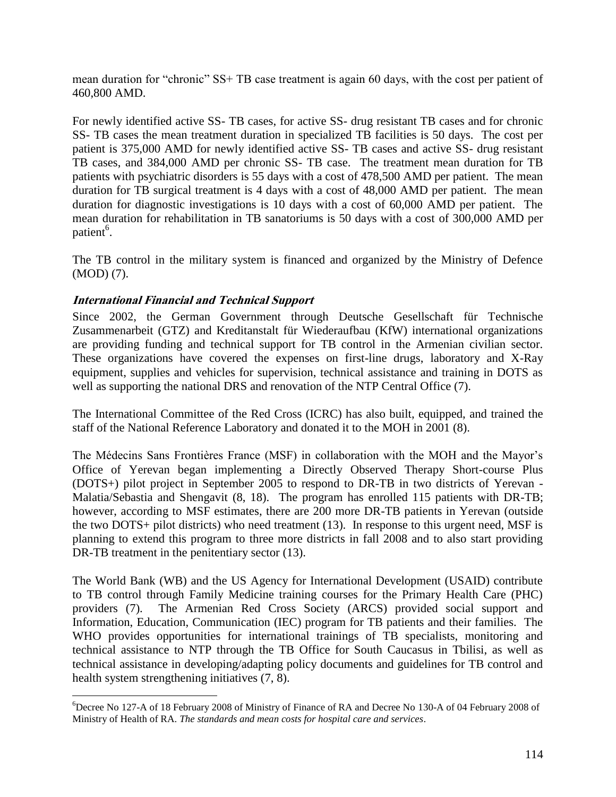mean duration for "chronic" SS+ TB case treatment is again 60 days, with the cost per patient of 460,800 AMD.

For newly identified active SS- TB cases, for active SS- drug resistant TB cases and for chronic SS- TB cases the mean treatment duration in specialized TB facilities is 50 days. The cost per patient is 375,000 AMD for newly identified active SS- TB cases and active SS- drug resistant TB cases, and 384,000 AMD per chronic SS- TB case. The treatment mean duration for TB patients with psychiatric disorders is 55 days with a cost of 478,500 AMD per patient. The mean duration for TB surgical treatment is 4 days with a cost of 48,000 AMD per patient. The mean duration for diagnostic investigations is 10 days with a cost of 60,000 AMD per patient. The mean duration for rehabilitation in TB sanatoriums is 50 days with a cost of 300,000 AMD per patient<sup>6</sup>.

The TB control in the military system is financed and organized by the Ministry of Defence (MOD) (7).

#### <span id="page-15-0"></span>**International Financial and Technical Support**

 $\overline{a}$ 

Since 2002, the German Government through Deutsche Gesellschaft für Technische Zusammenarbeit (GTZ) and Kreditanstalt für Wiederaufbau (KfW) international organizations are providing funding and technical support for TB control in the Armenian civilian sector. These organizations have covered the expenses on first-line drugs, laboratory and X-Ray equipment, supplies and vehicles for supervision, technical assistance and training in DOTS as well as supporting the national DRS and renovation of the NTP Central Office (7).

The International Committee of the Red Cross (ICRC) has also built, equipped, and trained the staff of the National Reference Laboratory and donated it to the MOH in 2001 (8).

The Médecins Sans Frontières France (MSF) in collaboration with the MOH and the Mayor"s Office of Yerevan began implementing a Directly Observed Therapy Short-course Plus (DOTS+) pilot project in September 2005 to respond to DR-TB in two districts of Yerevan - Malatia/Sebastia and Shengavit (8, 18). The program has enrolled 115 patients with DR-TB; however, according to MSF estimates, there are 200 more DR-TB patients in Yerevan (outside the two DOTS+ pilot districts) who need treatment (13). In response to this urgent need, MSF is planning to extend this program to three more districts in fall 2008 and to also start providing DR-TB treatment in the penitentiary sector  $(13)$ .

The World Bank (WB) and the US Agency for International Development (USAID) contribute to TB control through Family Medicine training courses for the Primary Health Care (PHC) providers (7). The Armenian Red Cross Society (ARCS) provided social support and Information, Education, Communication (IEC) program for TB patients and their families. The WHO provides opportunities for international trainings of TB specialists, monitoring and technical assistance to NTP through the TB Office for South Caucasus in Tbilisi, as well as technical assistance in developing/adapting policy documents and guidelines for TB control and health system strengthening initiatives (7, 8).

<sup>6</sup>Decree No 127-A of 18 February 2008 of Ministry of Finance of RA and Decree No 130-A of 04 February 2008 of Ministry of Health of RA. *The standards and mean costs for hospital care and services*.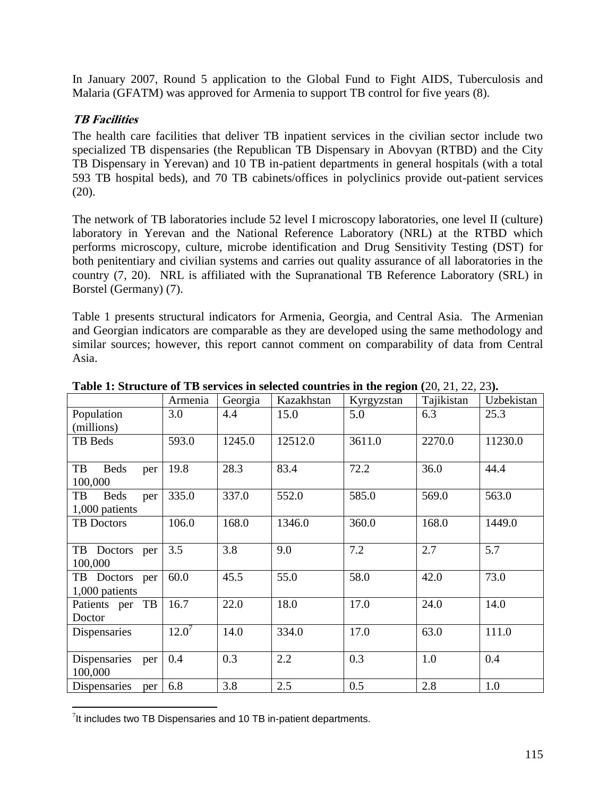In January 2007, Round 5 application to the Global Fund to Fight AIDS, Tuberculosis and Malaria (GFATM) was approved for Armenia to support TB control for five years (8).

## <span id="page-16-0"></span>**TB Facilities**

 $\overline{a}$ 

The health care facilities that deliver TB inpatient services in the civilian sector include two specialized TB dispensaries (the Republican TB Dispensary in Abovyan (RTBD) and the City TB Dispensary in Yerevan) and 10 TB in-patient departments in general hospitals (with a total 593 TB hospital beds), and 70 TB cabinets/offices in polyclinics provide out-patient services  $(20)$ .

The network of TB laboratories include 52 level I microscopy laboratories, one level II (culture) laboratory in Yerevan and the National Reference Laboratory (NRL) at the RTBD which performs microscopy, culture, microbe identification and Drug Sensitivity Testing (DST) for both penitentiary and civilian systems and carries out quality assurance of all laboratories in the country (7, 20). NRL is affiliated with the Supranational TB Reference Laboratory (SRL) in Borstel (Germany) (7).

Table 1 presents structural indicators for Armenia, Georgia, and Central Asia. The Armenian and Georgian indicators are comparable as they are developed using the same methodology and similar sources; however, this report cannot comment on comparability of data from Central Asia.

|                          | Armenia  | Georgia | Kazakhstan | Kyrgyzstan | Tajikistan | Uzbekistan |
|--------------------------|----------|---------|------------|------------|------------|------------|
| Population               | 3.0      | 4.4     | 15.0       | 5.0        | 6.3        | 25.3       |
| (millions)               |          |         |            |            |            |            |
| TB Beds                  | 593.0    | 1245.0  | 12512.0    | 3611.0     | 2270.0     | 11230.0    |
|                          |          |         |            |            |            |            |
| TB<br><b>Beds</b><br>per | 19.8     | 28.3    | 83.4       | 72.2       | 36.0       | 44.4       |
| 100,000                  |          |         |            |            |            |            |
| <b>Beds</b><br>TB<br>per | 335.0    | 337.0   | 552.0      | 585.0      | 569.0      | 563.0      |
| 1,000 patients           |          |         |            |            |            |            |
| <b>TB</b> Doctors        | 106.0    | 168.0   | 1346.0     | 360.0      | 168.0      | 1449.0     |
|                          |          |         |            |            |            |            |
| TB Doctors per           | 3.5      | 3.8     | 9.0        | 7.2        | 2.7        | 5.7        |
| 100,000                  |          |         |            |            |            |            |
| TB Doctors per           | 60.0     | 45.5    | 55.0       | 58.0       | 42.0       | 73.0       |
| 1,000 patients           |          |         |            |            |            |            |
| Patients per TB          | 16.7     | 22.0    | 18.0       | 17.0       | 24.0       | 14.0       |
| Doctor                   |          |         |            |            |            |            |
| Dispensaries             | $12.0^7$ | 14.0    | 334.0      | 17.0       | 63.0       | 111.0      |
|                          |          |         |            |            |            |            |
| Dispensaries<br>per      | 0.4      | 0.3     | 2.2        | 0.3        | 1.0        | 0.4        |
| 100,000                  |          |         |            |            |            |            |
| Dispensaries<br>per      | 6.8      | 3.8     | 2.5        | 0.5        | 2.8        | 1.0        |

**Table 1: Structure of TB services in selected countries in the region (**20, 21, 22, 23**).**

 $7$ It includes two TB Dispensaries and 10 TB in-patient departments.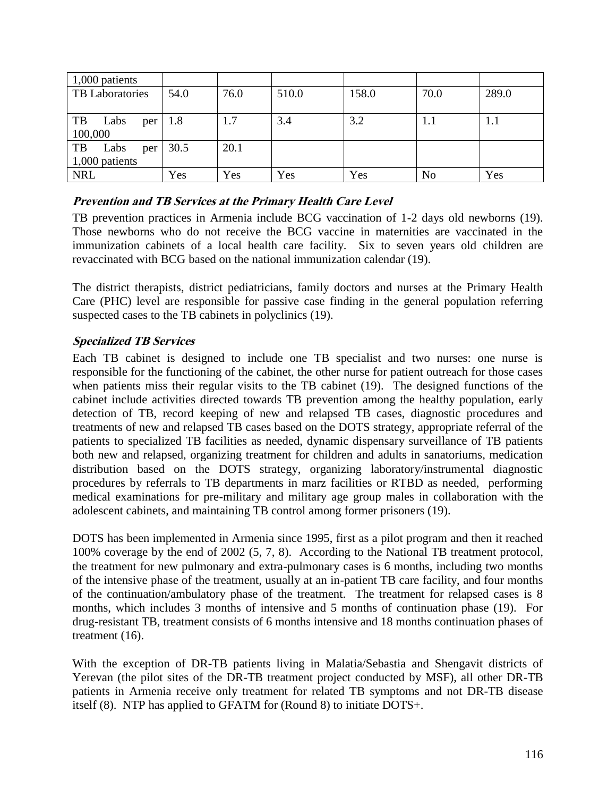| 1,000 patients    |      |      |       |       |                |       |
|-------------------|------|------|-------|-------|----------------|-------|
| TB Laboratories   | 54.0 | 76.0 | 510.0 | 158.0 | 70.0           | 289.0 |
|                   |      |      |       |       |                |       |
| TB<br>Labs<br>per | 1.8  | 1.7  | 3.4   | 3.2   | 1.1            | 1.1   |
| 100,000           |      |      |       |       |                |       |
| Labs<br>TB<br>per | 30.5 | 20.1 |       |       |                |       |
| 1,000 patients    |      |      |       |       |                |       |
| <b>NRL</b>        | Yes  | Yes  | Yes   | Yes   | N <sub>o</sub> | Yes   |

# <span id="page-17-0"></span>**Prevention and TB Services at the Primary Health Care Level**

TB prevention practices in Armenia include BCG vaccination of 1-2 days old newborns (19). Those newborns who do not receive the BCG vaccine in maternities are vaccinated in the immunization cabinets of a local health care facility. Six to seven years old children are revaccinated with BCG based on the national immunization calendar (19).

The district therapists, district pediatricians, family doctors and nurses at the Primary Health Care (PHC) level are responsible for passive case finding in the general population referring suspected cases to the TB cabinets in polyclinics (19).

# <span id="page-17-1"></span>**Specialized TB Services**

Each TB cabinet is designed to include one TB specialist and two nurses: one nurse is responsible for the functioning of the cabinet, the other nurse for patient outreach for those cases when patients miss their regular visits to the TB cabinet (19). The designed functions of the cabinet include activities directed towards TB prevention among the healthy population, early detection of TB, record keeping of new and relapsed TB cases, diagnostic procedures and treatments of new and relapsed TB cases based on the DOTS strategy, appropriate referral of the patients to specialized TB facilities as needed, dynamic dispensary surveillance of TB patients both new and relapsed, organizing treatment for children and adults in sanatoriums, medication distribution based on the DOTS strategy, organizing laboratory/instrumental diagnostic procedures by referrals to TB departments in marz facilities or RTBD as needed, performing medical examinations for pre-military and military age group males in collaboration with the adolescent cabinets, and maintaining TB control among former prisoners (19).

DOTS has been implemented in Armenia since 1995, first as a pilot program and then it reached 100% coverage by the end of 2002 (5, 7, 8). According to the National TB treatment protocol, the treatment for new pulmonary and extra-pulmonary cases is 6 months, including two months of the intensive phase of the treatment, usually at an in-patient TB care facility, and four months of the continuation/ambulatory phase of the treatment. The treatment for relapsed cases is 8 months, which includes 3 months of intensive and 5 months of continuation phase (19). For drug-resistant TB, treatment consists of 6 months intensive and 18 months continuation phases of treatment (16).

With the exception of DR-TB patients living in Malatia/Sebastia and Shengavit districts of Yerevan (the pilot sites of the DR-TB treatment project conducted by MSF), all other DR-TB patients in Armenia receive only treatment for related TB symptoms and not DR-TB disease itself (8). NTP has applied to GFATM for (Round 8) to initiate DOTS+.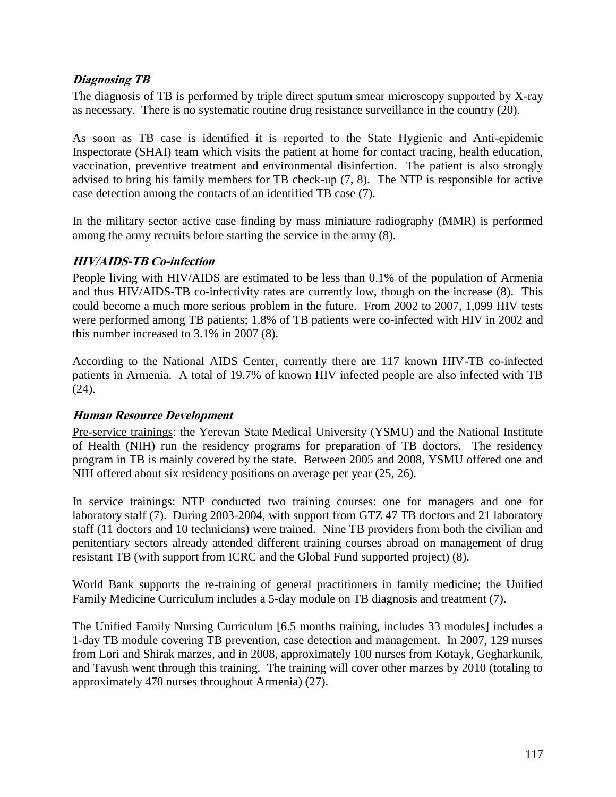### <span id="page-18-0"></span>**Diagnosing TB**

The diagnosis of TB is performed by triple direct sputum smear microscopy supported by X-ray as necessary. There is no systematic routine drug resistance surveillance in the country (20).

As soon as TB case is identified it is reported to the State Hygienic and Anti-epidemic Inspectorate (SHAI) team which visits the patient at home for contact tracing, health education, vaccination, preventive treatment and environmental disinfection. The patient is also strongly advised to bring his family members for TB check-up (7, 8). The NTP is responsible for active case detection among the contacts of an identified TB case (7).

In the military sector active case finding by mass miniature radiography (MMR) is performed among the army recruits before starting the service in the army (8).

# <span id="page-18-1"></span>**HIV/AIDS-TB Co-infection**

People living with HIV/AIDS are estimated to be less than 0.1% of the population of Armenia and thus HIV/AIDS-TB co-infectivity rates are currently low, though on the increase (8). This could become a much more serious problem in the future. From 2002 to 2007, 1,099 HIV tests were performed among TB patients; 1.8% of TB patients were co-infected with HIV in 2002 and this number increased to 3.1% in 2007 (8).

According to the National AIDS Center, currently there are 117 known HIV-TB co-infected patients in Armenia. A total of 19.7% of known HIV infected people are also infected with TB (24).

#### <span id="page-18-2"></span>**Human Resource Development**

Pre-service trainings: the Yerevan State Medical University (YSMU) and the National Institute of Health (NIH) run the residency programs for preparation of TB doctors. The residency program in TB is mainly covered by the state. Between 2005 and 2008, YSMU offered one and NIH offered about six residency positions on average per year (25, 26).

In service trainings: NTP conducted two training courses: one for managers and one for laboratory staff (7). During 2003-2004, with support from GTZ 47 TB doctors and 21 laboratory staff (11 doctors and 10 technicians) were trained. Nine TB providers from both the civilian and penitentiary sectors already attended different training courses abroad on management of drug resistant TB (with support from ICRC and the Global Fund supported project) (8).

World Bank supports the re-training of general practitioners in family medicine; the Unified Family Medicine Curriculum includes a 5-day module on TB diagnosis and treatment (7).

The Unified Family Nursing Curriculum [6.5 months training, includes 33 modules] includes a 1-day TB module covering TB prevention, case detection and management. In 2007, 129 nurses from Lori and Shirak marzes, and in 2008, approximately 100 nurses from Kotayk, Gegharkunik, and Tavush went through this training. The training will cover other marzes by 2010 (totaling to approximately 470 nurses throughout Armenia) (27).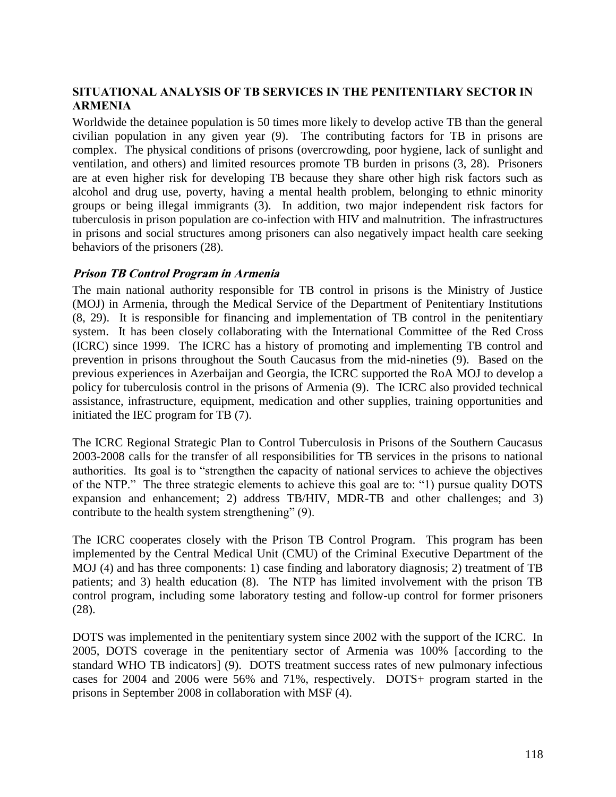## <span id="page-19-0"></span>**SITUATIONAL ANALYSIS OF TB SERVICES IN THE PENITENTIARY SECTOR IN ARMENIA**

Worldwide the detainee population is 50 times more likely to develop active TB than the general civilian population in any given year (9). The contributing factors for TB in prisons are complex. The physical conditions of prisons (overcrowding, poor hygiene, lack of sunlight and ventilation, and others) and limited resources promote TB burden in prisons (3, 28). Prisoners are at even higher risk for developing TB because they share other high risk factors such as alcohol and drug use, poverty, having a mental health problem, belonging to ethnic minority groups or being illegal immigrants (3). In addition, two major independent risk factors for tuberculosis in prison population are co-infection with HIV and malnutrition. The infrastructures in prisons and social structures among prisoners can also negatively impact health care seeking behaviors of the prisoners (28).

#### <span id="page-19-1"></span>**Prison TB Control Program in Armenia**

The main national authority responsible for TB control in prisons is the Ministry of Justice (MOJ) in Armenia, through the Medical Service of the Department of Penitentiary Institutions (8, 29). It is responsible for financing and implementation of TB control in the penitentiary system. It has been closely collaborating with the International Committee of the Red Cross (ICRC) since 1999. The ICRC has a history of promoting and implementing TB control and prevention in prisons throughout the South Caucasus from the mid-nineties (9). Based on the previous experiences in Azerbaijan and Georgia, the ICRC supported the RoA MOJ to develop a policy for tuberculosis control in the prisons of Armenia (9). The ICRC also provided technical assistance, infrastructure, equipment, medication and other supplies, training opportunities and initiated the IEC program for TB (7).

The ICRC Regional Strategic Plan to Control Tuberculosis in Prisons of the Southern Caucasus 2003-2008 calls for the transfer of all responsibilities for TB services in the prisons to national authorities. Its goal is to "strengthen the capacity of national services to achieve the objectives of the NTP." The three strategic elements to achieve this goal are to: "1) pursue quality DOTS expansion and enhancement; 2) address TB/HIV, MDR-TB and other challenges; and 3) contribute to the health system strengthening" (9).

The ICRC cooperates closely with the Prison TB Control Program. This program has been implemented by the Central Medical Unit (CMU) of the Criminal Executive Department of the MOJ (4) and has three components: 1) case finding and laboratory diagnosis; 2) treatment of TB patients; and 3) health education (8). The NTP has limited involvement with the prison TB control program, including some laboratory testing and follow-up control for former prisoners (28).

DOTS was implemented in the penitentiary system since 2002 with the support of the ICRC. In 2005, DOTS coverage in the penitentiary sector of Armenia was 100% [according to the standard WHO TB indicators] (9). DOTS treatment success rates of new pulmonary infectious cases for 2004 and 2006 were 56% and 71%, respectively. DOTS+ program started in the prisons in September 2008 in collaboration with MSF (4).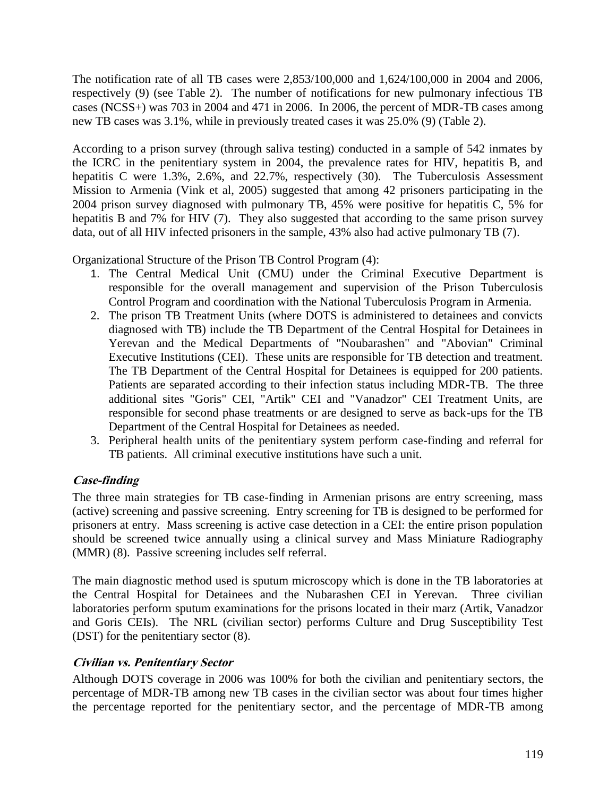The notification rate of all TB cases were 2,853/100,000 and 1,624/100,000 in 2004 and 2006, respectively (9) (see Table 2). The number of notifications for new pulmonary infectious TB cases (NCSS+) was 703 in 2004 and 471 in 2006. In 2006, the percent of MDR-TB cases among new TB cases was 3.1%, while in previously treated cases it was 25.0% (9) (Table 2).

According to a prison survey (through saliva testing) conducted in a sample of 542 inmates by the ICRC in the penitentiary system in 2004, the prevalence rates for HIV, hepatitis B, and hepatitis C were 1.3%, 2.6%, and 22.7%, respectively (30). The Tuberculosis Assessment Mission to Armenia (Vink et al, 2005) suggested that among 42 prisoners participating in the 2004 prison survey diagnosed with pulmonary TB, 45% were positive for hepatitis C, 5% for hepatitis B and 7% for HIV (7). They also suggested that according to the same prison survey data, out of all HIV infected prisoners in the sample, 43% also had active pulmonary TB (7).

Organizational Structure of the Prison TB Control Program (4):

- 1. The Central Medical Unit (CMU) under the Criminal Executive Department is responsible for the overall management and supervision of the Prison Tuberculosis Control Program and coordination with the National Tuberculosis Program in Armenia.
- 2. The prison TB Treatment Units (where DOTS is administered to detainees and convicts diagnosed with TB) include the TB Department of the Central Hospital for Detainees in Yerevan and the Medical Departments of "Noubarashen" and "Abovian" Criminal Executive Institutions (CEI). These units are responsible for TB detection and treatment. The TB Department of the Central Hospital for Detainees is equipped for 200 patients. Patients are separated according to their infection status including MDR-TB. The three additional sites "Goris" CEI, "Artik" CEI and "Vanadzor" CEI Treatment Units, are responsible for second phase treatments or are designed to serve as back-ups for the TB Department of the Central Hospital for Detainees as needed.
- 3. Peripheral health units of the penitentiary system perform case-finding and referral for TB patients. All criminal executive institutions have such a unit.

# <span id="page-20-0"></span>**Case-finding**

The three main strategies for TB case-finding in Armenian prisons are entry screening, mass (active) screening and passive screening. Entry screening for TB is designed to be performed for prisoners at entry. Mass screening is active case detection in a CEI: the entire prison population should be screened twice annually using a clinical survey and Mass Miniature Radiography (MMR) (8). Passive screening includes self referral.

The main diagnostic method used is sputum microscopy which is done in the TB laboratories at the Central Hospital for Detainees and the Nubarashen CEI in Yerevan. Three civilian laboratories perform sputum examinations for the prisons located in their marz (Artik, Vanadzor and Goris CEIs). The NRL (civilian sector) performs Culture and Drug Susceptibility Test (DST) for the penitentiary sector (8).

# <span id="page-20-1"></span>**Civilian vs. Penitentiary Sector**

Although DOTS coverage in 2006 was 100% for both the civilian and penitentiary sectors, the percentage of MDR-TB among new TB cases in the civilian sector was about four times higher the percentage reported for the penitentiary sector, and the percentage of MDR-TB among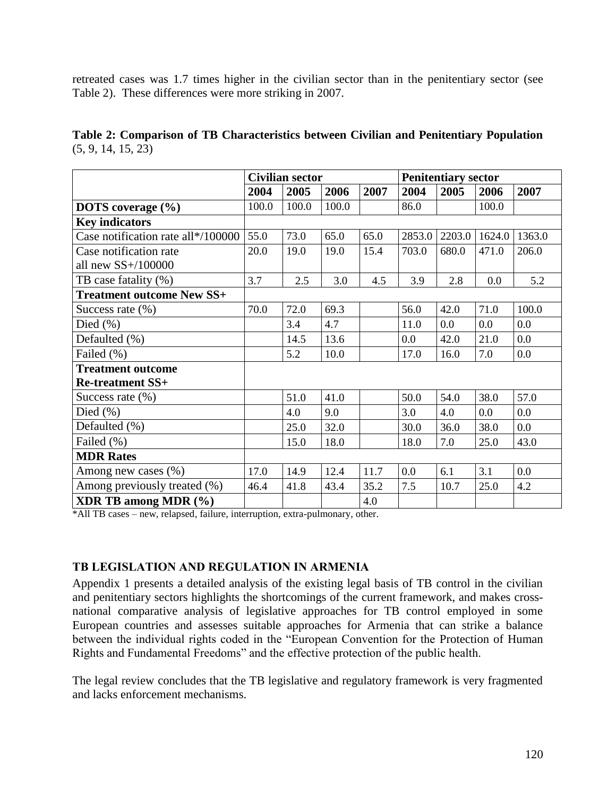retreated cases was 1.7 times higher in the civilian sector than in the penitentiary sector (see Table 2). These differences were more striking in 2007.

**Table 2: Comparison of TB Characteristics between Civilian and Penitentiary Population**  $(5, 9, 14, 15, 23)$ 

|                                    | <b>Civilian sector</b> |       |       | <b>Penitentiary sector</b> |        |        |        |        |
|------------------------------------|------------------------|-------|-------|----------------------------|--------|--------|--------|--------|
|                                    | 2004                   | 2005  | 2006  | 2007                       | 2004   | 2005   | 2006   | 2007   |
| <b>DOTS</b> coverage $(\% )$       | 100.0                  | 100.0 | 100.0 |                            | 86.0   |        | 100.0  |        |
| <b>Key indicators</b>              |                        |       |       |                            |        |        |        |        |
| Case notification rate all*/100000 | 55.0                   | 73.0  | 65.0  | 65.0                       | 2853.0 | 2203.0 | 1624.0 | 1363.0 |
| Case notification rate             | 20.0                   | 19.0  | 19.0  | 15.4                       | 703.0  | 680.0  | 471.0  | 206.0  |
| all new $SS+/100000$               |                        |       |       |                            |        |        |        |        |
| TB case fatality (%)               | 3.7                    | 2.5   | 3.0   | 4.5                        | 3.9    | 2.8    | 0.0    | 5.2    |
| <b>Treatment outcome New SS+</b>   |                        |       |       |                            |        |        |        |        |
| Success rate $(\%)$                | 70.0                   | 72.0  | 69.3  |                            | 56.0   | 42.0   | 71.0   | 100.0  |
| Died $(\% )$                       |                        | 3.4   | 4.7   |                            | 11.0   | 0.0    | 0.0    | 0.0    |
| Defaulted (%)                      |                        | 14.5  | 13.6  |                            | 0.0    | 42.0   | 21.0   | 0.0    |
| Failed (%)                         |                        | 5.2   | 10.0  |                            | 17.0   | 16.0   | 7.0    | 0.0    |
| <b>Treatment outcome</b>           |                        |       |       |                            |        |        |        |        |
| <b>Re-treatment SS+</b>            |                        |       |       |                            |        |        |        |        |
| Success rate $(\%)$                |                        | 51.0  | 41.0  |                            | 50.0   | 54.0   | 38.0   | 57.0   |
| Died $(\% )$                       |                        | 4.0   | 9.0   |                            | 3.0    | 4.0    | 0.0    | 0.0    |
| Defaulted (%)                      |                        | 25.0  | 32.0  |                            | 30.0   | 36.0   | 38.0   | 0.0    |
| Failed (%)                         |                        | 15.0  | 18.0  |                            | 18.0   | 7.0    | 25.0   | 43.0   |
| <b>MDR Rates</b>                   |                        |       |       |                            |        |        |        |        |
| Among new cases $(\%)$             | 17.0                   | 14.9  | 12.4  | 11.7                       | 0.0    | 6.1    | 3.1    | 0.0    |
| Among previously treated (%)       | 46.4                   | 41.8  | 43.4  | 35.2                       | 7.5    | 10.7   | 25.0   | 4.2    |
| <b>XDR TB among MDR (%)</b>        |                        |       |       | 4.0                        |        |        |        |        |

\*All TB cases – new, relapsed, failure, interruption, extra-pulmonary, other.

#### <span id="page-21-0"></span>**TB LEGISLATION AND REGULATION IN ARMENIA**

Appendix 1 presents a detailed analysis of the existing legal basis of TB control in the civilian and penitentiary sectors highlights the shortcomings of the current framework, and makes crossnational comparative analysis of legislative approaches for TB control employed in some European countries and assesses suitable approaches for Armenia that can strike a balance between the individual rights coded in the "European Convention for the Protection of Human Rights and Fundamental Freedoms" and the effective protection of the public health.

<span id="page-21-1"></span>The legal review concludes that the TB legislative and regulatory framework is very fragmented and lacks enforcement mechanisms.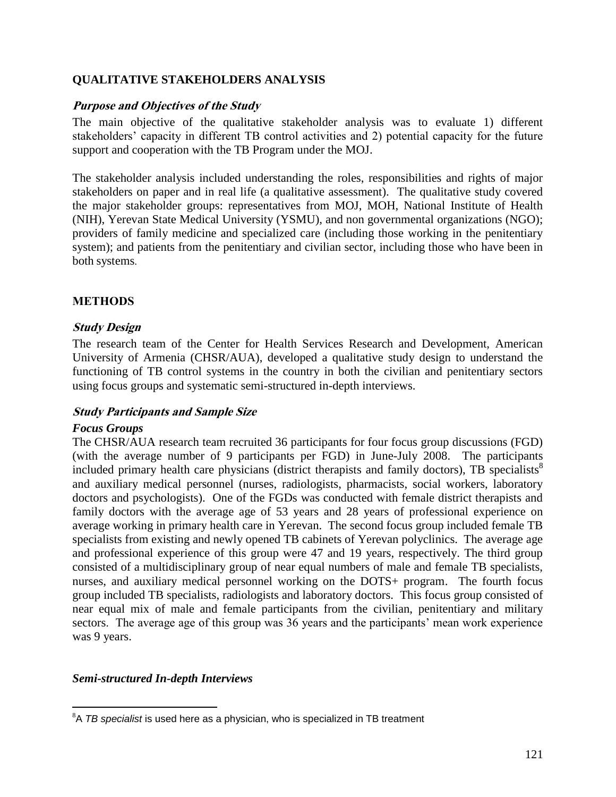#### <span id="page-22-0"></span>**QUALITATIVE STAKEHOLDERS ANALYSIS**

#### **Purpose and Objectives of the Study**

The main objective of the qualitative stakeholder analysis was to evaluate 1) different stakeholders" capacity in different TB control activities and 2) potential capacity for the future support and cooperation with the TB Program under the MOJ.

The stakeholder analysis included understanding the roles, responsibilities and rights of major stakeholders on paper and in real life (a qualitative assessment). The qualitative study covered the major stakeholder groups: representatives from MOJ, MOH, National Institute of Health (NIH), Yerevan State Medical University (YSMU), and non governmental organizations (NGO); providers of family medicine and specialized care (including those working in the penitentiary system); and patients from the penitentiary and civilian sector, including those who have been in both systems.

# <span id="page-22-1"></span>**METHODS**

#### <span id="page-22-2"></span>**Study Design**

The research team of the Center for Health Services Research and Development, American University of Armenia (CHSR/AUA), developed a qualitative study design to understand the functioning of TB control systems in the country in both the civilian and penitentiary sectors using focus groups and systematic semi-structured in-depth interviews.

#### <span id="page-22-3"></span>**Study Participants and Sample Size**

#### *Focus Groups*

 $\overline{a}$ 

The CHSR/AUA research team recruited 36 participants for four focus group discussions (FGD) (with the average number of 9 participants per FGD) in June-July 2008. The participants included primary health care physicians (district therapists and family doctors), TB specialists<sup>8</sup> and auxiliary medical personnel (nurses, radiologists, pharmacists, social workers, laboratory doctors and psychologists). One of the FGDs was conducted with female district therapists and family doctors with the average age of 53 years and 28 years of professional experience on average working in primary health care in Yerevan. The second focus group included female TB specialists from existing and newly opened TB cabinets of Yerevan polyclinics. The average age and professional experience of this group were 47 and 19 years, respectively. The third group consisted of a multidisciplinary group of near equal numbers of male and female TB specialists, nurses, and auxiliary medical personnel working on the DOTS+ program. The fourth focus group included TB specialists, radiologists and laboratory doctors. This focus group consisted of near equal mix of male and female participants from the civilian, penitentiary and military sectors. The average age of this group was 36 years and the participants' mean work experience was 9 years.

#### *Semi-structured In-depth Interviews*

<sup>8</sup>A *TB specialist* is used here as a physician, who is specialized in TB treatment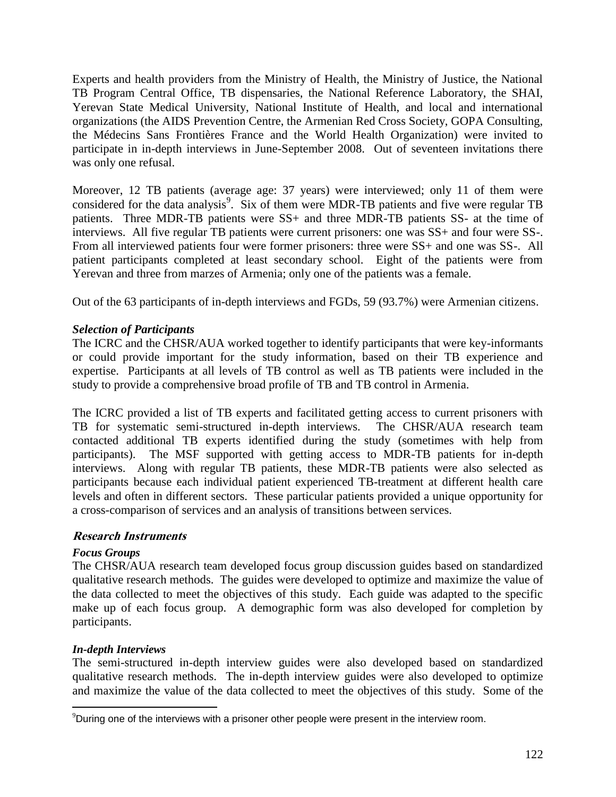Experts and health providers from the Ministry of Health, the Ministry of Justice, the National TB Program Central Office, TB dispensaries, the National Reference Laboratory, the SHAI, Yerevan State Medical University, National Institute of Health, and local and international organizations (the AIDS Prevention Centre, the Armenian Red Cross Society, GOPA Consulting, the Médecins Sans Frontières France and the World Health Organization) were invited to participate in in-depth interviews in June-September 2008. Out of seventeen invitations there was only one refusal.

Moreover, 12 TB patients (average age: 37 years) were interviewed; only 11 of them were considered for the data analysis<sup>9</sup>. Six of them were MDR-TB patients and five were regular TB patients. Three MDR-TB patients were SS+ and three MDR-TB patients SS- at the time of interviews. All five regular TB patients were current prisoners: one was SS+ and four were SS-. From all interviewed patients four were former prisoners: three were SS+ and one was SS-. All patient participants completed at least secondary school. Eight of the patients were from Yerevan and three from marzes of Armenia; only one of the patients was a female.

Out of the 63 participants of in-depth interviews and FGDs, 59 (93.7%) were Armenian citizens.

# *Selection of Participants*

The ICRC and the CHSR/AUA worked together to identify participants that were key-informants or could provide important for the study information, based on their TB experience and expertise. Participants at all levels of TB control as well as TB patients were included in the study to provide a comprehensive broad profile of TB and TB control in Armenia.

The ICRC provided a list of TB experts and facilitated getting access to current prisoners with TB for systematic semi-structured in-depth interviews. The CHSR/AUA research team contacted additional TB experts identified during the study (sometimes with help from participants). The MSF supported with getting access to MDR-TB patients for in-depth interviews. Along with regular TB patients, these MDR-TB patients were also selected as participants because each individual patient experienced TB-treatment at different health care levels and often in different sectors. These particular patients provided a unique opportunity for a cross-comparison of services and an analysis of transitions between services.

#### <span id="page-23-0"></span>**Research Instruments**

#### *Focus Groups*

The CHSR/AUA research team developed focus group discussion guides based on standardized qualitative research methods. The guides were developed to optimize and maximize the value of the data collected to meet the objectives of this study. Each guide was adapted to the specific make up of each focus group. A demographic form was also developed for completion by participants.

#### *In-depth Interviews*

 $\overline{a}$ 

The semi-structured in-depth interview guides were also developed based on standardized qualitative research methods. The in-depth interview guides were also developed to optimize and maximize the value of the data collected to meet the objectives of this study. Some of the

<sup>9</sup>During one of the interviews with a prisoner other people were present in the interview room.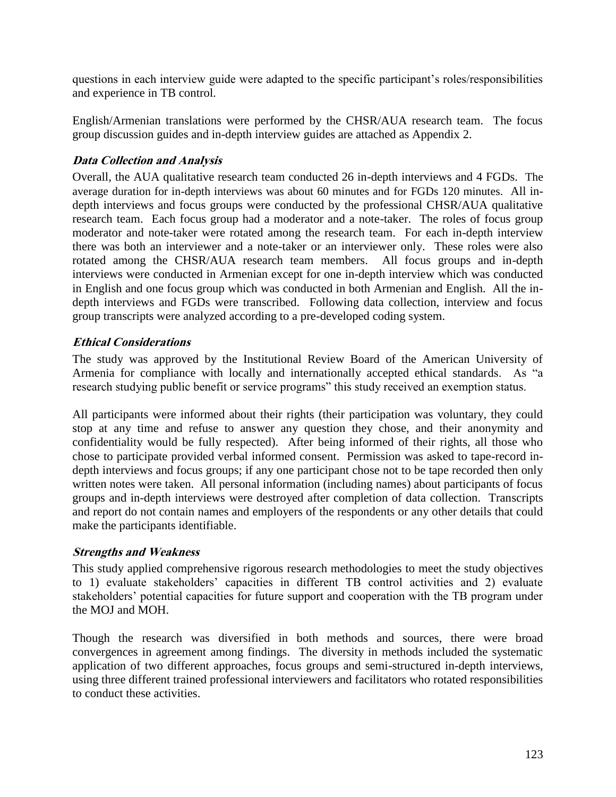questions in each interview guide were adapted to the specific participant's roles/responsibilities and experience in TB control.

English/Armenian translations were performed by the CHSR/AUA research team. The focus group discussion guides and in-depth interview guides are attached as Appendix 2.

# <span id="page-24-0"></span>**Data Collection and Analysis**

Overall, the AUA qualitative research team conducted 26 in-depth interviews and 4 FGDs. The average duration for in-depth interviews was about 60 minutes and for FGDs 120 minutes. All indepth interviews and focus groups were conducted by the professional CHSR/AUA qualitative research team. Each focus group had a moderator and a note-taker. The roles of focus group moderator and note-taker were rotated among the research team. For each in-depth interview there was both an interviewer and a note-taker or an interviewer only. These roles were also rotated among the CHSR/AUA research team members. All focus groups and in-depth interviews were conducted in Armenian except for one in-depth interview which was conducted in English and one focus group which was conducted in both Armenian and English. All the indepth interviews and FGDs were transcribed. Following data collection, interview and focus group transcripts were analyzed according to a pre-developed coding system.

#### <span id="page-24-1"></span>**Ethical Considerations**

The study was approved by the Institutional Review Board of the American University of Armenia for compliance with locally and internationally accepted ethical standards. As "a research studying public benefit or service programs" this study received an exemption status.

All participants were informed about their rights (their participation was voluntary, they could stop at any time and refuse to answer any question they chose, and their anonymity and confidentiality would be fully respected). After being informed of their rights, all those who chose to participate provided verbal informed consent. Permission was asked to tape-record indepth interviews and focus groups; if any one participant chose not to be tape recorded then only written notes were taken. All personal information (including names) about participants of focus groups and in-depth interviews were destroyed after completion of data collection. Transcripts and report do not contain names and employers of the respondents or any other details that could make the participants identifiable.

#### <span id="page-24-2"></span>**Strengths and Weakness**

This study applied comprehensive rigorous research methodologies to meet the study objectives to 1) evaluate stakeholders" capacities in different TB control activities and 2) evaluate stakeholders" potential capacities for future support and cooperation with the TB program under the MOJ and MOH.

Though the research was diversified in both methods and sources, there were broad convergences in agreement among findings. The diversity in methods included the systematic application of two different approaches, focus groups and semi-structured in-depth interviews, using three different trained professional interviewers and facilitators who rotated responsibilities to conduct these activities.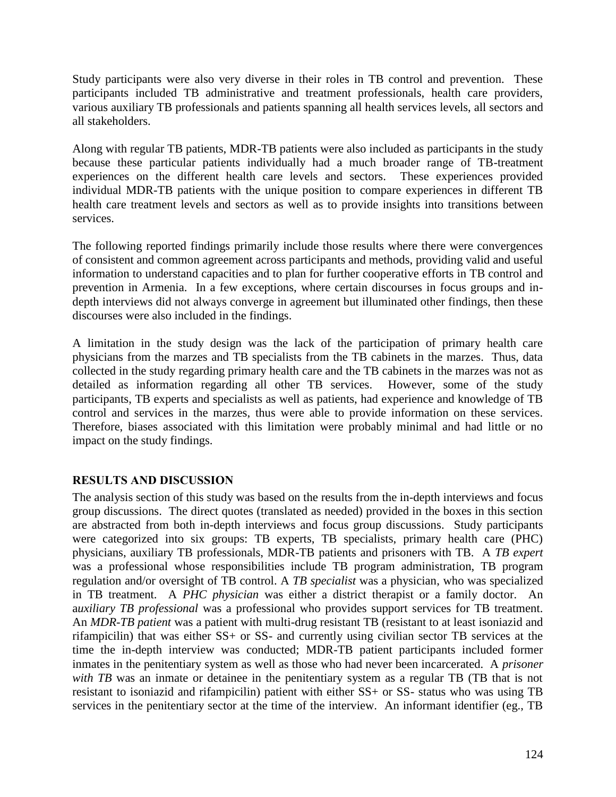Study participants were also very diverse in their roles in TB control and prevention. These participants included TB administrative and treatment professionals, health care providers, various auxiliary TB professionals and patients spanning all health services levels, all sectors and all stakeholders.

Along with regular TB patients, MDR-TB patients were also included as participants in the study because these particular patients individually had a much broader range of TB-treatment experiences on the different health care levels and sectors. These experiences provided individual MDR-TB patients with the unique position to compare experiences in different TB health care treatment levels and sectors as well as to provide insights into transitions between services.

The following reported findings primarily include those results where there were convergences of consistent and common agreement across participants and methods, providing valid and useful information to understand capacities and to plan for further cooperative efforts in TB control and prevention in Armenia. In a few exceptions, where certain discourses in focus groups and indepth interviews did not always converge in agreement but illuminated other findings, then these discourses were also included in the findings.

A limitation in the study design was the lack of the participation of primary health care physicians from the marzes and TB specialists from the TB cabinets in the marzes. Thus, data collected in the study regarding primary health care and the TB cabinets in the marzes was not as detailed as information regarding all other TB services. However, some of the study participants, TB experts and specialists as well as patients, had experience and knowledge of TB control and services in the marzes, thus were able to provide information on these services. Therefore, biases associated with this limitation were probably minimal and had little or no impact on the study findings.

#### <span id="page-25-0"></span>**RESULTS AND DISCUSSION**

The analysis section of this study was based on the results from the in-depth interviews and focus group discussions. The direct quotes (translated as needed) provided in the boxes in this section are abstracted from both in-depth interviews and focus group discussions. Study participants were categorized into six groups: TB experts, TB specialists, primary health care (PHC) physicians, auxiliary TB professionals, MDR-TB patients and prisoners with TB. A *TB expert* was a professional whose responsibilities include TB program administration, TB program regulation and/or oversight of TB control. A *TB specialist* was a physician, who was specialized in TB treatment. A *PHC physician* was either a district therapist or a family doctor. An a*uxiliary TB professional* was a professional who provides support services for TB treatment. An *MDR-TB patient* was a patient with multi-drug resistant TB (resistant to at least isoniazid and rifampicilin) that was either SS+ or SS- and currently using civilian sector TB services at the time the in-depth interview was conducted; MDR-TB patient participants included former inmates in the penitentiary system as well as those who had never been incarcerated. A *prisoner*  with TB was an inmate or detainee in the penitentiary system as a regular TB (TB that is not resistant to isoniazid and rifampicilin) patient with either SS+ or SS- status who was using TB services in the penitentiary sector at the time of the interview. An informant identifier (eg., TB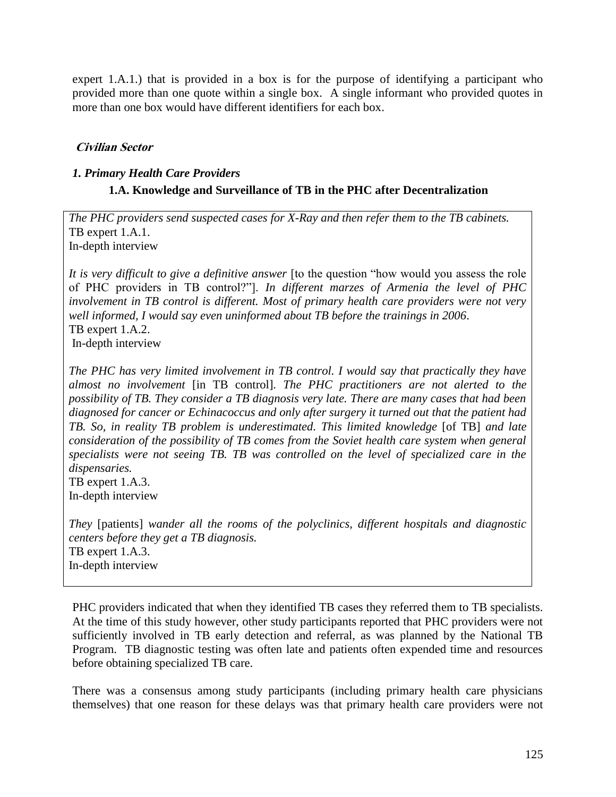expert 1.A.1.) that is provided in a box is for the purpose of identifying a participant who provided more than one quote within a single box. A single informant who provided quotes in more than one box would have different identifiers for each box.

#### <span id="page-26-0"></span>**Civilian Sector**

#### <span id="page-26-1"></span>*1. Primary Health Care Providers*

# **1.A. Knowledge and Surveillance of TB in the PHC after Decentralization**

*The PHC providers send suspected cases for X-Ray and then refer them to the TB cabinets.*  TB expert 1.A.1. In-depth interview

It is very difficult to give a definitive answer [to the question "how would you assess the role of PHC providers in TB control?"]. *In different marzes of Armenia the level of PHC involvement in TB control is different. Most of primary health care providers were not very well informed, I would say even uninformed about TB before the trainings in 2006*. TB expert 1.A.2. In-depth interview

*The PHC has very limited involvement in TB control. I would say that practically they have almost no involvement* [in TB control]*. The PHC practitioners are not alerted to the possibility of TB. They consider a TB diagnosis very late. There are many cases that had been diagnosed for cancer or Echinacoccus and only after surgery it turned out that the patient had TB. So, in reality TB problem is underestimated. This limited knowledge* [of TB] *and late consideration of the possibility of TB comes from the Soviet health care system when general specialists were not seeing TB. TB was controlled on the level of specialized care in the dispensaries.*  TB expert 1.A.3.

In-depth interview

*They* [patients] *wander all the rooms of the polyclinics, different hospitals and diagnostic centers before they get a TB diagnosis.* TB expert 1.A.3. In-depth interview

PHC providers indicated that when they identified TB cases they referred them to TB specialists. At the time of this study however, other study participants reported that PHC providers were not sufficiently involved in TB early detection and referral, as was planned by the National TB Program. TB diagnostic testing was often late and patients often expended time and resources before obtaining specialized TB care.

There was a consensus among study participants (including primary health care physicians themselves) that one reason for these delays was that primary health care providers were not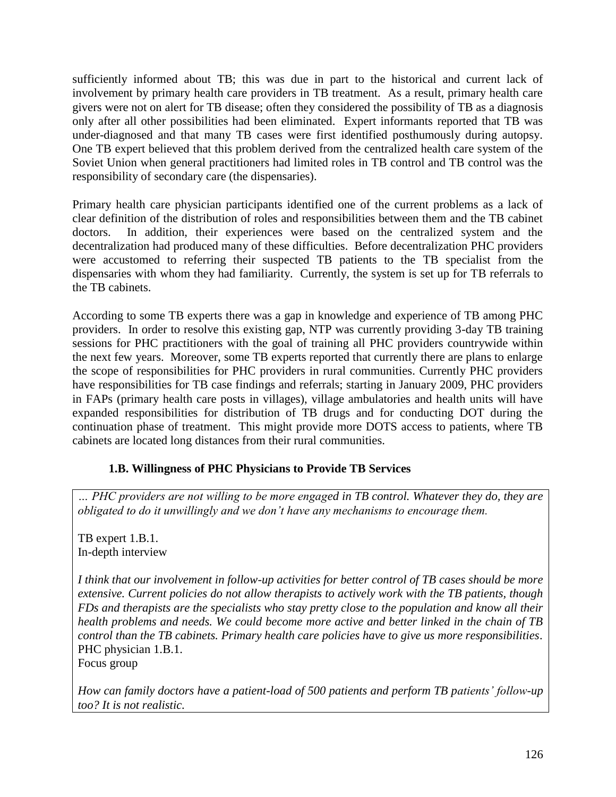sufficiently informed about TB; this was due in part to the historical and current lack of involvement by primary health care providers in TB treatment. As a result, primary health care givers were not on alert for TB disease; often they considered the possibility of TB as a diagnosis only after all other possibilities had been eliminated. Expert informants reported that TB was under-diagnosed and that many TB cases were first identified posthumously during autopsy. One TB expert believed that this problem derived from the centralized health care system of the Soviet Union when general practitioners had limited roles in TB control and TB control was the responsibility of secondary care (the dispensaries).

Primary health care physician participants identified one of the current problems as a lack of clear definition of the distribution of roles and responsibilities between them and the TB cabinet doctors. In addition, their experiences were based on the centralized system and the decentralization had produced many of these difficulties. Before decentralization PHC providers were accustomed to referring their suspected TB patients to the TB specialist from the dispensaries with whom they had familiarity. Currently, the system is set up for TB referrals to the TB cabinets.

According to some TB experts there was a gap in knowledge and experience of TB among PHC providers. In order to resolve this existing gap, NTP was currently providing 3-day TB training sessions for PHC practitioners with the goal of training all PHC providers countrywide within the next few years. Moreover, some TB experts reported that currently there are plans to enlarge the scope of responsibilities for PHC providers in rural communities. Currently PHC providers have responsibilities for TB case findings and referrals; starting in January 2009, PHC providers in FAPs (primary health care posts in villages), village ambulatories and health units will have expanded responsibilities for distribution of TB drugs and for conducting DOT during the continuation phase of treatment. This might provide more DOTS access to patients, where TB cabinets are located long distances from their rural communities.

#### **1.B. Willingness of PHC Physicians to Provide TB Services**

*… PHC providers are not willing to be more engaged in TB control. Whatever they do, they are obligated to do it unwillingly and we don't have any mechanisms to encourage them.*

TB expert 1.B.1. In-depth interview

*I think that our involvement in follow-up activities for better control of TB cases should be more extensive. Current policies do not allow therapists to actively work with the TB patients, though FDs and therapists are the specialists who stay pretty close to the population and know all their health problems and needs. We could become more active and better linked in the chain of TB control than the TB cabinets. Primary health care policies have to give us more responsibilities*. PHC physician 1.B.1.

Focus group

*How can family doctors have a patient-load of 500 patients and perform TB patients' follow-up too? It is not realistic.*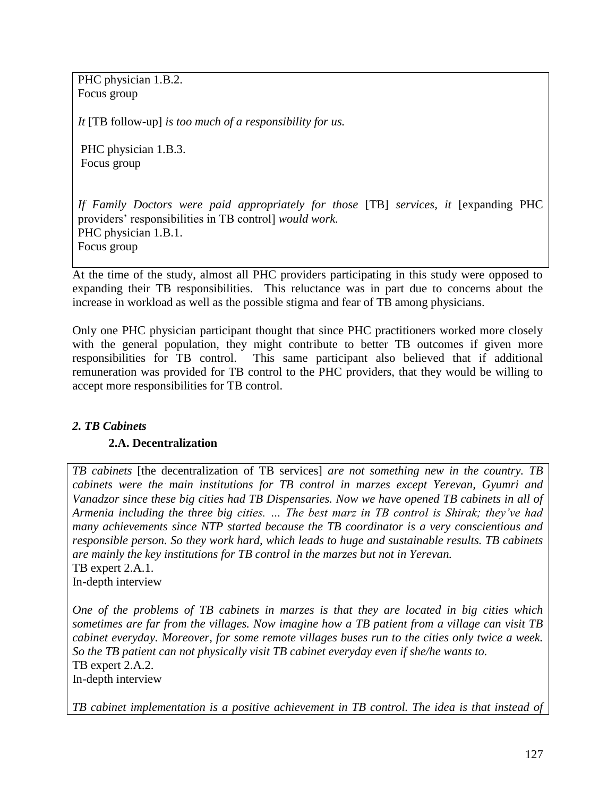PHC physician 1.B.2. Focus group

*It* [TB follow-up] *is too much of a responsibility for us.* 

PHC physician 1.B.3. Focus group

*If Family Doctors were paid appropriately for those* [TB] *services, it* [expanding PHC providers" responsibilities in TB control] *would work.* PHC physician 1.B.1. Focus group

At the time of the study, almost all PHC providers participating in this study were opposed to expanding their TB responsibilities. This reluctance was in part due to concerns about the increase in workload as well as the possible stigma and fear of TB among physicians.

Only one PHC physician participant thought that since PHC practitioners worked more closely with the general population, they might contribute to better TB outcomes if given more responsibilities for TB control. This same participant also believed that if additional remuneration was provided for TB control to the PHC providers, that they would be willing to accept more responsibilities for TB control.

#### <span id="page-28-0"></span>*2. TB Cabinets*

#### **2.A. Decentralization**

*TB cabinets* [the decentralization of TB services] *are not something new in the country. TB cabinets were the main institutions for TB control in marzes except Yerevan, Gyumri and Vanadzor since these big cities had TB Dispensaries. Now we have opened TB cabinets in all of Armenia including the three big cities. … The best marz in TB control is Shirak; they've had many achievements since NTP started because the TB coordinator is a very conscientious and responsible person. So they work hard, which leads to huge and sustainable results. TB cabinets are mainly the key institutions for TB control in the marzes but not in Yerevan.*  TB expert 2.A.1. In-depth interview

*One of the problems of TB cabinets in marzes is that they are located in big cities which sometimes are far from the villages. Now imagine how a TB patient from a village can visit TB cabinet everyday. Moreover, for some remote villages buses run to the cities only twice a week. So the TB patient can not physically visit TB cabinet everyday even if she/he wants to.*  TB expert 2.A.2. In-depth interview

*TB cabinet implementation is a positive achievement in TB control. The idea is that instead of*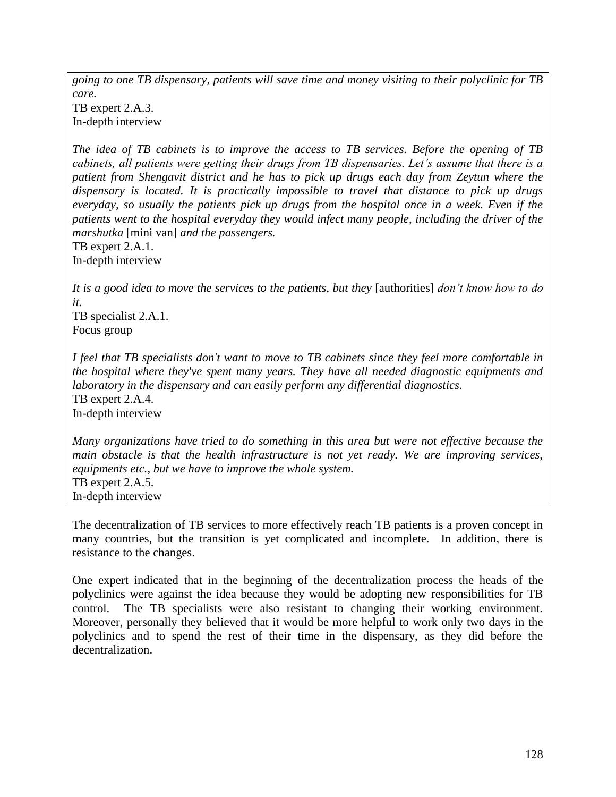*going to one TB dispensary, patients will save time and money visiting to their polyclinic for TB care.*  TB expert 2.A.3.

In-depth interview

*The idea of TB cabinets is to improve the access to TB services. Before the opening of TB cabinets, all patients were getting their drugs from TB dispensaries. Let's assume that there is a patient from Shengavit district and he has to pick up drugs each day from Zeytun where the dispensary is located. It is practically impossible to travel that distance to pick up drugs everyday, so usually the patients pick up drugs from the hospital once in a week. Even if the patients went to the hospital everyday they would infect many people, including the driver of the marshutka* [mini van] *and the passengers.*

TB expert 2.A.1. In-depth interview

*It is a good idea to move the services to the patients, but they* [authorities] *don't know how to do it.*

TB specialist 2.A.1. Focus group

*I feel that TB specialists don't want to move to TB cabinets since they feel more comfortable in the hospital where they've spent many years. They have all needed diagnostic equipments and laboratory in the dispensary and can easily perform any differential diagnostics.*  TB expert 2.A.4. In-depth interview

*Many organizations have tried to do something in this area but were not effective because the main obstacle is that the health infrastructure is not yet ready. We are improving services, equipments etc., but we have to improve the whole system.* TB expert 2.A.5. In-depth interview

The decentralization of TB services to more effectively reach TB patients is a proven concept in many countries, but the transition is yet complicated and incomplete. In addition, there is resistance to the changes.

One expert indicated that in the beginning of the decentralization process the heads of the polyclinics were against the idea because they would be adopting new responsibilities for TB control. The TB specialists were also resistant to changing their working environment. Moreover, personally they believed that it would be more helpful to work only two days in the polyclinics and to spend the rest of their time in the dispensary, as they did before the decentralization.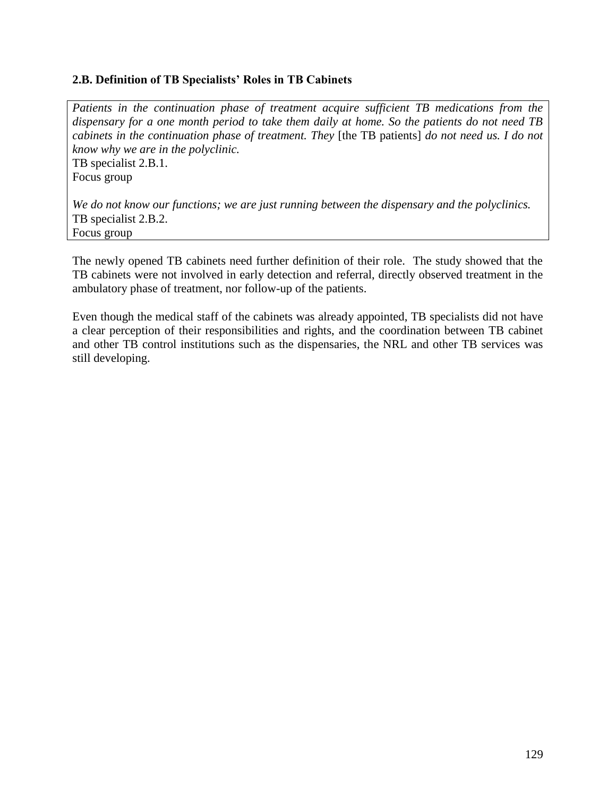#### **2.B. Definition of TB Specialists' Roles in TB Cabinets**

*Patients in the continuation phase of treatment acquire sufficient TB medications from the dispensary for a one month period to take them daily at home. So the patients do not need TB cabinets in the continuation phase of treatment. They* [the TB patients] *do not need us. I do not know why we are in the polyclinic.* TB specialist 2.B.1.

Focus group

*We do not know our functions; we are just running between the dispensary and the polyclinics.*  TB specialist 2.B.2. Focus group

The newly opened TB cabinets need further definition of their role. The study showed that the TB cabinets were not involved in early detection and referral, directly observed treatment in the ambulatory phase of treatment, nor follow-up of the patients.

Even though the medical staff of the cabinets was already appointed, TB specialists did not have a clear perception of their responsibilities and rights, and the coordination between TB cabinet and other TB control institutions such as the dispensaries, the NRL and other TB services was still developing.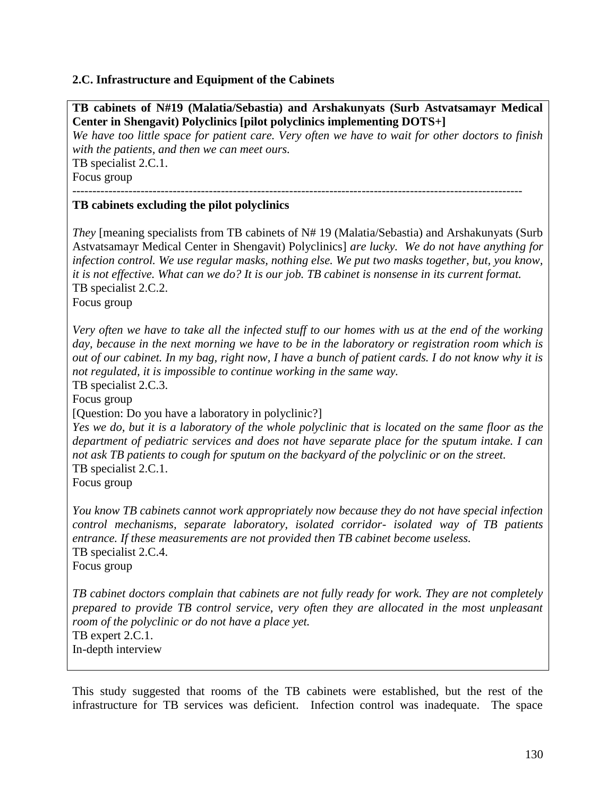#### **2.C. Infrastructure and Equipment of the Cabinets**

**TB cabinets of N#19 (Malatia/Sebastia) and Arshakunyats (Surb Astvatsamayr Medical Center in Shengavit) Polyclinics [pilot polyclinics implementing DOTS+]** 

*We have too little space for patient care. Very often we have to wait for other doctors to finish with the patients, and then we can meet ours.*  TB specialist 2.C.1.

Focus group

----------------------------------------------------------------------------------------------------------------

#### **TB cabinets excluding the pilot polyclinics**

*They* [meaning specialists from TB cabinets of N# 19 (Malatia/Sebastia) and Arshakunyats (Surb Astvatsamayr Medical Center in Shengavit) Polyclinics] *are lucky. We do not have anything for infection control. We use regular masks, nothing else. We put two masks together, but, you know, it is not effective. What can we do? It is our job. TB cabinet is nonsense in its current format.* TB specialist 2.C.2.

Focus group

*Very often we have to take all the infected stuff to our homes with us at the end of the working day, because in the next morning we have to be in the laboratory or registration room which is out of our cabinet. In my bag, right now, I have a bunch of patient cards. I do not know why it is not regulated, it is impossible to continue working in the same way.* 

TB specialist 2.C.3.

Focus group

[Question: Do you have a laboratory in polyclinic?]

*Yes we do, but it is a laboratory of the whole polyclinic that is located on the same floor as the department of pediatric services and does not have separate place for the sputum intake. I can not ask TB patients to cough for sputum on the backyard of the polyclinic or on the street.* TB specialist 2.C.1.

Focus group

*You know TB cabinets cannot work appropriately now because they do not have special infection control mechanisms, separate laboratory, isolated corridor- isolated way of TB patients entrance. If these measurements are not provided then TB cabinet become useless.*  TB specialist 2.C.4. Focus group

*TB cabinet doctors complain that cabinets are not fully ready for work. They are not completely prepared to provide TB control service, very often they are allocated in the most unpleasant room of the polyclinic or do not have a place yet.*  TB expert 2.C.1. In-depth interview

This study suggested that rooms of the TB cabinets were established, but the rest of the infrastructure for TB services was deficient. Infection control was inadequate. The space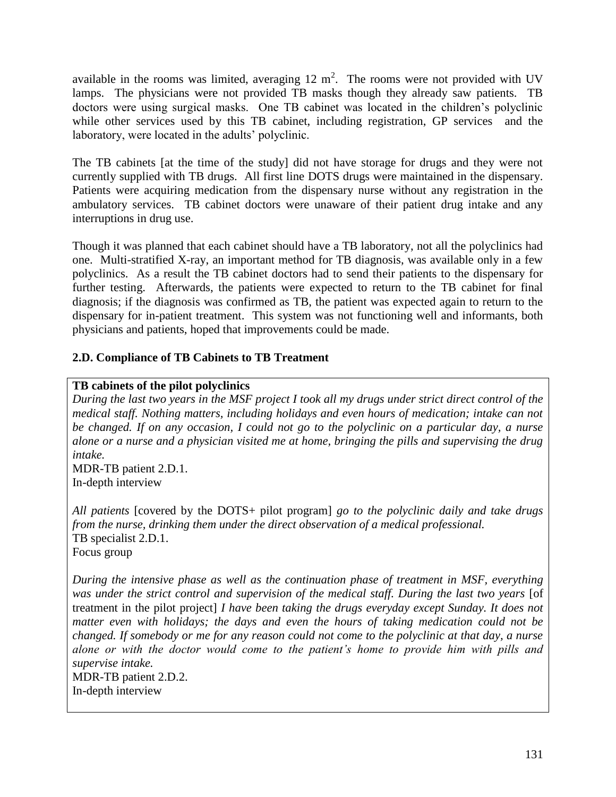available in the rooms was limited, averaging  $12 \text{ m}^2$ . The rooms were not provided with UV lamps. The physicians were not provided TB masks though they already saw patients. TB doctors were using surgical masks. One TB cabinet was located in the children"s polyclinic while other services used by this TB cabinet, including registration, GP services and the laboratory, were located in the adults' polyclinic.

The TB cabinets [at the time of the study] did not have storage for drugs and they were not currently supplied with TB drugs. All first line DOTS drugs were maintained in the dispensary. Patients were acquiring medication from the dispensary nurse without any registration in the ambulatory services. TB cabinet doctors were unaware of their patient drug intake and any interruptions in drug use.

Though it was planned that each cabinet should have a TB laboratory, not all the polyclinics had one. Multi-stratified X-ray, an important method for TB diagnosis, was available only in a few polyclinics. As a result the TB cabinet doctors had to send their patients to the dispensary for further testing. Afterwards, the patients were expected to return to the TB cabinet for final diagnosis; if the diagnosis was confirmed as TB, the patient was expected again to return to the dispensary for in-patient treatment. This system was not functioning well and informants, both physicians and patients, hoped that improvements could be made.

# **2.D. Compliance of TB Cabinets to TB Treatment**

#### **TB cabinets of the pilot polyclinics**

*During the last two years in the MSF project I took all my drugs under strict direct control of the medical staff. Nothing matters, including holidays and even hours of medication; intake can not be changed. If on any occasion, I could not go to the polyclinic on a particular day, a nurse alone or a nurse and a physician visited me at home, bringing the pills and supervising the drug intake.* 

MDR-TB patient 2.D.1. In-depth interview

*All patients* [covered by the DOTS+ pilot program] *go to the polyclinic daily and take drugs from the nurse, drinking them under the direct observation of a medical professional.*  TB specialist 2.D.1. Focus group

*During the intensive phase as well as the continuation phase of treatment in MSF, everything*  was under the strict control and supervision of the medical staff. During the last two years [of treatment in the pilot project] *I have been taking the drugs everyday except Sunday. It does not matter even with holidays; the days and even the hours of taking medication could not be changed. If somebody or me for any reason could not come to the polyclinic at that day, a nurse alone or with the doctor would come to the patient's home to provide him with pills and supervise intake.*  MDR-TB patient 2.D.2.

In-depth interview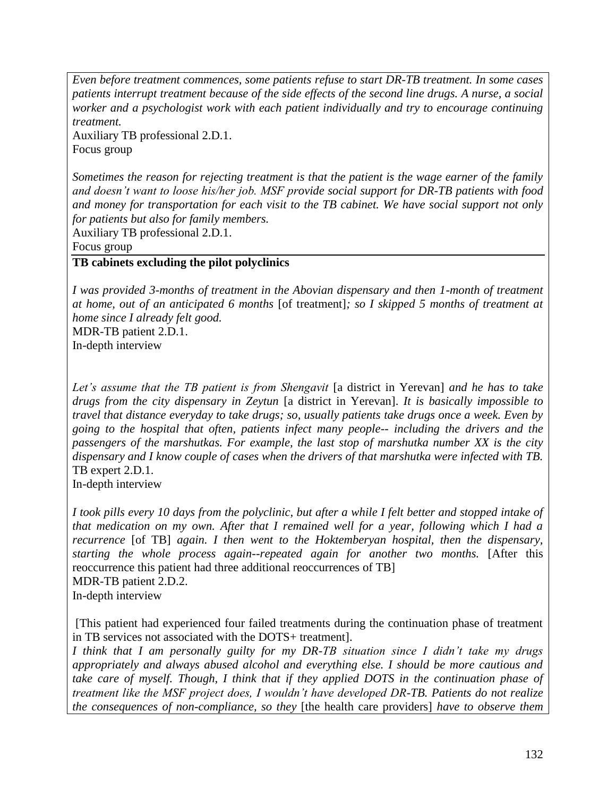*Even before treatment commences, some patients refuse to start DR-TB treatment. In some cases patients interrupt treatment because of the side effects of the second line drugs. A nurse, a social worker and a psychologist work with each patient individually and try to encourage continuing treatment.* 

Auxiliary TB professional 2.D.1. Focus group

*Sometimes the reason for rejecting treatment is that the patient is the wage earner of the family and doesn't want to loose his/her job. MSF provide social support for DR-TB patients with food and money for transportation for each visit to the TB cabinet. We have social support not only for patients but also for family members.* 

Auxiliary TB professional 2.D.1.

Focus group

# **TB cabinets excluding the pilot polyclinics**

*I was provided 3-months of treatment in the Abovian dispensary and then 1-month of treatment at home, out of an anticipated 6 months* [of treatment]*; so I skipped 5 months of treatment at home since I already felt good.*

MDR-TB patient 2.D.1. In-depth interview

*Let's assume that the TB patient is from Shengavit* [a district in Yerevan] *and he has to take drugs from the city dispensary in Zeytun* [a district in Yerevan]. *It is basically impossible to travel that distance everyday to take drugs; so, usually patients take drugs once a week. Even by going to the hospital that often, patients infect many people-- including the drivers and the passengers of the marshutkas. For example, the last stop of marshutka number XX is the city dispensary and I know couple of cases when the drivers of that marshutka were infected with TB.*  TB expert 2.D.1.

In-depth interview

*I took pills every 10 days from the polyclinic, but after a while I felt better and stopped intake of that medication on my own. After that I remained well for a year, following which I had a recurrence* [of TB] *again. I then went to the Hoktemberyan hospital, then the dispensary, starting the whole process again--repeated again for another two months.* [After this reoccurrence this patient had three additional reoccurrences of TB] MDR-TB patient 2.D.2. In-depth interview

[This patient had experienced four failed treatments during the continuation phase of treatment in TB services not associated with the DOTS+ treatment].

*I think that I am personally guilty for my DR-TB situation since I didn't take my drugs appropriately and always abused alcohol and everything else. I should be more cautious and take care of myself. Though, I think that if they applied DOTS in the continuation phase of treatment like the MSF project does, I wouldn't have developed DR-TB. Patients do not realize the consequences of non-compliance, so they* [the health care providers] *have to observe them*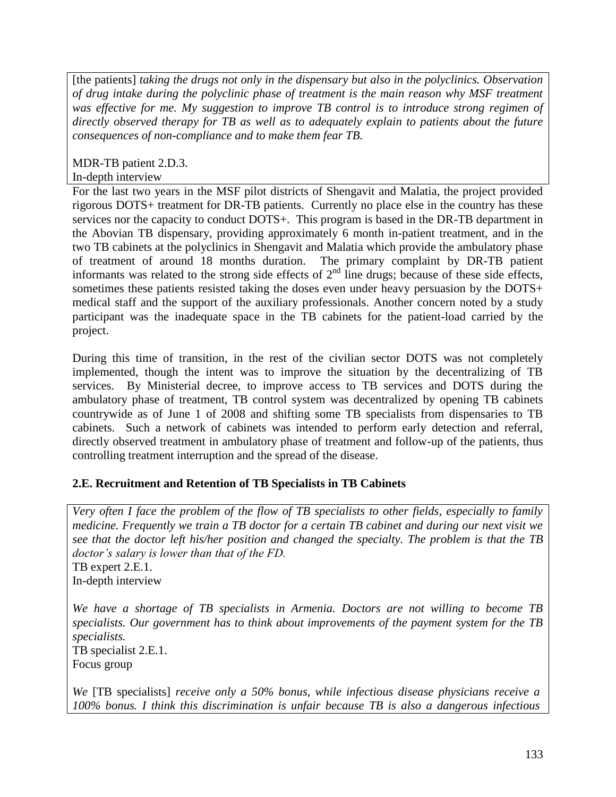[the patients] *taking the drugs not only in the dispensary but also in the polyclinics. Observation of drug intake during the polyclinic phase of treatment is the main reason why MSF treatment was effective for me. My suggestion to improve TB control is to introduce strong regimen of directly observed therapy for TB as well as to adequately explain to patients about the future consequences of non-compliance and to make them fear TB.* 

MDR-TB patient 2.D.3. In-depth interview

For the last two years in the MSF pilot districts of Shengavit and Malatia, the project provided rigorous DOTS+ treatment for DR-TB patients. Currently no place else in the country has these services nor the capacity to conduct DOTS+. This program is based in the DR-TB department in the Abovian TB dispensary, providing approximately 6 month in-patient treatment, and in the two TB cabinets at the polyclinics in Shengavit and Malatia which provide the ambulatory phase of treatment of around 18 months duration. The primary complaint by DR-TB patient informants was related to the strong side effects of  $2<sup>nd</sup>$  line drugs; because of these side effects, sometimes these patients resisted taking the doses even under heavy persuasion by the DOTS+ medical staff and the support of the auxiliary professionals. Another concern noted by a study participant was the inadequate space in the TB cabinets for the patient-load carried by the project.

During this time of transition, in the rest of the civilian sector DOTS was not completely implemented, though the intent was to improve the situation by the decentralizing of TB services. By Ministerial decree, to improve access to TB services and DOTS during the ambulatory phase of treatment, TB control system was decentralized by opening TB cabinets countrywide as of June 1 of 2008 and shifting some TB specialists from dispensaries to TB cabinets. Such a network of cabinets was intended to perform early detection and referral, directly observed treatment in ambulatory phase of treatment and follow-up of the patients, thus controlling treatment interruption and the spread of the disease.

# **2.E. Recruitment and Retention of TB Specialists in TB Cabinets**

*Very often I face the problem of the flow of TB specialists to other fields, especially to family medicine. Frequently we train a TB doctor for a certain TB cabinet and during our next visit we see that the doctor left his/her position and changed the specialty. The problem is that the TB doctor's salary is lower than that of the FD.*  TB expert 2.E.1. In-depth interview

*We have a shortage of TB specialists in Armenia. Doctors are not willing to become TB specialists. Our government has to think about improvements of the payment system for the TB specialists.* 

TB specialist 2.E.1. Focus group

*We* [TB specialists] *receive only a 50% bonus, while infectious disease physicians receive a 100% bonus. I think this discrimination is unfair because TB is also a dangerous infectious*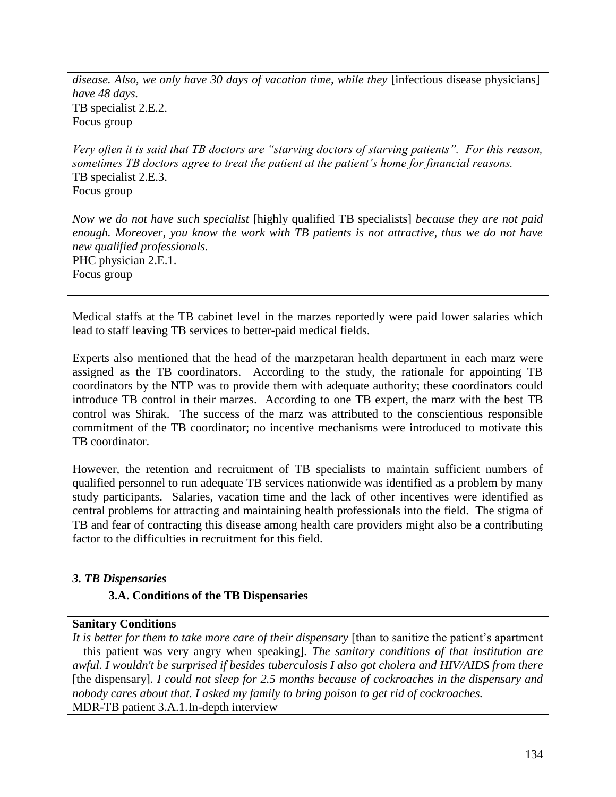*disease. Also, we only have 30 days of vacation time, while they* [infectious disease physicians] *have 48 days.* TB specialist 2.E.2. Focus group

*Very often it is said that TB doctors are "starving doctors of starving patients". For this reason, sometimes TB doctors agree to treat the patient at the patient's home for financial reasons.* TB specialist 2.E.3. Focus group

*Now we do not have such specialist* [highly qualified TB specialists] *because they are not paid enough. Moreover, you know the work with TB patients is not attractive, thus we do not have new qualified professionals.*  PHC physician 2.E.1. Focus group

Medical staffs at the TB cabinet level in the marzes reportedly were paid lower salaries which lead to staff leaving TB services to better-paid medical fields.

Experts also mentioned that the head of the marzpetaran health department in each marz were assigned as the TB coordinators. According to the study, the rationale for appointing TB coordinators by the NTP was to provide them with adequate authority; these coordinators could introduce TB control in their marzes. According to one TB expert, the marz with the best TB control was Shirak. The success of the marz was attributed to the conscientious responsible commitment of the TB coordinator; no incentive mechanisms were introduced to motivate this TB coordinator.

However, the retention and recruitment of TB specialists to maintain sufficient numbers of qualified personnel to run adequate TB services nationwide was identified as a problem by many study participants. Salaries, vacation time and the lack of other incentives were identified as central problems for attracting and maintaining health professionals into the field. The stigma of TB and fear of contracting this disease among health care providers might also be a contributing factor to the difficulties in recruitment for this field.

#### <span id="page-35-0"></span>*3. TB Dispensaries*

#### **3.A. Conditions of the TB Dispensaries**

#### **Sanitary Conditions**

*It is better for them to take more care of their dispensary* [than to sanitize the patient"s apartment – this patient was very angry when speaking]*. The sanitary conditions of that institution are awful. I wouldn't be surprised if besides tuberculosis I also got cholera and HIV/AIDS from there*  [the dispensary]*. I could not sleep for 2.5 months because of cockroaches in the dispensary and nobody cares about that. I asked my family to bring poison to get rid of cockroaches.*  MDR-TB patient 3.A.1.In-depth interview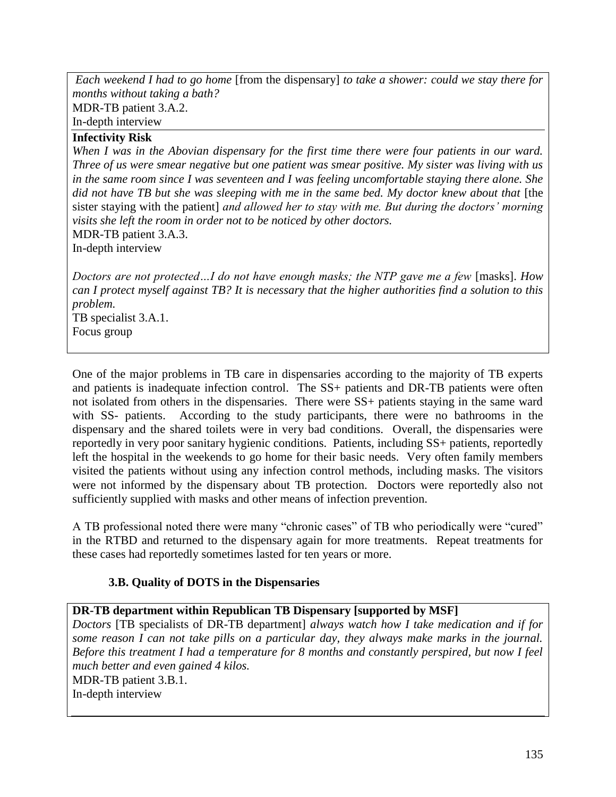*Each weekend I had to go home* [from the dispensary] *to take a shower: could we stay there for months without taking a bath?* MDR-TB patient 3.A.2. In-depth interview

## **Infectivity Risk**

*When I was in the Abovian dispensary for the first time there were four patients in our ward. Three of us were smear negative but one patient was smear positive. My sister was living with us in the same room since I was seventeen and I was feeling uncomfortable staying there alone. She did not have TB but she was sleeping with me in the same bed. My doctor knew about that* [the sister staying with the patient] *and allowed her to stay with me. But during the doctors' morning visits she left the room in order not to be noticed by other doctors.*  MDR-TB patient 3.A.3.

In-depth interview

*Doctors are not protected...I do not have enough masks; the NTP gave me a few* [masks]. *How can I protect myself against TB? It is necessary that the higher authorities find a solution to this problem.* 

TB specialist 3.A.1. Focus group

One of the major problems in TB care in dispensaries according to the majority of TB experts and patients is inadequate infection control. The SS+ patients and DR-TB patients were often not isolated from others in the dispensaries. There were SS+ patients staying in the same ward with SS- patients. According to the study participants, there were no bathrooms in the dispensary and the shared toilets were in very bad conditions. Overall, the dispensaries were reportedly in very poor sanitary hygienic conditions. Patients, including SS+ patients, reportedly left the hospital in the weekends to go home for their basic needs. Very often family members visited the patients without using any infection control methods, including masks. The visitors were not informed by the dispensary about TB protection. Doctors were reportedly also not sufficiently supplied with masks and other means of infection prevention.

A TB professional noted there were many "chronic cases" of TB who periodically were "cured" in the RTBD and returned to the dispensary again for more treatments. Repeat treatments for these cases had reportedly sometimes lasted for ten years or more.

## **3.B. Quality of DOTS in the Dispensaries**

## **DR-TB department within Republican TB Dispensary [supported by MSF]**

*Doctors* [TB specialists of DR-TB department] *always watch how I take medication and if for some reason I can not take pills on a particular day, they always make marks in the journal. Before this treatment I had a temperature for 8 months and constantly perspired, but now I feel much better and even gained 4 kilos.*  MDR-TB patient 3.B.1.

In-depth interview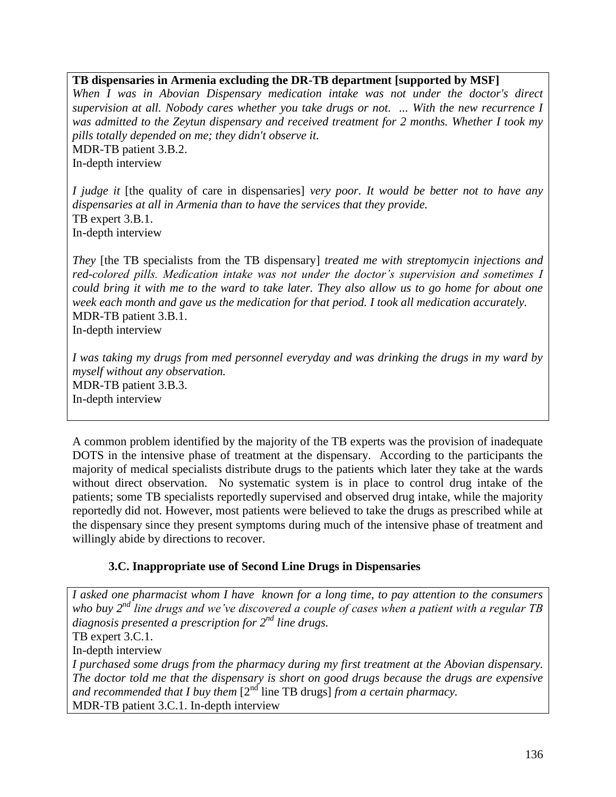## **TB dispensaries in Armenia excluding the DR-TB department [supported by MSF]**

*When I was in Abovian Dispensary medication intake was not under the doctor's direct supervision at all. Nobody cares whether you take drugs or not. ... With the new recurrence I was admitted to the Zeytun dispensary and received treatment for 2 months. Whether I took my pills totally depended on me; they didn't observe it.*  MDR-TB patient 3.B.2.

In-depth interview

*I judge it* [the quality of care in dispensaries] *very poor. It would be better not to have any dispensaries at all in Armenia than to have the services that they provide.*  TB expert 3.B.1. In-depth interview

*They* [the TB specialists from the TB dispensary] *treated me with streptomycin injections and red-colored pills. Medication intake was not under the doctor's supervision and sometimes I could bring it with me to the ward to take later. They also allow us to go home for about one week each month and gave us the medication for that period. I took all medication accurately.*  MDR-TB patient 3.B.1.

In-depth interview

*I was taking my drugs from med personnel everyday and was drinking the drugs in my ward by myself without any observation.*  MDR-TB patient 3.B.3. In-depth interview

A common problem identified by the majority of the TB experts was the provision of inadequate DOTS in the intensive phase of treatment at the dispensary. According to the participants the majority of medical specialists distribute drugs to the patients which later they take at the wards without direct observation. No systematic system is in place to control drug intake of the patients; some TB specialists reportedly supervised and observed drug intake, while the majority reportedly did not. However, most patients were believed to take the drugs as prescribed while at the dispensary since they present symptoms during much of the intensive phase of treatment and willingly abide by directions to recover.

## **3.C. Inappropriate use of Second Line Drugs in Dispensaries**

*I asked one pharmacist whom I have known for a long time, to pay attention to the consumers who buy 2nd line drugs and we've discovered a couple of cases when a patient with a regular TB diagnosis presented a prescription for 2nd line drugs.*  TB expert 3.C.1. In-depth interview *I purchased some drugs from the pharmacy during my first treatment at the Abovian dispensary. The doctor told me that the dispensary is short on good drugs because the drugs are expensive and recommended that I buy them* [2<sup>nd</sup> line TB drugs] *from a certain pharmacy.* MDR-TB patient 3.C.1. In-depth interview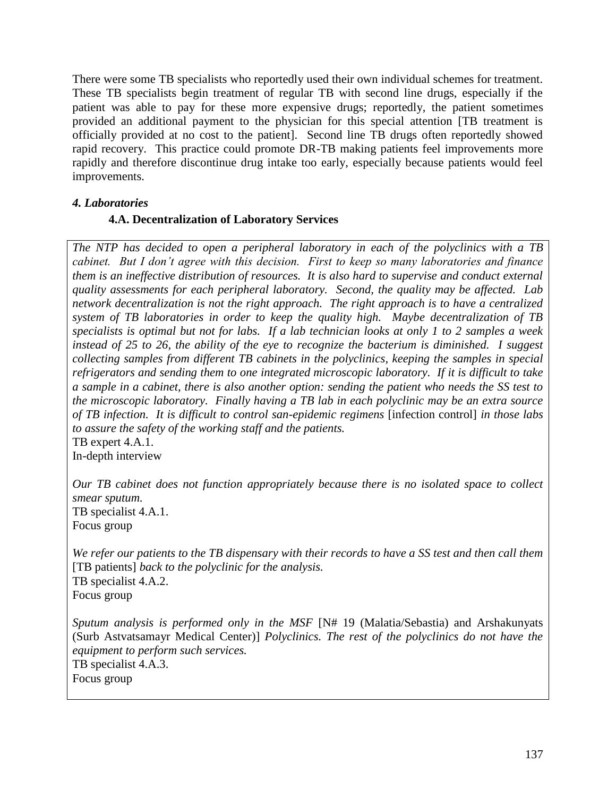There were some TB specialists who reportedly used their own individual schemes for treatment. These TB specialists begin treatment of regular TB with second line drugs, especially if the patient was able to pay for these more expensive drugs; reportedly, the patient sometimes provided an additional payment to the physician for this special attention [TB treatment is officially provided at no cost to the patient]. Second line TB drugs often reportedly showed rapid recovery. This practice could promote DR-TB making patients feel improvements more rapidly and therefore discontinue drug intake too early, especially because patients would feel improvements.

## *4. Laboratories*

## **4.A. Decentralization of Laboratory Services**

*The NTP has decided to open a peripheral laboratory in each of the polyclinics with a TB cabinet. But I don't agree with this decision. First to keep so many laboratories and finance them is an ineffective distribution of resources. It is also hard to supervise and conduct external quality assessments for each peripheral laboratory. Second, the quality may be affected. Lab network decentralization is not the right approach. The right approach is to have a centralized system of TB laboratories in order to keep the quality high. Maybe decentralization of TB specialists is optimal but not for labs. If a lab technician looks at only 1 to 2 samples a week instead of 25 to 26, the ability of the eye to recognize the bacterium is diminished. I suggest collecting samples from different TB cabinets in the polyclinics, keeping the samples in special refrigerators and sending them to one integrated microscopic laboratory. If it is difficult to take a sample in a cabinet, there is also another option: sending the patient who needs the SS test to the microscopic laboratory. Finally having a TB lab in each polyclinic may be an extra source of TB infection. It is difficult to control san-epidemic regimens* [infection control] *in those labs to assure the safety of the working staff and the patients.*  TB expert 4.A.1.

In-depth interview

*Our TB cabinet does not function appropriately because there is no isolated space to collect smear sputum.*  TB specialist 4.A.1. Focus group

*We refer our patients to the TB dispensary with their records to have a SS test and then call them*  [TB patients] *back to the polyclinic for the analysis.*  TB specialist 4.A.2. Focus group

*Sputum analysis is performed only in the MSF* [N# 19 (Malatia/Sebastia) and Arshakunyats (Surb Astvatsamayr Medical Center)] *Polyclinics. The rest of the polyclinics do not have the equipment to perform such services.* 

TB specialist 4.A.3. Focus group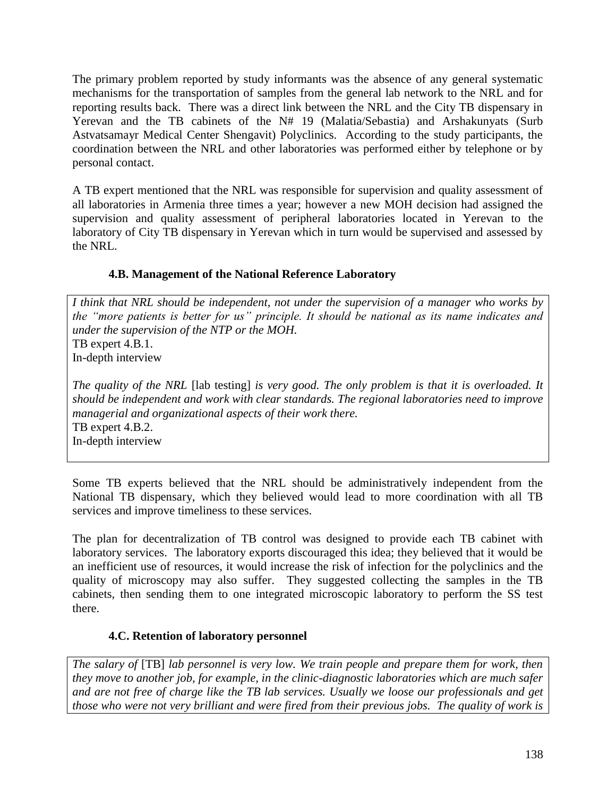The primary problem reported by study informants was the absence of any general systematic mechanisms for the transportation of samples from the general lab network to the NRL and for reporting results back. There was a direct link between the NRL and the City TB dispensary in Yerevan and the TB cabinets of the N# 19 (Malatia/Sebastia) and Arshakunyats (Surb Astvatsamayr Medical Center Shengavit) Polyclinics. According to the study participants, the coordination between the NRL and other laboratories was performed either by telephone or by personal contact.

A TB expert mentioned that the NRL was responsible for supervision and quality assessment of all laboratories in Armenia three times a year; however a new MOH decision had assigned the supervision and quality assessment of peripheral laboratories located in Yerevan to the laboratory of City TB dispensary in Yerevan which in turn would be supervised and assessed by the NRL.

# **4.B. Management of the National Reference Laboratory**

*I think that NRL should be independent, not under the supervision of a manager who works by the "more patients is better for us" principle. It should be national as its name indicates and under the supervision of the NTP or the MOH.*  TB expert 4.B.1. In-depth interview

*The quality of the NRL* [lab testing] *is very good. The only problem is that it is overloaded. It should be independent and work with clear standards. The regional laboratories need to improve managerial and organizational aspects of their work there.*  TB expert 4.B.2. In-depth interview

Some TB experts believed that the NRL should be administratively independent from the National TB dispensary, which they believed would lead to more coordination with all TB services and improve timeliness to these services.

The plan for decentralization of TB control was designed to provide each TB cabinet with laboratory services. The laboratory exports discouraged this idea; they believed that it would be an inefficient use of resources, it would increase the risk of infection for the polyclinics and the quality of microscopy may also suffer. They suggested collecting the samples in the TB cabinets, then sending them to one integrated microscopic laboratory to perform the SS test there.

# **4.C. Retention of laboratory personnel**

*The salary of* [TB] *lab personnel is very low. We train people and prepare them for work, then they move to another job, for example, in the clinic-diagnostic laboratories which are much safer and are not free of charge like the TB lab services. Usually we loose our professionals and get those who were not very brilliant and were fired from their previous jobs. The quality of work is*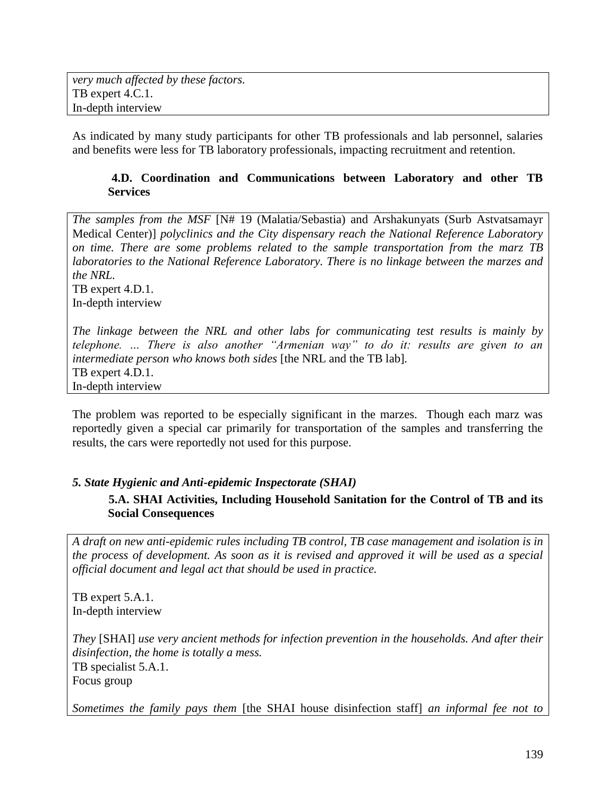As indicated by many study participants for other TB professionals and lab personnel, salaries and benefits were less for TB laboratory professionals, impacting recruitment and retention.

### **4.D. Coordination and Communications between Laboratory and other TB Services**

*The samples from the MSF* [N# 19 (Malatia/Sebastia) and Arshakunyats (Surb Astvatsamayr Medical Center)] *polyclinics and the City dispensary reach the National Reference Laboratory on time. There are some problems related to the sample transportation from the marz TB laboratories to the National Reference Laboratory. There is no linkage between the marzes and the NRL.*  TB expert 4.D.1.

In-depth interview

*The linkage between the NRL and other labs for communicating test results is mainly by telephone. … There is also another "Armenian way" to do it: results are given to an intermediate person who knows both sides* [the NRL and the TB lab]*.*  TB expert 4.D.1. In-depth interview

The problem was reported to be especially significant in the marzes. Though each marz was reportedly given a special car primarily for transportation of the samples and transferring the results, the cars were reportedly not used for this purpose.

## *5. State Hygienic and Anti-epidemic Inspectorate (SHAI)*

**5.A. SHAI Activities, Including Household Sanitation for the Control of TB and its Social Consequences** 

*A draft on new anti-epidemic rules including TB control, TB case management and isolation is in the process of development. As soon as it is revised and approved it will be used as a special official document and legal act that should be used in practice.* 

TB expert 5.A.1. In-depth interview

*They* [SHAI] *use very ancient methods for infection prevention in the households. And after their disinfection, the home is totally a mess.*  TB specialist 5.A.1. Focus group

*Sometimes the family pays them* [the SHAI house disinfection staff] *an informal fee not to*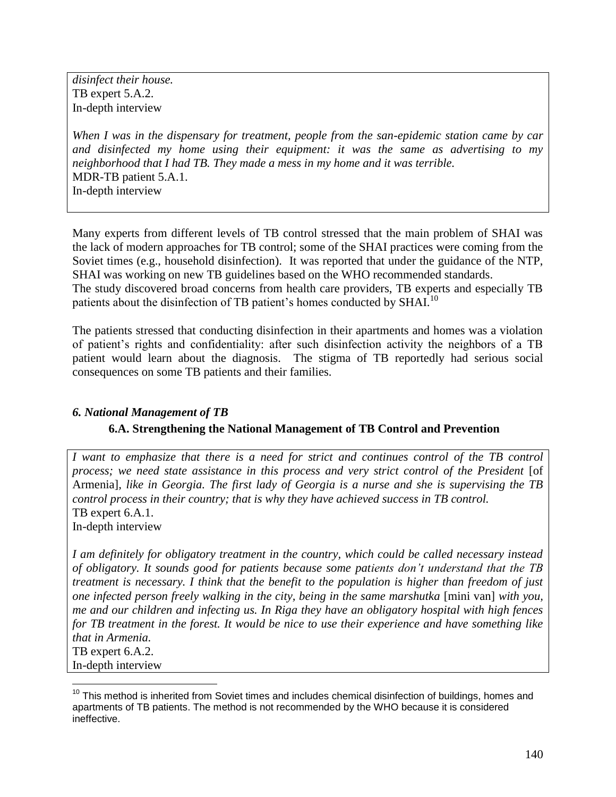*disinfect their house.*  TB expert 5.A.2. In-depth interview

*When I was in the dispensary for treatment, people from the san-epidemic station came by car and disinfected my home using their equipment: it was the same as advertising to my neighborhood that I had TB. They made a mess in my home and it was terrible.*  MDR-TB patient 5.A.1. In-depth interview

Many experts from different levels of TB control stressed that the main problem of SHAI was the lack of modern approaches for TB control; some of the SHAI practices were coming from the Soviet times (e.g., household disinfection). It was reported that under the guidance of the NTP, SHAI was working on new TB guidelines based on the WHO recommended standards.

The study discovered broad concerns from health care providers, TB experts and especially TB patients about the disinfection of TB patient's homes conducted by SHAI.<sup>10</sup>

The patients stressed that conducting disinfection in their apartments and homes was a violation of patient"s rights and confidentiality: after such disinfection activity the neighbors of a TB patient would learn about the diagnosis. The stigma of TB reportedly had serious social consequences on some TB patients and their families.

## *6. National Management of TB*

### **6.A. Strengthening the National Management of TB Control and Prevention**

*I* want to emphasize that there is a need for strict and continues control of the TB control *process; we need state assistance in this process and very strict control of the President* [of Armenia]*, like in Georgia. The first lady of Georgia is a nurse and she is supervising the TB control process in their country; that is why they have achieved success in TB control.*  TB expert  $6.A.1$ .

In-depth interview

*I am definitely for obligatory treatment in the country, which could be called necessary instead of obligatory. It sounds good for patients because some patients don't understand that the TB treatment is necessary. I think that the benefit to the population is higher than freedom of just one infected person freely walking in the city, being in the same marshutka* [mini van] *with you, me and our children and infecting us. In Riga they have an obligatory hospital with high fences for TB treatment in the forest. It would be nice to use their experience and have something like that in Armenia.*  TB expert 6.A.2.

In-depth interview

 $\overline{a}$ 

 $10$  This method is inherited from Soviet times and includes chemical disinfection of buildings, homes and apartments of TB patients. The method is not recommended by the WHO because it is considered ineffective.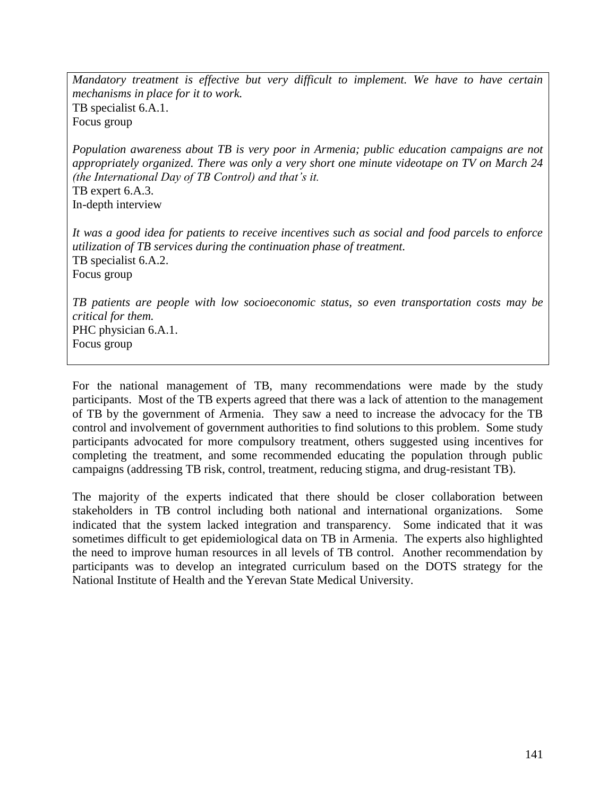*Mandatory treatment is effective but very difficult to implement. We have to have certain mechanisms in place for it to work.* TB specialist 6.A.1. Focus group

*Population awareness about TB is very poor in Armenia; public education campaigns are not appropriately organized. There was only a very short one minute videotape on TV on March 24 (the International Day of TB Control) and that's it.*  TB expert 6.A.3. In-depth interview

*It was a good idea for patients to receive incentives such as social and food parcels to enforce utilization of TB services during the continuation phase of treatment.*  TB specialist 6.A.2. Focus group

*TB patients are people with low socioeconomic status, so even transportation costs may be critical for them.* PHC physician 6.A.1. Focus group

For the national management of TB, many recommendations were made by the study participants. Most of the TB experts agreed that there was a lack of attention to the management of TB by the government of Armenia. They saw a need to increase the advocacy for the TB control and involvement of government authorities to find solutions to this problem. Some study participants advocated for more compulsory treatment, others suggested using incentives for completing the treatment, and some recommended educating the population through public campaigns (addressing TB risk, control, treatment, reducing stigma, and drug-resistant TB).

The majority of the experts indicated that there should be closer collaboration between stakeholders in TB control including both national and international organizations. Some indicated that the system lacked integration and transparency. Some indicated that it was sometimes difficult to get epidemiological data on TB in Armenia. The experts also highlighted the need to improve human resources in all levels of TB control. Another recommendation by participants was to develop an integrated curriculum based on the DOTS strategy for the National Institute of Health and the Yerevan State Medical University.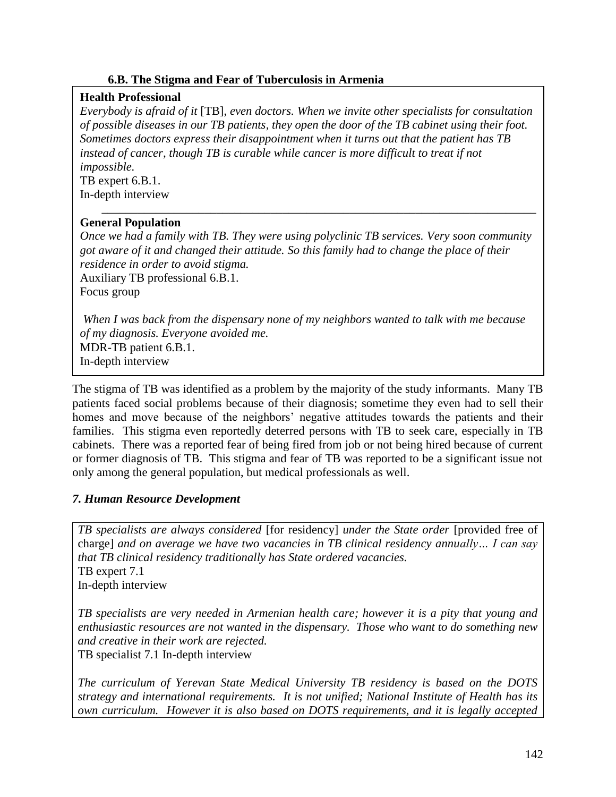## **6.B. The Stigma and Fear of Tuberculosis in Armenia**

## **Health Professional**

*Everybody is afraid of it* [TB], *even doctors. When we invite other specialists for consultation of possible diseases in our TB patients, they open the door of the TB cabinet using their foot. Sometimes doctors express their disappointment when it turns out that the patient has TB instead of cancer, though TB is curable while cancer is more difficult to treat if not impossible.*

TB expert 6.B.1. In-depth interview

## **General Population**

*Once we had a family with TB. They were using polyclinic TB services. Very soon community got aware of it and changed their attitude. So this family had to change the place of their residence in order to avoid stigma.*  Auxiliary TB professional 6.B.1.

\_\_\_\_\_\_\_\_\_\_\_\_\_\_\_\_\_\_\_\_\_\_\_\_\_\_\_\_\_\_\_\_\_\_\_\_\_\_\_\_\_\_\_\_\_\_\_\_\_\_\_\_\_\_\_\_\_\_\_\_\_\_\_\_\_\_\_\_\_\_\_\_

Focus group

*When I was back from the dispensary none of my neighbors wanted to talk with me because of my diagnosis. Everyone avoided me.*  MDR-TB patient 6.B.1. In-depth interview

The stigma of TB was identified as a problem by the majority of the study informants. Many TB patients faced social problems because of their diagnosis; sometime they even had to sell their homes and move because of the neighbors' negative attitudes towards the patients and their families. This stigma even reportedly deterred persons with TB to seek care, especially in TB cabinets. There was a reported fear of being fired from job or not being hired because of current or former diagnosis of TB. This stigma and fear of TB was reported to be a significant issue not only among the general population, but medical professionals as well.

# *7. Human Resource Development*

*TB specialists are always considered* [for residency] *under the State order* [provided free of charge] *and on average we have two vacancies in TB clinical residency annually… I can say that TB clinical residency traditionally has State ordered vacancies.* TB expert 7.1 In-depth interview

*TB specialists are very needed in Armenian health care; however it is a pity that young and enthusiastic resources are not wanted in the dispensary. Those who want to do something new and creative in their work are rejected.*

TB specialist 7.1 In-depth interview

*The curriculum of Yerevan State Medical University TB residency is based on the DOTS strategy and international requirements. It is not unified; National Institute of Health has its own curriculum. However it is also based on DOTS requirements, and it is legally accepted*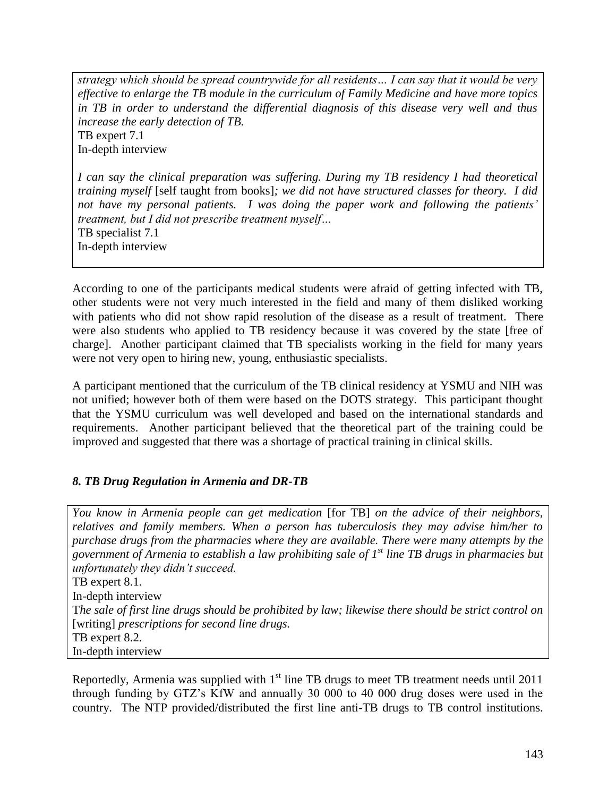*strategy which should be spread countrywide for all residents… I can say that it would be very effective to enlarge the TB module in the curriculum of Family Medicine and have more topics in TB in order to understand the differential diagnosis of this disease very well and thus increase the early detection of TB.*  TB expert 7.1

In-depth interview

*I can say the clinical preparation was suffering. During my TB residency I had theoretical training myself* [self taught from books]*; we did not have structured classes for theory. I did not have my personal patients. I was doing the paper work and following the patients' treatment, but I did not prescribe treatment myself…*  TB specialist 7.1

In-depth interview

According to one of the participants medical students were afraid of getting infected with TB, other students were not very much interested in the field and many of them disliked working with patients who did not show rapid resolution of the disease as a result of treatment. There were also students who applied to TB residency because it was covered by the state [free of charge]. Another participant claimed that TB specialists working in the field for many years were not very open to hiring new, young, enthusiastic specialists.

A participant mentioned that the curriculum of the TB clinical residency at YSMU and NIH was not unified; however both of them were based on the DOTS strategy. This participant thought that the YSMU curriculum was well developed and based on the international standards and requirements. Another participant believed that the theoretical part of the training could be improved and suggested that there was a shortage of practical training in clinical skills.

# *8. TB Drug Regulation in Armenia and DR-TB*

*You know in Armenia people can get medication* [for TB] *on the advice of their neighbors, relatives and family members. When a person has tuberculosis they may advise him/her to purchase drugs from the pharmacies where they are available. There were many attempts by the government of Armenia to establish a law prohibiting sale of 1st line TB drugs in pharmacies but unfortunately they didn't succeed.* TB expert 8.1. In-depth interview T*he sale of first line drugs should be prohibited by law; likewise there should be strict control on*  [writing] *prescriptions for second line drugs.*  TB expert 8.2. In-depth interview

Reportedly, Armenia was supplied with  $1<sup>st</sup>$  line TB drugs to meet TB treatment needs until 2011 through funding by GTZ"s KfW and annually 30 000 to 40 000 drug doses were used in the country. The NTP provided/distributed the first line anti-TB drugs to TB control institutions.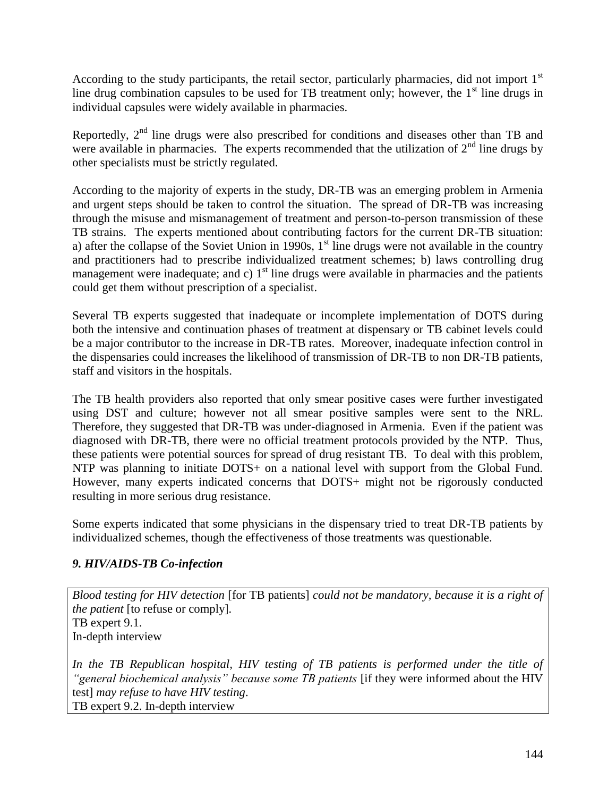According to the study participants, the retail sector, particularly pharmacies, did not import  $1<sup>st</sup>$ line drug combination capsules to be used for TB treatment only; however, the  $1<sup>st</sup>$  line drugs in individual capsules were widely available in pharmacies.

Reportedly,  $2<sup>nd</sup>$  line drugs were also prescribed for conditions and diseases other than TB and were available in pharmacies. The experts recommended that the utilization of  $2<sup>nd</sup>$  line drugs by other specialists must be strictly regulated.

According to the majority of experts in the study, DR-TB was an emerging problem in Armenia and urgent steps should be taken to control the situation. The spread of DR-TB was increasing through the misuse and mismanagement of treatment and person-to-person transmission of these TB strains. The experts mentioned about contributing factors for the current DR-TB situation: a) after the collapse of the Soviet Union in 1990s,  $1<sup>st</sup>$  line drugs were not available in the country and practitioners had to prescribe individualized treatment schemes; b) laws controlling drug management were inadequate; and c)  $1<sup>st</sup>$  line drugs were available in pharmacies and the patients could get them without prescription of a specialist.

Several TB experts suggested that inadequate or incomplete implementation of DOTS during both the intensive and continuation phases of treatment at dispensary or TB cabinet levels could be a major contributor to the increase in DR-TB rates. Moreover, inadequate infection control in the dispensaries could increases the likelihood of transmission of DR-TB to non DR-TB patients, staff and visitors in the hospitals.

The TB health providers also reported that only smear positive cases were further investigated using DST and culture; however not all smear positive samples were sent to the NRL. Therefore, they suggested that DR-TB was under-diagnosed in Armenia. Even if the patient was diagnosed with DR-TB, there were no official treatment protocols provided by the NTP. Thus, these patients were potential sources for spread of drug resistant TB. To deal with this problem, NTP was planning to initiate DOTS+ on a national level with support from the Global Fund. However, many experts indicated concerns that DOTS+ might not be rigorously conducted resulting in more serious drug resistance.

Some experts indicated that some physicians in the dispensary tried to treat DR-TB patients by individualized schemes, though the effectiveness of those treatments was questionable.

## *9. HIV/AIDS-TB Co-infection*

*Blood testing for HIV detection* [for TB patients] *could not be mandatory, because it is a right of the patient* [to refuse or comply]*.*  TB expert 9.1. In-depth interview

*In the TB Republican hospital, HIV testing of TB patients is performed under the title of "general biochemical analysis" because some TB patients* [if they were informed about the HIV test] *may refuse to have HIV testing*. TB expert 9.2. In-depth interview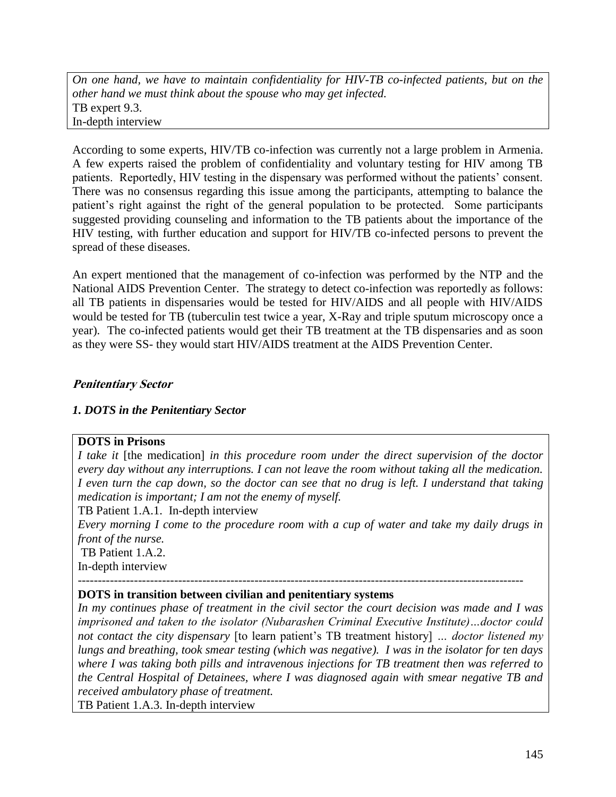*On one hand, we have to maintain confidentiality for HIV-TB co-infected patients, but on the other hand we must think about the spouse who may get infected.* TB expert 9.3. In-depth interview

According to some experts, HIV/TB co-infection was currently not a large problem in Armenia. A few experts raised the problem of confidentiality and voluntary testing for HIV among TB patients. Reportedly, HIV testing in the dispensary was performed without the patients' consent. There was no consensus regarding this issue among the participants, attempting to balance the patient's right against the right of the general population to be protected. Some participants suggested providing counseling and information to the TB patients about the importance of the HIV testing, with further education and support for HIV/TB co-infected persons to prevent the spread of these diseases.

An expert mentioned that the management of co-infection was performed by the NTP and the National AIDS Prevention Center. The strategy to detect co-infection was reportedly as follows: all TB patients in dispensaries would be tested for HIV/AIDS and all people with HIV/AIDS would be tested for TB (tuberculin test twice a year, X-Ray and triple sputum microscopy once a year). The co-infected patients would get their TB treatment at the TB dispensaries and as soon as they were SS- they would start HIV/AIDS treatment at the AIDS Prevention Center.

# **Penitentiary Sector**

## *1. DOTS in the Penitentiary Sector*

### **DOTS in Prisons**

*I take it* [the medication] *in this procedure room under the direct supervision of the doctor every day without any interruptions. I can not leave the room without taking all the medication. I even turn the cap down, so the doctor can see that no drug is left. I understand that taking medication is important; I am not the enemy of myself.*

TB Patient 1.A.1. In-depth interview

*Every morning I come to the procedure room with a cup of water and take my daily drugs in front of the nurse.* 

TB Patient 1.A.2. In-depth interview

#### *---------------------------------------------------------------------------------------------------------------* **DOTS in transition between civilian and penitentiary systems**

*In my continues phase of treatment in the civil sector the court decision was made and I was imprisoned and taken to the isolator (Nubarashen Criminal Executive Institute)…doctor could not contact the city dispensary* [to learn patient"s TB treatment history] *… doctor listened my lungs and breathing, took smear testing (which was negative). I was in the isolator for ten days where I was taking both pills and intravenous injections for TB treatment then was referred to the Central Hospital of Detainees, where I was diagnosed again with smear negative TB and received ambulatory phase of treatment.*

TB Patient 1.A.3. In-depth interview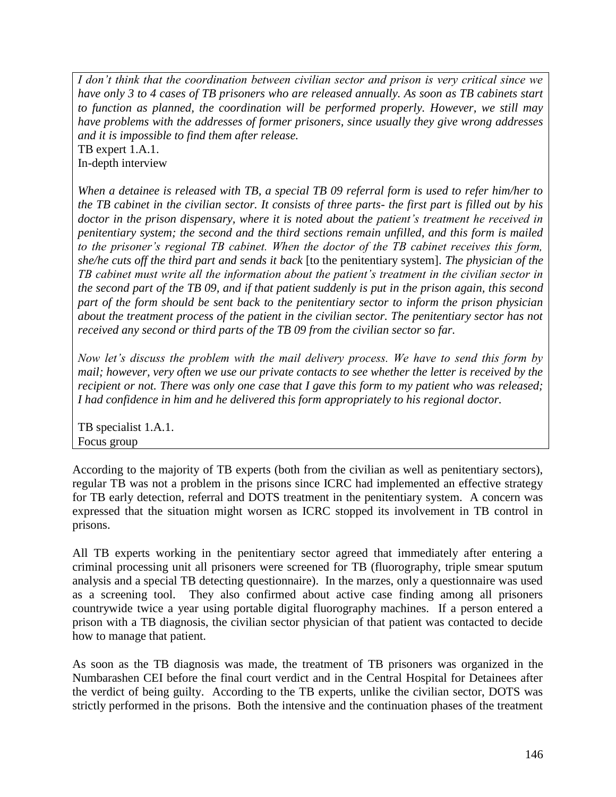*I don't think that the coordination between civilian sector and prison is very critical since we have only 3 to 4 cases of TB prisoners who are released annually. As soon as TB cabinets start to function as planned, the coordination will be performed properly. However, we still may have problems with the addresses of former prisoners, since usually they give wrong addresses and it is impossible to find them after release.* 

TB expert 1.A.1. In-depth interview

*When a detainee is released with TB, a special TB 09 referral form is used to refer him/her to the TB cabinet in the civilian sector. It consists of three parts- the first part is filled out by his doctor in the prison dispensary, where it is noted about the patient's treatment he received in penitentiary system; the second and the third sections remain unfilled, and this form is mailed to the prisoner's regional TB cabinet. When the doctor of the TB cabinet receives this form, she/he cuts off the third part and sends it back* [to the penitentiary system]. *The physician of the TB cabinet must write all the information about the patient's treatment in the civilian sector in the second part of the TB 09, and if that patient suddenly is put in the prison again, this second part of the form should be sent back to the penitentiary sector to inform the prison physician about the treatment process of the patient in the civilian sector. The penitentiary sector has not received any second or third parts of the TB 09 from the civilian sector so far.*

*Now let's discuss the problem with the mail delivery process. We have to send this form by mail; however, very often we use our private contacts to see whether the letter is received by the recipient or not. There was only one case that I gave this form to my patient who was released; I had confidence in him and he delivered this form appropriately to his regional doctor.* 

TB specialist 1.A.1. Focus group

According to the majority of TB experts (both from the civilian as well as penitentiary sectors), regular TB was not a problem in the prisons since ICRC had implemented an effective strategy for TB early detection, referral and DOTS treatment in the penitentiary system. A concern was expressed that the situation might worsen as ICRC stopped its involvement in TB control in prisons.

All TB experts working in the penitentiary sector agreed that immediately after entering a criminal processing unit all prisoners were screened for TB (fluorography, triple smear sputum analysis and a special TB detecting questionnaire). In the marzes, only a questionnaire was used as a screening tool. They also confirmed about active case finding among all prisoners countrywide twice a year using portable digital fluorography machines. If a person entered a prison with a TB diagnosis, the civilian sector physician of that patient was contacted to decide how to manage that patient.

As soon as the TB diagnosis was made, the treatment of TB prisoners was organized in the Numbarashen CEI before the final court verdict and in the Central Hospital for Detainees after the verdict of being guilty. According to the TB experts, unlike the civilian sector, DOTS was strictly performed in the prisons. Both the intensive and the continuation phases of the treatment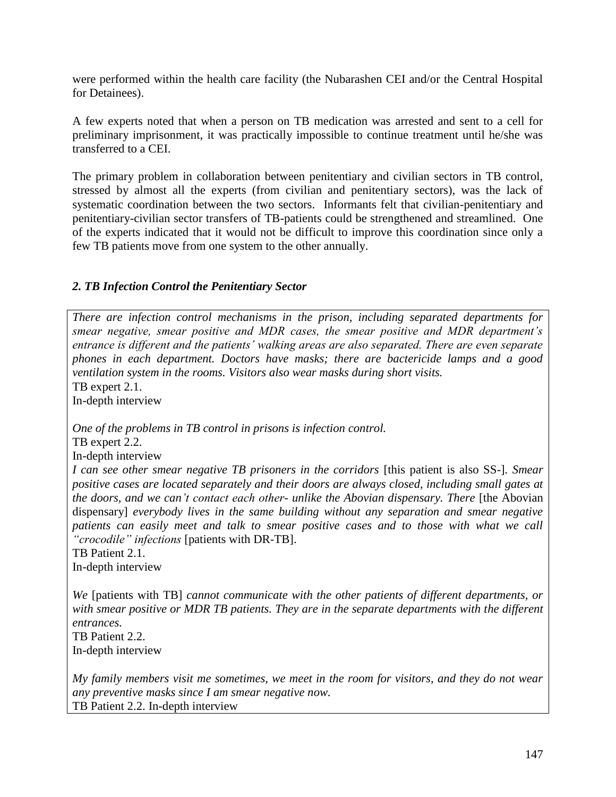were performed within the health care facility (the Nubarashen CEI and/or the Central Hospital for Detainees).

A few experts noted that when a person on TB medication was arrested and sent to a cell for preliminary imprisonment, it was practically impossible to continue treatment until he/she was transferred to a CEI.

The primary problem in collaboration between penitentiary and civilian sectors in TB control, stressed by almost all the experts (from civilian and penitentiary sectors), was the lack of systematic coordination between the two sectors. Informants felt that civilian-penitentiary and penitentiary-civilian sector transfers of TB-patients could be strengthened and streamlined. One of the experts indicated that it would not be difficult to improve this coordination since only a few TB patients move from one system to the other annually.

## *2. TB Infection Control the Penitentiary Sector*

*There are infection control mechanisms in the prison, including separated departments for smear negative, smear positive and MDR cases, the smear positive and MDR department's entrance is different and the patients' walking areas are also separated. There are even separate phones in each department. Doctors have masks; there are bactericide lamps and a good ventilation system in the rooms. Visitors also wear masks during short visits.* TB expert 2.1. In-depth interview *One of the problems in TB control in prisons is infection control.*  TB expert 2.2. In-depth interview *I can see other smear negative TB prisoners in the corridors* [this patient is also SS-]*. Smear positive cases are located separately and their doors are always closed, including small gates at the doors, and we can't contact each other- unlike the Abovian dispensary. There* [the Abovian dispensary] *everybody lives in the same building without any separation and smear negative patients can easily meet and talk to smear positive cases and to those with what we call "crocodile" infections* [patients with DR-TB]. TB Patient 2.1. In-depth interview *We* [patients with TB] *cannot communicate with the other patients of different departments, or with smear positive or MDR TB patients. They are in the separate departments with the different entrances.*

TB Patient 2.2. In-depth interview

*My family members visit me sometimes, we meet in the room for visitors, and they do not wear any preventive masks since I am smear negative now.* TB Patient 2.2. In-depth interview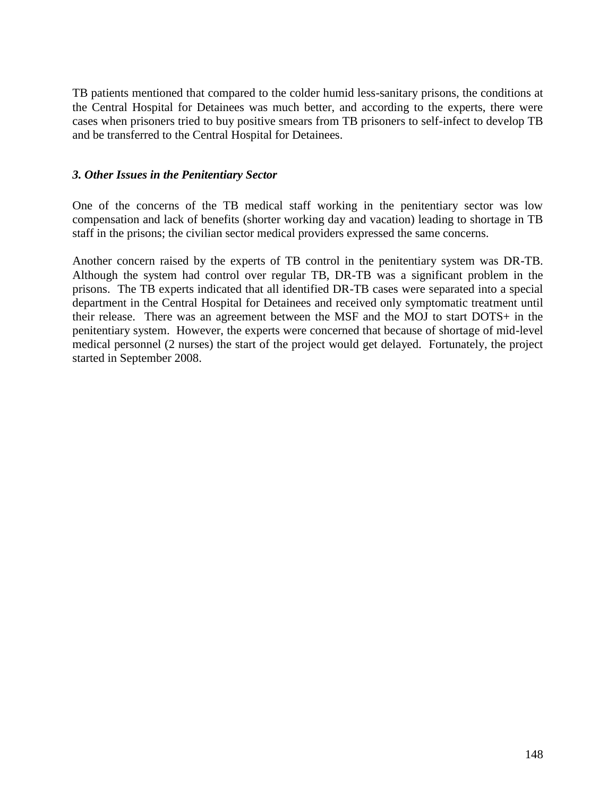TB patients mentioned that compared to the colder humid less-sanitary prisons, the conditions at the Central Hospital for Detainees was much better, and according to the experts, there were cases when prisoners tried to buy positive smears from TB prisoners to self-infect to develop TB and be transferred to the Central Hospital for Detainees.

### *3. Other Issues in the Penitentiary Sector*

One of the concerns of the TB medical staff working in the penitentiary sector was low compensation and lack of benefits (shorter working day and vacation) leading to shortage in TB staff in the prisons; the civilian sector medical providers expressed the same concerns.

Another concern raised by the experts of TB control in the penitentiary system was DR-TB. Although the system had control over regular TB, DR-TB was a significant problem in the prisons. The TB experts indicated that all identified DR-TB cases were separated into a special department in the Central Hospital for Detainees and received only symptomatic treatment until their release. There was an agreement between the MSF and the MOJ to start DOTS+ in the penitentiary system. However, the experts were concerned that because of shortage of mid-level medical personnel (2 nurses) the start of the project would get delayed. Fortunately, the project started in September 2008.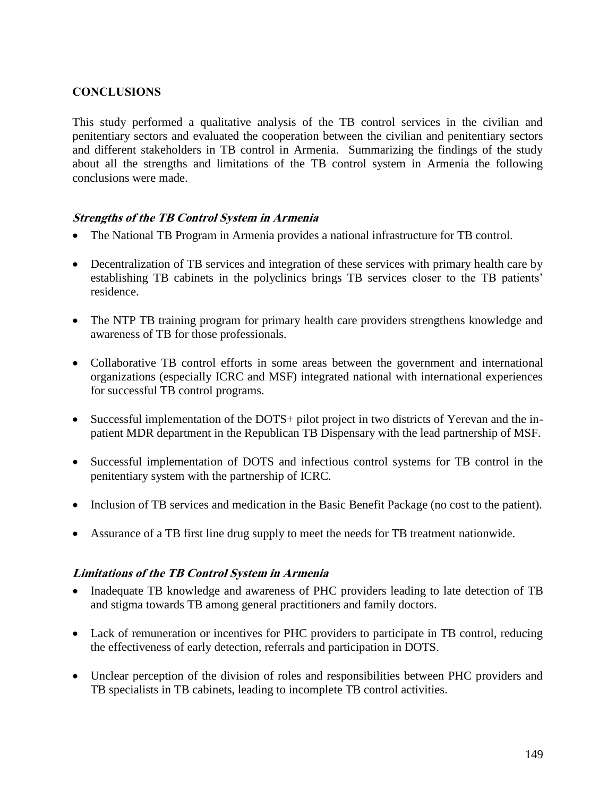## **CONCLUSIONS**

This study performed a qualitative analysis of the TB control services in the civilian and penitentiary sectors and evaluated the cooperation between the civilian and penitentiary sectors and different stakeholders in TB control in Armenia. Summarizing the findings of the study about all the strengths and limitations of the TB control system in Armenia the following conclusions were made.

## **Strengths of the TB Control System in Armenia**

- The National TB Program in Armenia provides a national infrastructure for TB control.
- Decentralization of TB services and integration of these services with primary health care by establishing TB cabinets in the polyclinics brings TB services closer to the TB patients' residence.
- The NTP TB training program for primary health care providers strengthens knowledge and awareness of TB for those professionals.
- Collaborative TB control efforts in some areas between the government and international organizations (especially ICRC and MSF) integrated national with international experiences for successful TB control programs.
- Successful implementation of the DOTS+ pilot project in two districts of Yerevan and the inpatient MDR department in the Republican TB Dispensary with the lead partnership of MSF.
- Successful implementation of DOTS and infectious control systems for TB control in the penitentiary system with the partnership of ICRC.
- Inclusion of TB services and medication in the Basic Benefit Package (no cost to the patient).
- Assurance of a TB first line drug supply to meet the needs for TB treatment nationwide.

### **Limitations of the TB Control System in Armenia**

- Inadequate TB knowledge and awareness of PHC providers leading to late detection of TB and stigma towards TB among general practitioners and family doctors.
- Lack of remuneration or incentives for PHC providers to participate in TB control, reducing the effectiveness of early detection, referrals and participation in DOTS.
- Unclear perception of the division of roles and responsibilities between PHC providers and TB specialists in TB cabinets, leading to incomplete TB control activities.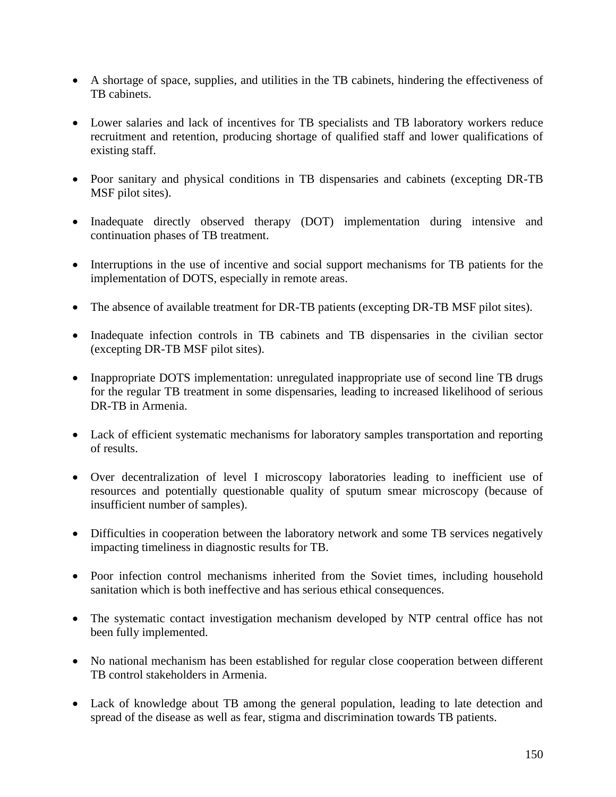- A shortage of space, supplies, and utilities in the TB cabinets, hindering the effectiveness of TB cabinets.
- Lower salaries and lack of incentives for TB specialists and TB laboratory workers reduce recruitment and retention, producing shortage of qualified staff and lower qualifications of existing staff.
- Poor sanitary and physical conditions in TB dispensaries and cabinets (excepting DR-TB MSF pilot sites).
- Inadequate directly observed therapy (DOT) implementation during intensive and continuation phases of TB treatment.
- Interruptions in the use of incentive and social support mechanisms for TB patients for the implementation of DOTS, especially in remote areas.
- The absence of available treatment for DR-TB patients (excepting DR-TB MSF pilot sites).
- Inadequate infection controls in TB cabinets and TB dispensaries in the civilian sector (excepting DR-TB MSF pilot sites).
- Inappropriate DOTS implementation: unregulated inappropriate use of second line TB drugs for the regular TB treatment in some dispensaries, leading to increased likelihood of serious DR-TB in Armenia.
- Lack of efficient systematic mechanisms for laboratory samples transportation and reporting of results.
- Over decentralization of level I microscopy laboratories leading to inefficient use of resources and potentially questionable quality of sputum smear microscopy (because of insufficient number of samples).
- Difficulties in cooperation between the laboratory network and some TB services negatively impacting timeliness in diagnostic results for TB.
- Poor infection control mechanisms inherited from the Soviet times, including household sanitation which is both ineffective and has serious ethical consequences.
- The systematic contact investigation mechanism developed by NTP central office has not been fully implemented.
- No national mechanism has been established for regular close cooperation between different TB control stakeholders in Armenia.
- Lack of knowledge about TB among the general population, leading to late detection and spread of the disease as well as fear, stigma and discrimination towards TB patients.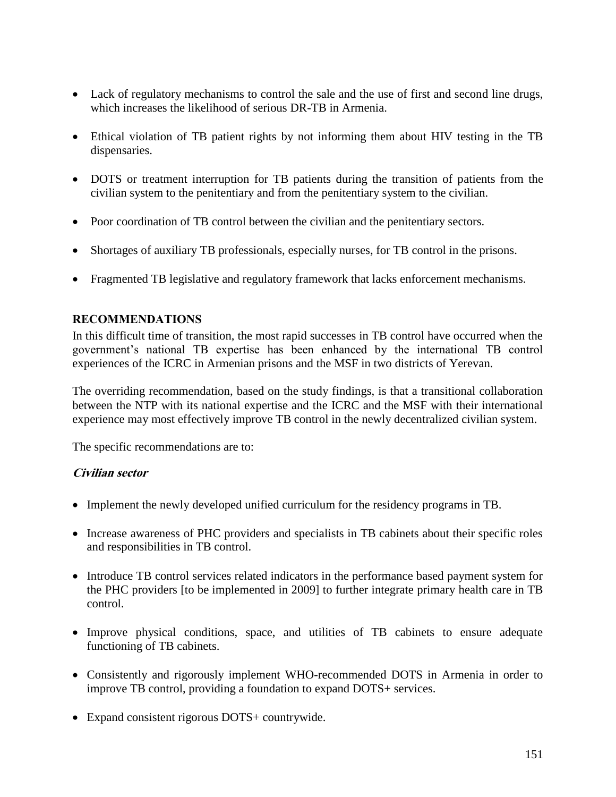- Lack of regulatory mechanisms to control the sale and the use of first and second line drugs, which increases the likelihood of serious DR-TB in Armenia.
- Ethical violation of TB patient rights by not informing them about HIV testing in the TB dispensaries.
- DOTS or treatment interruption for TB patients during the transition of patients from the civilian system to the penitentiary and from the penitentiary system to the civilian.
- Poor coordination of TB control between the civilian and the penitentiary sectors.
- Shortages of auxiliary TB professionals, especially nurses, for TB control in the prisons.
- Fragmented TB legislative and regulatory framework that lacks enforcement mechanisms.

### **RECOMMENDATIONS**

In this difficult time of transition, the most rapid successes in TB control have occurred when the government"s national TB expertise has been enhanced by the international TB control experiences of the ICRC in Armenian prisons and the MSF in two districts of Yerevan.

The overriding recommendation, based on the study findings, is that a transitional collaboration between the NTP with its national expertise and the ICRC and the MSF with their international experience may most effectively improve TB control in the newly decentralized civilian system.

The specific recommendations are to:

## **Civilian sector**

- Implement the newly developed unified curriculum for the residency programs in TB.
- Increase awareness of PHC providers and specialists in TB cabinets about their specific roles and responsibilities in TB control.
- Introduce TB control services related indicators in the performance based payment system for the PHC providers [to be implemented in 2009] to further integrate primary health care in TB control.
- Improve physical conditions, space, and utilities of TB cabinets to ensure adequate functioning of TB cabinets.
- Consistently and rigorously implement WHO-recommended DOTS in Armenia in order to improve TB control, providing a foundation to expand DOTS+ services.
- Expand consistent rigorous DOTS+ countrywide.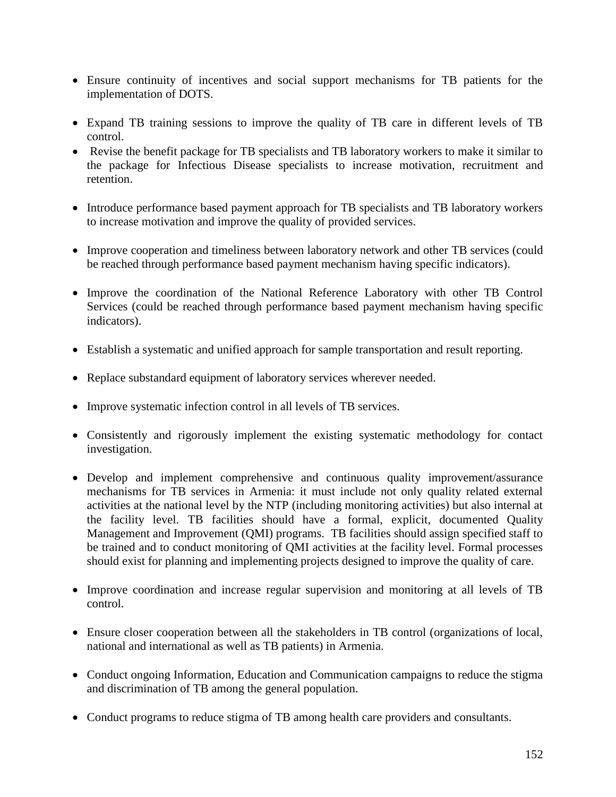- Ensure continuity of incentives and social support mechanisms for TB patients for the implementation of DOTS.
- Expand TB training sessions to improve the quality of TB care in different levels of TB control.
- Revise the benefit package for TB specialists and TB laboratory workers to make it similar to the package for Infectious Disease specialists to increase motivation, recruitment and retention.
- Introduce performance based payment approach for TB specialists and TB laboratory workers to increase motivation and improve the quality of provided services.
- Improve cooperation and timeliness between laboratory network and other TB services (could be reached through performance based payment mechanism having specific indicators).
- Improve the coordination of the National Reference Laboratory with other TB Control Services (could be reached through performance based payment mechanism having specific indicators).
- Establish a systematic and unified approach for sample transportation and result reporting.
- Replace substandard equipment of laboratory services wherever needed.
- Improve systematic infection control in all levels of TB services.
- Consistently and rigorously implement the existing systematic methodology for contact investigation.
- Develop and implement comprehensive and continuous quality improvement/assurance mechanisms for TB services in Armenia: it must include not only quality related external activities at the national level by the NTP (including monitoring activities) but also internal at the facility level. TB facilities should have a formal, explicit, documented Quality Management and Improvement (QMI) programs. TB facilities should assign specified staff to be trained and to conduct monitoring of QMI activities at the facility level. Formal processes should exist for planning and implementing projects designed to improve the quality of care.
- Improve coordination and increase regular supervision and monitoring at all levels of TB control.
- Ensure closer cooperation between all the stakeholders in TB control (organizations of local, national and international as well as TB patients) in Armenia.
- Conduct ongoing Information, Education and Communication campaigns to reduce the stigma and discrimination of TB among the general population.
- Conduct programs to reduce stigma of TB among health care providers and consultants.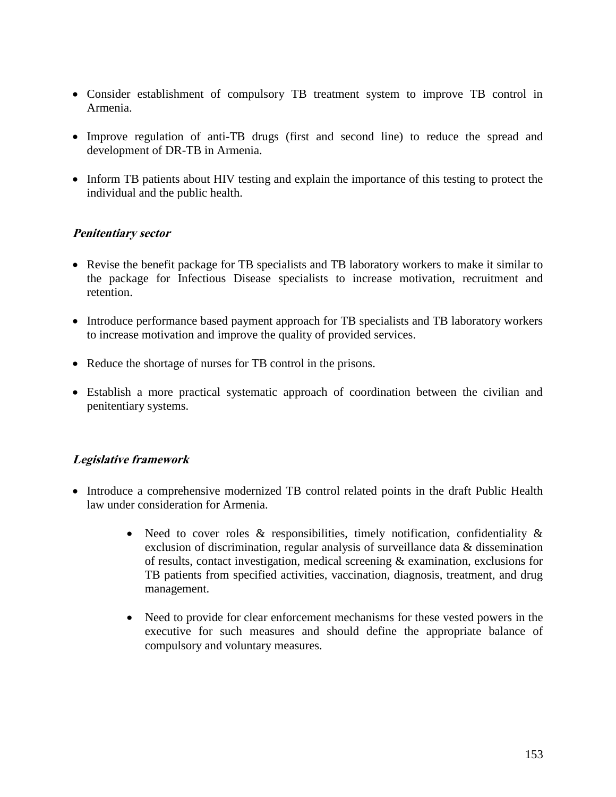- Consider establishment of compulsory TB treatment system to improve TB control in Armenia.
- Improve regulation of anti-TB drugs (first and second line) to reduce the spread and development of DR-TB in Armenia.
- Inform TB patients about HIV testing and explain the importance of this testing to protect the individual and the public health.

## **Penitentiary sector**

- Revise the benefit package for TB specialists and TB laboratory workers to make it similar to the package for Infectious Disease specialists to increase motivation, recruitment and retention.
- Introduce performance based payment approach for TB specialists and TB laboratory workers to increase motivation and improve the quality of provided services.
- Reduce the shortage of nurses for TB control in the prisons.
- Establish a more practical systematic approach of coordination between the civilian and penitentiary systems.

## **Legislative framework**

- Introduce a comprehensive modernized TB control related points in the draft Public Health law under consideration for Armenia.
	- Need to cover roles  $\&$  responsibilities, timely notification, confidentiality  $\&$ exclusion of discrimination, regular analysis of surveillance data & dissemination of results, contact investigation, medical screening & examination, exclusions for TB patients from specified activities, vaccination, diagnosis, treatment, and drug management.
	- Need to provide for clear enforcement mechanisms for these vested powers in the executive for such measures and should define the appropriate balance of compulsory and voluntary measures.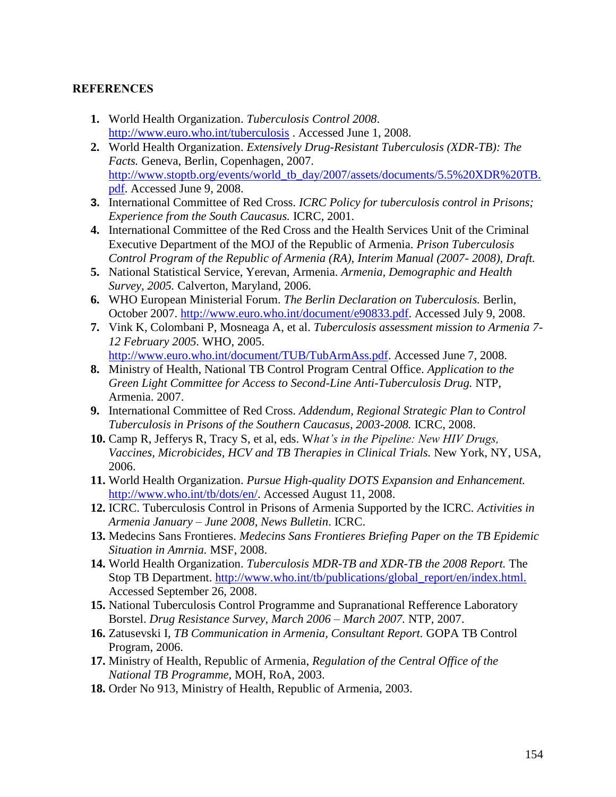## **REFERENCES**

- **1.** World Health Organization. *Tuberculosis Control 2008*. <http://www.euro.who.int/tuberculosis> . Accessed June 1, 2008.
- **2.** World Health Organization. *Extensively Drug-Resistant Tuberculosis (XDR-TB): The Facts.* Geneva, Berlin, Copenhagen, 2007. [http://www.stoptb.org/events/world\\_tb\\_day/2007/assets/documents/5.5%20XDR%20TB.](http://www.stoptb.org/events/world_tb_day/2007/assets/documents/5.5%20XDR%20TB.pdf) [pdf.](http://www.stoptb.org/events/world_tb_day/2007/assets/documents/5.5%20XDR%20TB.pdf) Accessed June 9, 2008.
- **3.** International Committee of Red Cross. *ICRC Policy for tuberculosis control in Prisons; Experience from the South Caucasus.* ICRC, 2001.
- **4.** International Committee of the Red Cross and the Health Services Unit of the Criminal Executive Department of the MOJ of the Republic of Armenia. *Prison Tuberculosis Control Program of the Republic of Armenia (RA), Interim Manual (2007- 2008), Draft.*
- **5.** National Statistical Service, Yerevan, Armenia. *Armenia, Demographic and Health Survey, 2005.* Calverton, Maryland, 2006.
- **6.** WHO European Ministerial Forum. *The Berlin Declaration on Tuberculosis.* Berlin, October 2007. [http://www.euro.who.int/document/e90833.pdf.](http://www.euro.who.int/document/e90833.pdf) Accessed July 9, 2008.
- **7.** Vink K, Colombani P, Mosneaga A, et al. *Tuberculosis assessment mission to Armenia 7- 12 February 2005.* WHO, 2005. [http://www.euro.who.int/document/TUB/TubArmAss.pdf.](http://www.euro.who.int/document/TUB/TubArmAss.pdf) Accessed June 7, 2008.
- **8.** Ministry of Health, National TB Control Program Central Office. *Application to the Green Light Committee for Access to Second-Line Anti-Tuberculosis Drug.* NTP, Armenia. 2007.
- **9.** International Committee of Red Cross. *Addendum, Regional Strategic Plan to Control Tuberculosis in Prisons of the Southern Caucasus, 2003-2008.* ICRC, 2008.
- **10.** Camp R, Jefferys R, Tracy S, et al, eds. W*hat's in the Pipeline: New HIV Drugs, Vaccines, Microbicides, HCV and TB Therapies in Clinical Trials.* New York, NY, USA, 2006.
- **11.** World Health Organization. *Pursue High-quality DOTS Expansion and Enhancement.* [http://www.who.int/tb/dots/en/.](http://www.who.int/tb/dots/en/) Accessed August 11, 2008.
- **12.** ICRC. Tuberculosis Control in Prisons of Armenia Supported by the ICRC. *Activities in Armenia January – June 2008, News Bulletin*. ICRC.
- **13.** Medecins Sans Frontieres. *Medecins Sans Frontieres Briefing Paper on the TB Epidemic Situation in Amrnia.* MSF, 2008.
- **14.** World Health Organization. *Tuberculosis MDR-TB and XDR-TB the 2008 Report.* The Stop TB Department. http://www.who.int/tb/publications/global\_report/en/index.html. Accessed September 26, 2008.
- **15.** National Tuberculosis Control Programme and Supranational Refference Laboratory Borstel. *Drug Resistance Survey, March 2006 – March 2007.* NTP, 2007.
- **16.** Zatusevski I, *TB Communication in Armenia, Consultant Report.* GOPA TB Control Program, 2006.
- **17.** Ministry of Health, Republic of Armenia, *Regulation of the Central Office of the National TB Programme,* MOH, RoA, 2003.
- **18.** Order No 913, Ministry of Health, Republic of Armenia, 2003.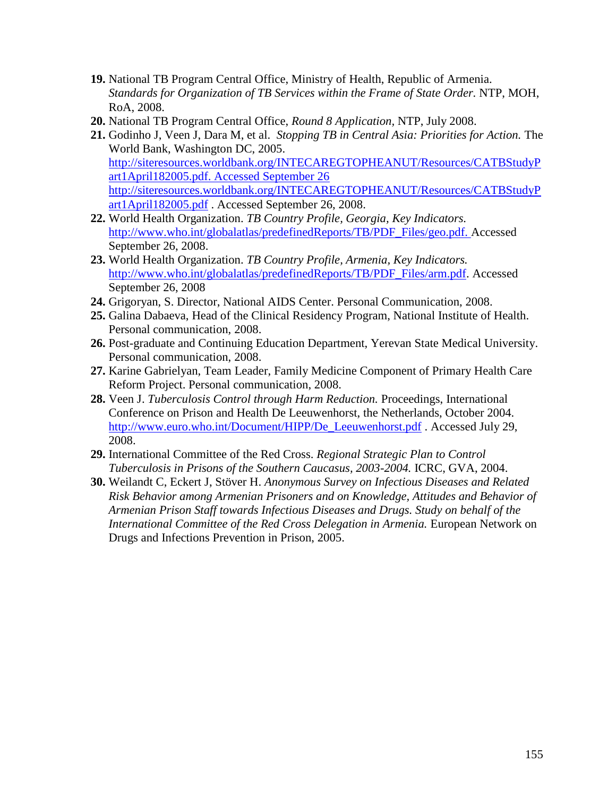- **19.** National TB Program Central Office, Ministry of Health, Republic of Armenia. *Standards for Organization of TB Services within the Frame of State Order.* NTP, MOH, RoA, 2008.
- **20.** National TB Program Central Office, *Round 8 Application,* NTP, July 2008.
- **21.** Godinho J, Veen J, Dara M, et al. *Stopping TB in Central Asia: Priorities for Action.* The World Bank, Washington DC, 2005. [http://siteresources.worldbank.org/INTECAREGTOPHEANUT/Resources/CATBStudyP](http://siteresources.worldbank.org/INTECAREGTOPHEANUT/Resources/CATBStudyPart1April182005.pdf.%20Accessed%20September%2026) [art1April182005.pdf. Accessed September 26](http://siteresources.worldbank.org/INTECAREGTOPHEANUT/Resources/CATBStudyPart1April182005.pdf.%20Accessed%20September%2026) [http://siteresources.worldbank.org/INTECAREGTOPHEANUT/Resources/CATBStudyP](http://siteresources.worldbank.org/INTECAREGTOPHEANUT/Resources/CATBStudyPart1April182005.pdf) [art1April182005.pdf](http://siteresources.worldbank.org/INTECAREGTOPHEANUT/Resources/CATBStudyPart1April182005.pdf) . Accessed September 26, 2008.
- **22.** World Health Organization. *TB Country Profile, Georgia, Key Indicators.*  http://www.who.int/globalatlas/predefinedReports/TB/PDF\_Files/geo.pdf. Accessed September 26, 2008.
- **23.** World Health Organization. *TB Country Profile, Armenia, Key Indicators.*  [http://www.who.int/globalatlas/predefinedReports/TB/PDF\\_Files/arm.pdf.](http://www.who.int/globalatlas/predefinedReports/TB/PDF_Files/arm.pdf) Accessed September 26, 2008
- **24.** Grigoryan, S. Director, National AIDS Center. Personal Communication, 2008.
- **25.** Galina Dabaeva, Head of the Clinical Residency Program, National Institute of Health. Personal communication, 2008.
- **26.** Post-graduate and Continuing Education Department, Yerevan State Medical University. Personal communication, 2008.
- **27.** Karine Gabrielyan, Team Leader, Family Medicine Component of Primary Health Care Reform Project. Personal communication, 2008.
- **28.** Veen J. *Tuberculosis Control through Harm Reduction.* Proceedings, International Conference on Prison and Health De Leeuwenhorst, the Netherlands, October 2004. [http://www.euro.who.int/Document/HIPP/De\\_Leeuwenhorst.pdf](http://www.euro.who.int/Document/HIPP/De_Leeuwenhorst.pdf) . Accessed July 29, 2008.
- **29.** International Committee of the Red Cross. *Regional Strategic Plan to Control Tuberculosis in Prisons of the Southern Caucasus, 2003-2004.* ICRC, GVA, 2004.
- **30.** Weilandt C, Eckert J, Stöver H. *Anonymous Survey on Infectious Diseases and Related Risk Behavior among Armenian Prisoners and on Knowledge, Attitudes and Behavior of Armenian Prison Staff towards Infectious Diseases and Drugs. Study on behalf of the International Committee of the Red Cross Delegation in Armenia.* European Network on Drugs and Infections Prevention in Prison, 2005.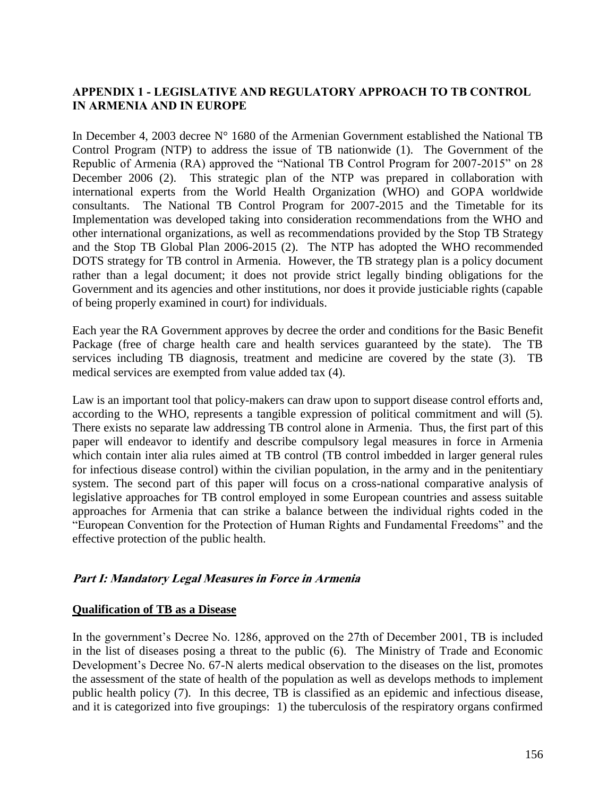## **APPENDIX 1 - LEGISLATIVE AND REGULATORY APPROACH TO TB CONTROL IN ARMENIA AND IN EUROPE**

In December 4, 2003 decree N° 1680 of the Armenian Government established the National TB Control Program (NTP) to address the issue of TB nationwide (1). The Government of the Republic of Armenia (RA) approved the "National TB Control Program for 2007-2015" on 28 December 2006 (2). This strategic plan of the NTP was prepared in collaboration with international experts from the World Health Organization (WHO) and GOPA worldwide consultants. The National TB Control Program for 2007-2015 and the Timetable for its Implementation was developed taking into consideration recommendations from the WHO and other international organizations, as well as recommendations provided by the Stop TB Strategy and the Stop TB Global Plan 2006-2015 (2). The NTP has adopted the WHO recommended DOTS strategy for TB control in Armenia. However, the TB strategy plan is a policy document rather than a legal document; it does not provide strict legally binding obligations for the Government and its agencies and other institutions, nor does it provide justiciable rights (capable of being properly examined in court) for individuals.

Each year the RA Government approves by decree the order and conditions for the Basic Benefit Package (free of charge health care and health services guaranteed by the state). The TB services including TB diagnosis, treatment and medicine are covered by the state (3). TB medical services are exempted from value added tax (4).

Law is an important tool that policy-makers can draw upon to support disease control efforts and, according to the WHO, represents a tangible expression of political commitment and will (5). There exists no separate law addressing TB control alone in Armenia. Thus, the first part of this paper will endeavor to identify and describe compulsory legal measures in force in Armenia which contain inter alia rules aimed at TB control (TB control imbedded in larger general rules for infectious disease control) within the civilian population, in the army and in the penitentiary system. The second part of this paper will focus on a cross-national comparative analysis of legislative approaches for TB control employed in some European countries and assess suitable approaches for Armenia that can strike a balance between the individual rights coded in the "European Convention for the Protection of Human Rights and Fundamental Freedoms" and the effective protection of the public health.

## **Part I: Mandatory Legal Measures in Force in Armenia**

### **Qualification of TB as a Disease**

In the government's Decree No. 1286, approved on the 27th of December 2001, TB is included in the list of diseases posing a threat to the public (6). The Ministry of Trade and Economic Development's Decree No. 67-N alerts medical observation to the diseases on the list, promotes the assessment of the state of health of the population as well as develops methods to implement public health policy (7). In this decree, TB is classified as an epidemic and infectious disease, and it is categorized into five groupings: 1) the tuberculosis of the respiratory organs confirmed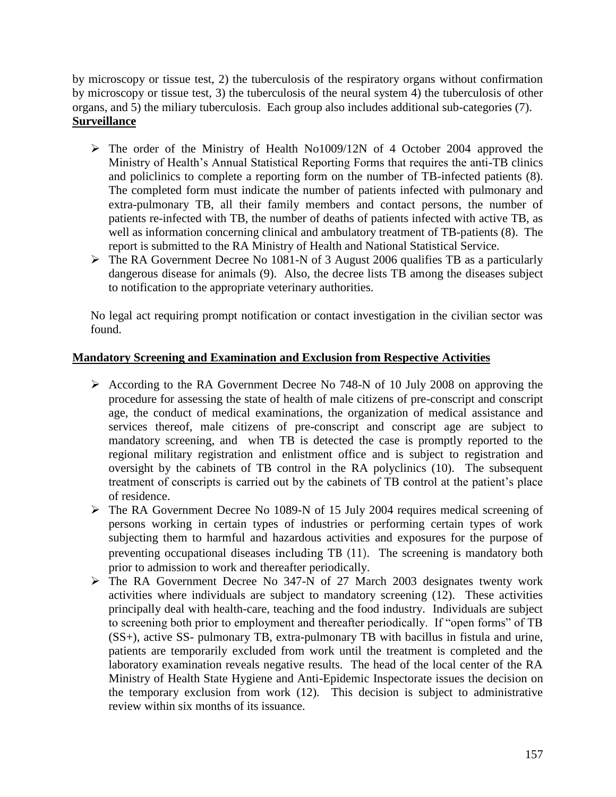by microscopy or tissue test, 2) the tuberculosis of the respiratory organs without confirmation by microscopy or tissue test, 3) the tuberculosis of the neural system  $\ddot{4}$ ) the tuberculosis of other organs, and 5) the miliary tuberculosis. Each group also includes additional sub-categories (7). **Surveillance**

- The order of the Ministry of Health No1009/12N of 4 October 2004 approved the Ministry of Health"s Annual Statistical Reporting Forms that requires the anti-TB clinics and policlinics to complete a reporting form on the number of TB-infected patients (8). The completed form must indicate the number of patients infected with pulmonary and extra-pulmonary TB, all their family members and contact persons, the number of patients re-infected with TB, the number of deaths of patients infected with active TB, as well as information concerning clinical and ambulatory treatment of TB-patients (8). The report is submitted to the RA Ministry of Health and National Statistical Service.
- The RA Government Decree No 1081-N of 3 August 2006 qualifies TB as a particularly dangerous disease for animals (9). Also, the decree lists TB among the diseases subject to notification to the appropriate veterinary authorities.

No legal act requiring prompt notification or contact investigation in the civilian sector was found.

## **Mandatory Screening and Examination and Exclusion from Respective Activities**

- According to the RA Government Decree No 748-N of 10 July 2008 on approving the procedure for assessing the state of health of male citizens of pre-conscript and conscript age, the conduct of medical examinations, the organization of medical assistance and services thereof, male citizens of pre-conscript and conscript age are subject to mandatory screening, and when TB is detected the case is promptly reported to the regional military registration and enlistment office and is subject to registration and oversight by the cabinets of TB control in the RA polyclinics (10). The subsequent treatment of conscripts is carried out by the cabinets of TB control at the patient"s place of residence.
- The RA Government Decree No 1089-N of 15 July 2004 requires medical screening of persons working in certain types of industries or performing certain types of work subjecting them to harmful and hazardous activities and exposures for the purpose of preventing occupational diseases including TB (11). The screening is mandatory both prior to admission to work and thereafter periodically.
- The RA Government Decree No 347-N of 27 March 2003 designates twenty work activities where individuals are subject to mandatory screening (12). These activities principally deal with health-care, teaching and the food industry. Individuals are subject to screening both prior to employment and thereafter periodically. If "open forms" of TB (SS+), active SS- pulmonary TB, extra-pulmonary TB with bacillus in fistula and urine, patients are temporarily excluded from work until the treatment is completed and the laboratory examination reveals negative results. The head of the local center of the RA Ministry of Health State Hygiene and Anti-Epidemic Inspectorate issues the decision on the temporary exclusion from work (12). This decision is subject to administrative review within six months of its issuance.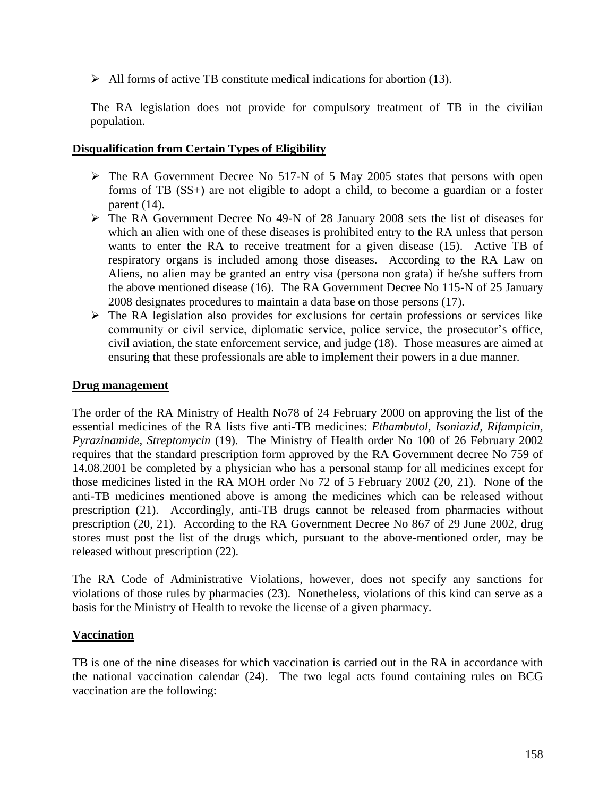$\triangleright$  All forms of active TB constitute medical indications for abortion (13).

The RA legislation does not provide for compulsory treatment of TB in the civilian population.

### **Disqualification from Certain Types of Eligibility**

- The RA Government Decree No 517-N of 5 May 2005 states that persons with open forms of TB (SS+) are not eligible to adopt a child, to become a guardian or a foster parent (14).
- The RA Government Decree No 49-N of 28 January 2008 sets the list of diseases for which an alien with one of these diseases is prohibited entry to the RA unless that person wants to enter the RA to receive treatment for a given disease (15). Active TB of respiratory organs is included among those diseases. According to the RA Law on Aliens, no alien may be granted an entry visa (persona non grata) if he/she suffers from the above mentioned disease (16). The RA Government Decree No 115-N of 25 January 2008 designates procedures to maintain a data base on those persons (17).
- $\triangleright$  The RA legislation also provides for exclusions for certain professions or services like community or civil service, diplomatic service, police service, the prosecutor's office, civil aviation, the state enforcement service, and judge (18). Those measures are aimed at ensuring that these professionals are able to implement their powers in a due manner.

### **Drug management**

The order of the RA Ministry of Health No78 of 24 February 2000 on approving the list of the essential medicines of the RA lists five anti-TB medicines: *Ethambutol, Isoniazid, Rifampicin, Pyrazinamide, Streptomycin* (19). The Ministry of Health order No 100 of 26 February 2002 requires that the standard prescription form approved by the RA Government decree No 759 of 14.08.2001 be completed by a physician who has a personal stamp for all medicines except for those medicines listed in the RA MOH order No 72 of 5 February 2002 (20, 21). None of the anti-TB medicines mentioned above is among the medicines which can be released without prescription (21). Accordingly, anti-TB drugs cannot be released from pharmacies without prescription (20, 21). According to the RA Government Decree No 867 of 29 June 2002, drug stores must post the list of the drugs which, pursuant to the above-mentioned order, may be released without prescription (22).

The RA Code of Administrative Violations, however, does not specify any sanctions for violations of those rules by pharmacies (23). Nonetheless, violations of this kind can serve as a basis for the Ministry of Health to revoke the license of a given pharmacy.

### **Vaccination**

TB is one of the nine diseases for which vaccination is carried out in the RA in accordance with the national vaccination calendar (24). The two legal acts found containing rules on BCG vaccination are the following: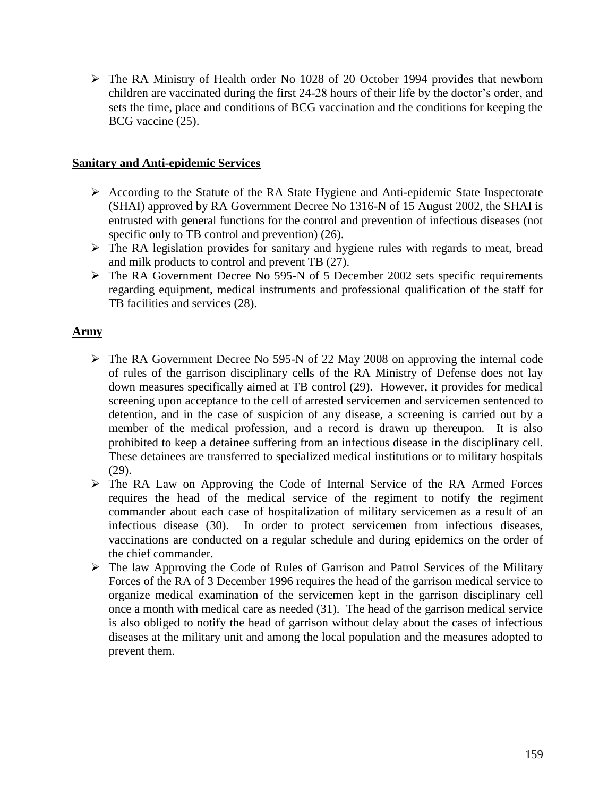The RA Ministry of Health order No 1028 of 20 October 1994 provides that newborn children are vaccinated during the first 24-28 hours of their life by the doctor's order, and sets the time, place and conditions of BCG vaccination and the conditions for keeping the BCG vaccine (25).

### **Sanitary and Anti-epidemic Services**

- According to the Statute of the RA State Hygiene and Anti-epidemic State Inspectorate (SHAI) approved by RA Government Decree No 1316-N of 15 August 2002, the SHAI is entrusted with general functions for the control and prevention of infectious diseases (not specific only to TB control and prevention) (26).
- $\triangleright$  The RA legislation provides for sanitary and hygiene rules with regards to meat, bread and milk products to control and prevent TB (27).
- The RA Government Decree No 595-N of 5 December 2002 sets specific requirements regarding equipment, medical instruments and professional qualification of the staff for TB facilities and services (28).

### **Army**

- The RA Government Decree No 595-N of 22 May 2008 on approving the internal code of rules of the garrison disciplinary cells of the RA Ministry of Defense does not lay down measures specifically aimed at TB control (29). However, it provides for medical screening upon acceptance to the cell of arrested servicemen and servicemen sentenced to detention, and in the case of suspicion of any disease, a screening is carried out by a member of the medical profession, and a record is drawn up thereupon. It is also prohibited to keep a detainee suffering from an infectious disease in the disciplinary cell. These detainees are transferred to specialized medical institutions or to military hospitals (29).
- The RA Law on Approving the Code of Internal Service of the RA Armed Forces requires the head of the medical service of the regiment to notify the regiment commander about each case of hospitalization of military servicemen as a result of an infectious disease (30). In order to protect servicemen from infectious diseases, vaccinations are conducted on a regular schedule and during epidemics on the order of the chief commander.
- $\triangleright$  The law Approving the Code of Rules of Garrison and Patrol Services of the Military Forces of the RA of 3 December 1996 requires the head of the garrison medical service to organize medical examination of the servicemen kept in the garrison disciplinary cell once a month with medical care as needed (31). The head of the garrison medical service is also obliged to notify the head of garrison without delay about the cases of infectious diseases at the military unit and among the local population and the measures adopted to prevent them.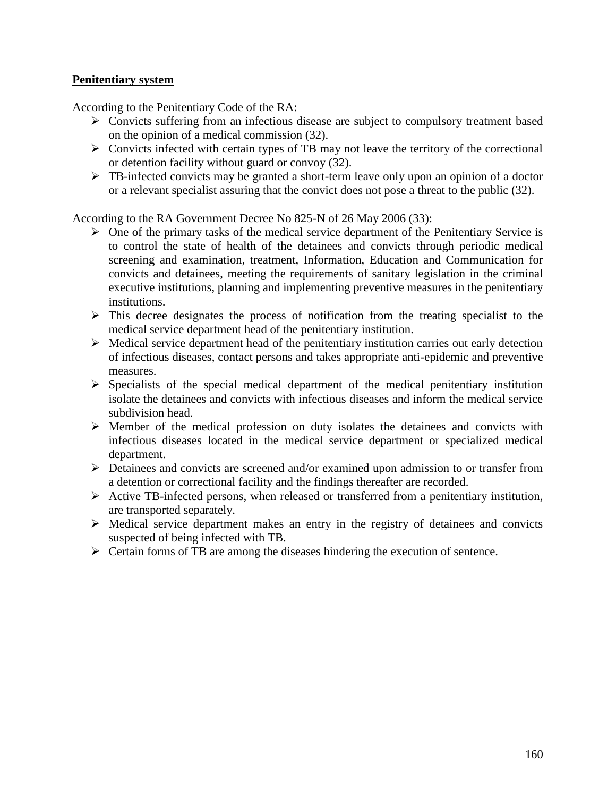### **Penitentiary system**

According to the Penitentiary Code of the RA:

- Convicts suffering from an infectious disease are subject to compulsory treatment based on the opinion of a medical commission (32).
- $\triangleright$  Convicts infected with certain types of TB may not leave the territory of the correctional or detention facility without guard or convoy (32).
- $\triangleright$  TB-infected convicts may be granted a short-term leave only upon an opinion of a doctor or a relevant specialist assuring that the convict does not pose a threat to the public (32).

According to the RA Government Decree No 825-N of 26 May 2006 (33):

- $\triangleright$  One of the primary tasks of the medical service department of the Penitentiary Service is to control the state of health of the detainees and convicts through periodic medical screening and examination, treatment, Information, Education and Communication for convicts and detainees, meeting the requirements of sanitary legislation in the criminal executive institutions, planning and implementing preventive measures in the penitentiary institutions.
- $\triangleright$  This decree designates the process of notification from the treating specialist to the medical service department head of the penitentiary institution.
- $\triangleright$  Medical service department head of the penitentiary institution carries out early detection of infectious diseases, contact persons and takes appropriate anti-epidemic and preventive measures.
- $\triangleright$  Specialists of the special medical department of the medical penitentiary institution isolate the detainees and convicts with infectious diseases and inform the medical service subdivision head.
- $\triangleright$  Member of the medical profession on duty isolates the detainees and convicts with infectious diseases located in the medical service department or specialized medical department.
- $\triangleright$  Detainees and convicts are screened and/or examined upon admission to or transfer from a detention or correctional facility and the findings thereafter are recorded.
- Active TB-infected persons, when released or transferred from a penitentiary institution, are transported separately.
- $\triangleright$  Medical service department makes an entry in the registry of detainees and convicts suspected of being infected with TB.
- $\triangleright$  Certain forms of TB are among the diseases hindering the execution of sentence.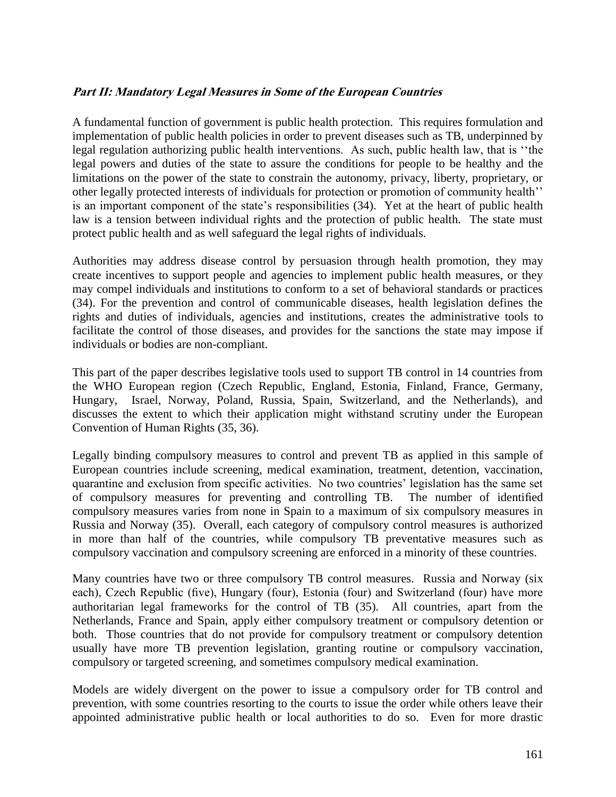## **Part II: Mandatory Legal Measures in Some of the European Countries**

A fundamental function of government is public health protection. This requires formulation and implementation of public health policies in order to prevent diseases such as TB, underpinned by legal regulation authorizing public health interventions. As such, public health law, that is ""the legal powers and duties of the state to assure the conditions for people to be healthy and the limitations on the power of the state to constrain the autonomy, privacy, liberty, proprietary, or other legally protected interests of individuals for protection or promotion of community health"" is an important component of the state's responsibilities (34). Yet at the heart of public health law is a tension between individual rights and the protection of public health. The state must protect public health and as well safeguard the legal rights of individuals.

Authorities may address disease control by persuasion through health promotion, they may create incentives to support people and agencies to implement public health measures, or they may compel individuals and institutions to conform to a set of behavioral standards or practices (34). For the prevention and control of communicable diseases, health legislation defines the rights and duties of individuals, agencies and institutions, creates the administrative tools to facilitate the control of those diseases, and provides for the sanctions the state may impose if individuals or bodies are non-compliant.

This part of the paper describes legislative tools used to support TB control in 14 countries from the WHO European region (Czech Republic, England, Estonia, Finland, France, Germany, Hungary, Israel, Norway, Poland, Russia, Spain, Switzerland, and the Netherlands), and discusses the extent to which their application might withstand scrutiny under the European Convention of Human Rights (35, 36).

Legally binding compulsory measures to control and prevent TB as applied in this sample of European countries include screening, medical examination, treatment, detention, vaccination, quarantine and exclusion from specific activities. No two countries" legislation has the same set of compulsory measures for preventing and controlling TB. The number of identified compulsory measures varies from none in Spain to a maximum of six compulsory measures in Russia and Norway (35). Overall, each category of compulsory control measures is authorized in more than half of the countries, while compulsory TB preventative measures such as compulsory vaccination and compulsory screening are enforced in a minority of these countries.

Many countries have two or three compulsory TB control measures. Russia and Norway (six each), Czech Republic (five), Hungary (four), Estonia (four) and Switzerland (four) have more authoritarian legal frameworks for the control of TB (35). All countries, apart from the Netherlands, France and Spain, apply either compulsory treatment or compulsory detention or both. Those countries that do not provide for compulsory treatment or compulsory detention usually have more TB prevention legislation, granting routine or compulsory vaccination, compulsory or targeted screening, and sometimes compulsory medical examination.

Models are widely divergent on the power to issue a compulsory order for TB control and prevention, with some countries resorting to the courts to issue the order while others leave their appointed administrative public health or local authorities to do so. Even for more drastic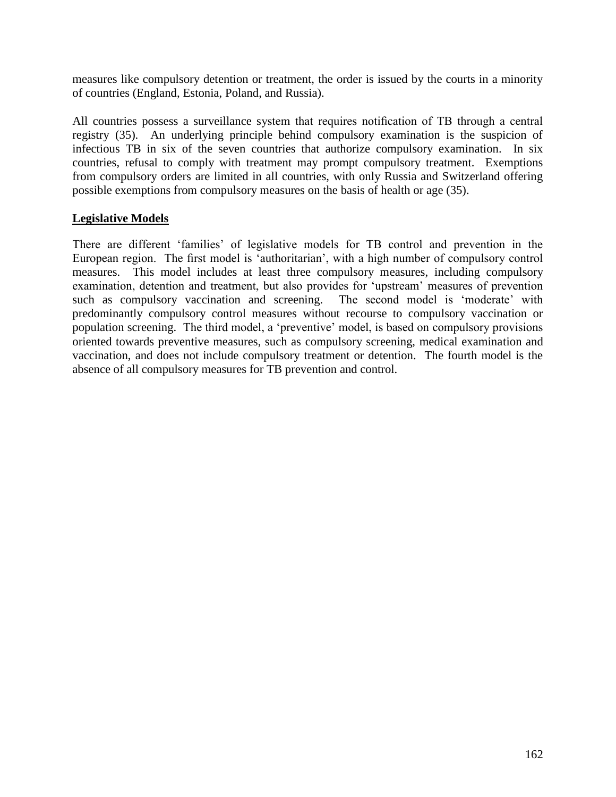measures like compulsory detention or treatment, the order is issued by the courts in a minority of countries (England, Estonia, Poland, and Russia).

All countries possess a surveillance system that requires notification of TB through a central registry (35). An underlying principle behind compulsory examination is the suspicion of infectious TB in six of the seven countries that authorize compulsory examination. In six countries, refusal to comply with treatment may prompt compulsory treatment. Exemptions from compulsory orders are limited in all countries, with only Russia and Switzerland offering possible exemptions from compulsory measures on the basis of health or age (35).

## **Legislative Models**

There are different "families" of legislative models for TB control and prevention in the European region. The first model is 'authoritarian', with a high number of compulsory control measures. This model includes at least three compulsory measures, including compulsory examination, detention and treatment, but also provides for "upstream" measures of prevention such as compulsory vaccination and screening. The second model is 'moderate' with predominantly compulsory control measures without recourse to compulsory vaccination or population screening. The third model, a 'preventive' model, is based on compulsory provisions oriented towards preventive measures, such as compulsory screening, medical examination and vaccination, and does not include compulsory treatment or detention. The fourth model is the absence of all compulsory measures for TB prevention and control.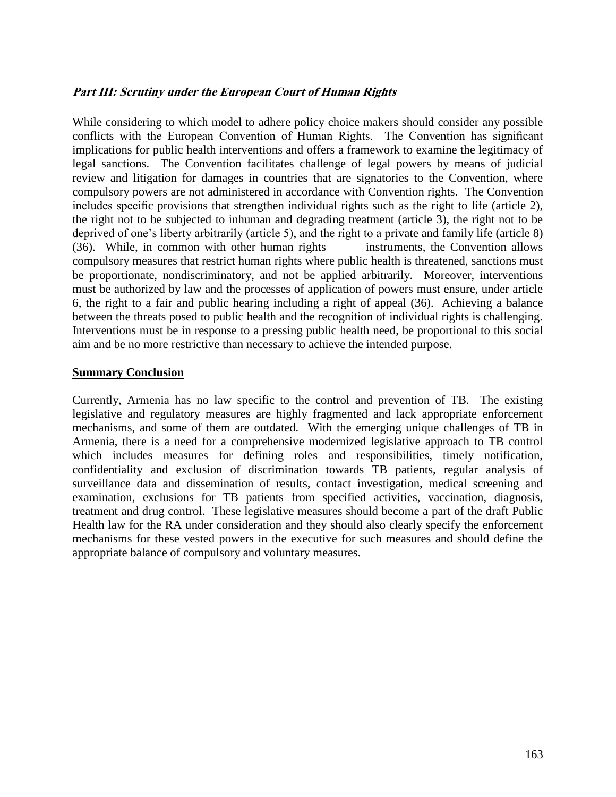## **Part III: Scrutiny under the European Court of Human Rights**

While considering to which model to adhere policy choice makers should consider any possible conflicts with the European Convention of Human Rights. The Convention has significant implications for public health interventions and offers a framework to examine the legitimacy of legal sanctions. The Convention facilitates challenge of legal powers by means of judicial review and litigation for damages in countries that are signatories to the Convention, where compulsory powers are not administered in accordance with Convention rights. The Convention includes specific provisions that strengthen individual rights such as the right to life (article 2), the right not to be subjected to inhuman and degrading treatment (article 3), the right not to be deprived of one's liberty arbitrarily (article 5), and the right to a private and family life (article 8) (36). While, in common with other human rights instruments, the Convention allows compulsory measures that restrict human rights where public health is threatened, sanctions must be proportionate, nondiscriminatory, and not be applied arbitrarily. Moreover, interventions must be authorized by law and the processes of application of powers must ensure, under article 6, the right to a fair and public hearing including a right of appeal (36). Achieving a balance between the threats posed to public health and the recognition of individual rights is challenging. Interventions must be in response to a pressing public health need, be proportional to this social aim and be no more restrictive than necessary to achieve the intended purpose.

#### **Summary Conclusion**

Currently, Armenia has no law specific to the control and prevention of TB. The existing legislative and regulatory measures are highly fragmented and lack appropriate enforcement mechanisms, and some of them are outdated. With the emerging unique challenges of TB in Armenia, there is a need for a comprehensive modernized legislative approach to TB control which includes measures for defining roles and responsibilities, timely notification, confidentiality and exclusion of discrimination towards TB patients, regular analysis of surveillance data and dissemination of results, contact investigation, medical screening and examination, exclusions for TB patients from specified activities, vaccination, diagnosis, treatment and drug control. These legislative measures should become a part of the draft Public Health law for the RA under consideration and they should also clearly specify the enforcement mechanisms for these vested powers in the executive for such measures and should define the appropriate balance of compulsory and voluntary measures.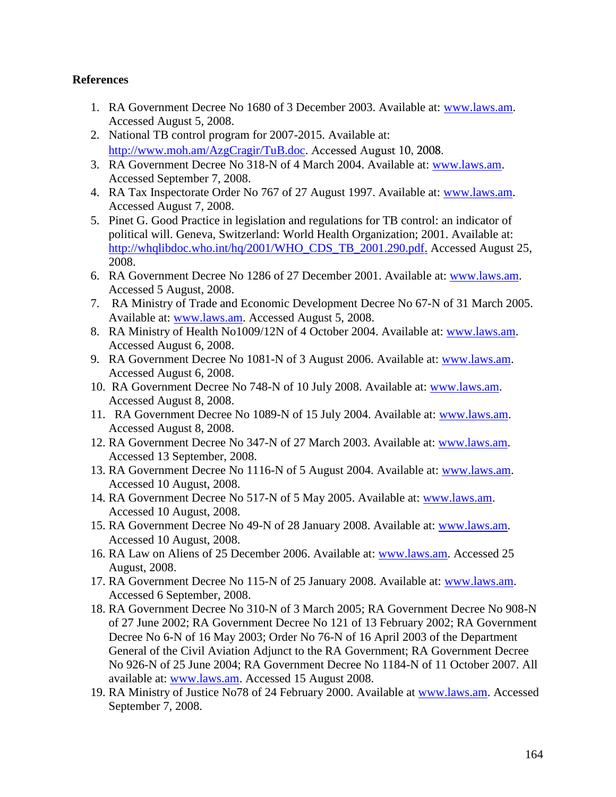### **References**

- 1. RA Government Decree No 1680 of 3 December 2003. Available at: [www.laws.am.](http://www.laws.am/) Accessed August 5, 2008.
- 2. National TB control program for 2007-2015. Available at: [http://www.moh.am/AzgCragir/TuB.doc.](http://www.moh.am/AzgCragir/TuB.doc) Accessed August 10, 2008.
- 3. RA Government Decree No 318-N of 4 March 2004. Available at: [www.laws.am.](http://www.laws.am/) Accessed September 7, 2008.
- 4. RA Tax Inspectorate Order No 767 of 27 August 1997. Available at: [www.laws.am.](http://www.laws.am/) Accessed August 7, 2008.
- 5. Pinet G. Good Practice in legislation and regulations for TB control: an indicator of political will. Geneva, Switzerland: World Health Organization; 2001. Available at: [http://whqlibdoc.who.int/hq/2001/WHO\\_CDS\\_TB\\_2001.290.pdf.](http://whqlibdoc.who.int/hq/2001/WHO_CDS_TB_2001.290.pdf) Accessed August 25, 2008.
- 6. RA Government Decree No 1286 of 27 December 2001. Available at: [www.laws.am.](http://www.laws.am/) Accessed 5 August, 2008.
- 7. RA Ministry of Trade and Economic Development Decree No 67-N of 31 March 2005. Available at: [www.laws.am.](http://www.laws.am/) Accessed August 5, 2008.
- 8. RA Ministry of Health No1009/12N of 4 October 2004. Available at: [www.laws.am.](http://www.laws.am/) Accessed August 6, 2008.
- 9. RA Government Decree No 1081-N of 3 August 2006. Available at: [www.laws.am.](http://www.laws.am/) Accessed August 6, 2008.
- 10. RA Government Decree No 748-N of 10 July 2008. Available at: [www.laws.am.](http://www.laws.am/) Accessed August 8, 2008.
- 11. RA Government Decree No 1089-N of 15 July 2004. Available at: [www.laws.am.](http://www.laws.am/) Accessed August 8, 2008.
- 12. RA Government Decree No 347-N of 27 March 2003. Available at: [www.laws.am.](http://www.laws.am/) Accessed 13 September, 2008.
- 13. RA Government Decree No 1116-N of 5 August 2004. Available at: [www.laws.am.](http://www.laws.am/) Accessed 10 August, 2008.
- 14. RA Government Decree No 517-N of 5 May 2005. Available at: [www.laws.am.](http://www.laws.am/) Accessed 10 August, 2008.
- 15. RA Government Decree No 49-N of 28 January 2008. Available at: [www.laws.am.](http://www.laws.am/) Accessed 10 August, 2008.
- 16. RA Law on Aliens of 25 December 2006. Available at: [www.laws.am.](http://www.laws.am/) Accessed 25 August, 2008.
- 17. RA Government Decree No 115-N of 25 January 2008. Available at: [www.laws.am.](http://www.laws.am/) Accessed 6 September, 2008.
- 18. RA Government Decree No 310-N of 3 March 2005; RA Government Decree No 908-N of 27 June 2002; RA Government Decree No 121 of 13 February 2002; RA Government Decree No 6-N of 16 May 2003; Order No 76-N of 16 April 2003 of the Department General of the Civil Aviation Adjunct to the RA Government; RA Government Decree No 926-N of 25 June 2004; RA Government Decree No 1184-N of 11 October 2007. All available at: [www.laws.am.](http://www.laws.am/) Accessed 15 August 2008.
- 19. RA Ministry of Justice No78 of 24 February 2000. Available at [www.laws.am.](http://www.laws.am/) Accessed September 7, 2008.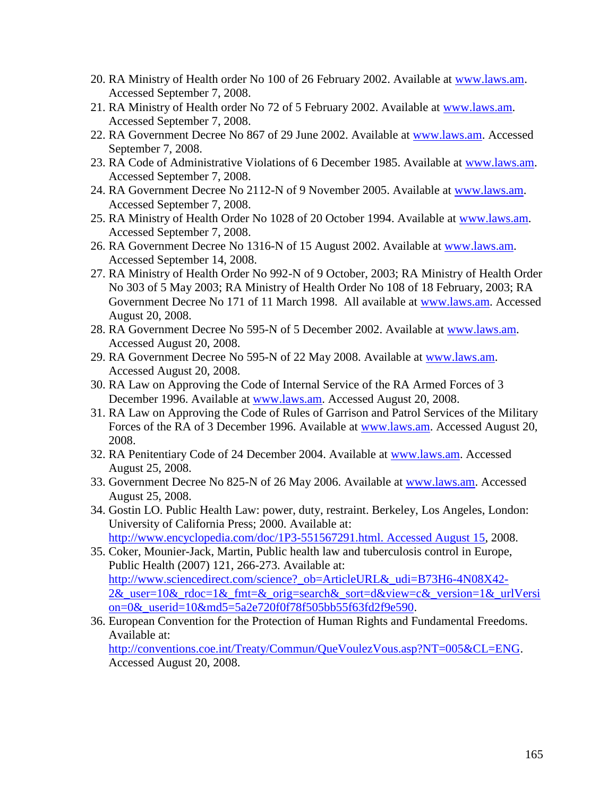- 20. RA Ministry of Health order No 100 of 26 February 2002. Available at [www.laws.am.](http://www.laws.am/) Accessed September 7, 2008.
- 21. RA Ministry of Health order No 72 of 5 February 2002. Available at [www.laws.am.](http://www.laws.am/) Accessed September 7, 2008.
- 22. RA Government Decree No 867 of 29 June 2002. Available at [www.laws.am.](http://www.laws.am/) Accessed September 7, 2008.
- 23. RA Code of Administrative Violations of 6 December 1985. Available at [www.laws.am.](http://www.laws.am/) Accessed September 7, 2008.
- 24. RA Government Decree No 2112-N of 9 November 2005. Available at [www.laws.am.](http://www.laws.am/) Accessed September 7, 2008.
- 25. RA Ministry of Health Order No 1028 of 20 October 1994. Available at [www.laws.am.](http://www.laws.am/) Accessed September 7, 2008.
- 26. RA Government Decree No 1316-N of 15 August 2002. Available at [www.laws.am.](http://www.laws.am/) Accessed September 14, 2008.
- 27. RA Ministry of Health Order No 992-N of 9 October, 2003; RA Ministry of Health Order No 303 of 5 May 2003; RA Ministry of Health Order No 108 of 18 February, 2003; RA Government Decree No 171 of 11 March 1998. All available at [www.laws.am.](http://www.laws.am/) Accessed August 20, 2008.
- 28. RA Government Decree No 595-N of 5 December 2002. Available at [www.laws.am.](http://www.laws.am/) Accessed August 20, 2008.
- 29. RA Government Decree No 595-N of 22 May 2008. Available at [www.laws.am.](http://www.laws.am/) Accessed August 20, 2008.
- 30. RA Law on Approving the Code of Internal Service of the RA Armed Forces of 3 December 1996. Available at [www.laws.am.](http://www.laws.am/) Accessed August 20, 2008.
- 31. RA Law on Approving the Code of Rules of Garrison and Patrol Services of the Military Forces of the RA of 3 December 1996. Available at [www.laws.am.](http://www.laws.am/) Accessed August 20, 2008.
- 32. RA Penitentiary Code of 24 December 2004. Available at [www.laws.am.](http://www.laws.am/) Accessed August 25, 2008.
- 33. Government Decree No 825-N of 26 May 2006. Available at [www.laws.am.](http://www.laws.am/) Accessed August 25, 2008.
- 34. Gostin LO. Public Health Law: power, duty, restraint. Berkeley, Los Angeles, London: University of California Press; 2000. Available at: [http://www.encyclopedia.com/doc/1P3-551567291.html. Accessed August 15,](http://www.encyclopedia.com/doc/1P3-551567291.html.%20Accessed%20August%2015) 2008.
- 35. Coker, Mounier-Jack, Martin, Public health law and tuberculosis control in Europe, Public Health (2007) 121, 266-273. Available at: [http://www.sciencedirect.com/science?\\_ob=ArticleURL&\\_udi=B73H6-4N08X42-](http://www.sciencedirect.com/science?_ob=ArticleURL&_udi=B73H6-4N08X42-2&_user=10&_rdoc=1&_fmt=&_orig=search&_sort=d&view=c&_version=1&_urlVersion=0&_userid=10&md5=5a2e720f0f78f505bb55f63fd2f9e590)  $2\&$  user=10& rdoc=1& fmt=& orig=search& sort=d&view=c& version=1& urlVersi [on=0&\\_userid=10&md5=5a2e720f0f78f505bb55f63fd2f9e590.](http://www.sciencedirect.com/science?_ob=ArticleURL&_udi=B73H6-4N08X42-2&_user=10&_rdoc=1&_fmt=&_orig=search&_sort=d&view=c&_version=1&_urlVersion=0&_userid=10&md5=5a2e720f0f78f505bb55f63fd2f9e590)
- 36. European Convention for the Protection of Human Rights and Fundamental Freedoms. Available at:

[http://conventions.coe.int/Treaty/Commun/QueVoulezVous.asp?NT=005&CL=ENG.](http://conventions.coe.int/Treaty/Commun/QueVoulezVous.asp?NT=005&CL=ENG) Accessed August 20, 2008.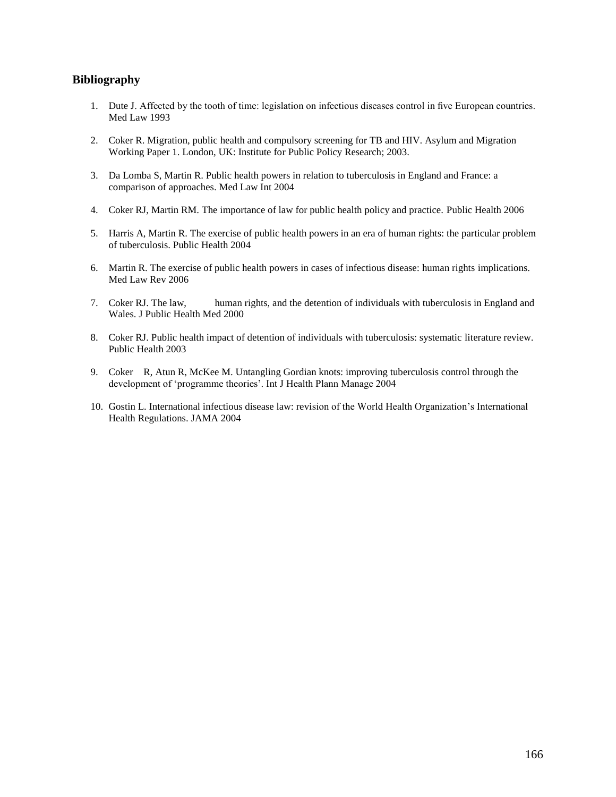#### **Bibliography**

- 1. Dute J. Affected by the tooth of time: legislation on infectious diseases control in five European countries. Med Law 1993
- 2. Coker R. Migration, public health and compulsory screening for TB and HIV. Asylum and Migration Working Paper 1. London, UK: Institute for Public Policy Research; 2003.
- 3. Da Lomba S, Martin R. Public health powers in relation to tuberculosis in England and France: a comparison of approaches. Med Law Int 2004
- 4. Coker RJ, Martin RM. The importance of law for public health policy and practice. Public Health 2006
- 5. Harris A, Martin R. The exercise of public health powers in an era of human rights: the particular problem of tuberculosis. Public Health 2004
- 6. Martin R. The exercise of public health powers in cases of infectious disease: human rights implications. Med Law Rev 2006
- 7. Coker RJ. The law, human rights, and the detention of individuals with tuberculosis in England and Wales. J Public Health Med 2000
- 8. Coker RJ. Public health impact of detention of individuals with tuberculosis: systematic literature review. Public Health 2003
- 9. Coker R, Atun R, McKee M. Untangling Gordian knots: improving tuberculosis control through the development of "programme theories". Int J Health Plann Manage 2004
- 10. Gostin L. International infectious disease law: revision of the World Health Organization"s International Health Regulations. JAMA 2004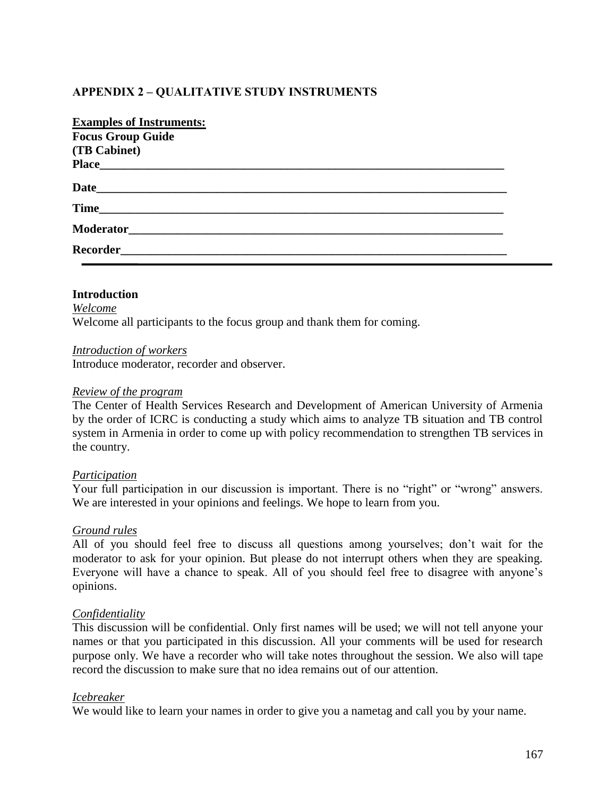## **APPENDIX 2 – QUALITATIVE STUDY INSTRUMENTS**

| <b>Examples of Instruments:</b> |
|---------------------------------|
| <b>Focus Group Guide</b>        |
| (TB Cabinet)                    |
|                                 |
| Date                            |
|                                 |
|                                 |
|                                 |
|                                 |

### **Introduction** *Welcome* Welcome all participants to the focus group and thank them for coming.

#### *Introduction of workers*

Introduce moderator, recorder and observer.

#### *Review of the program*

The Center of Health Services Research and Development of American University of Armenia by the order of ICRC is conducting a study which aims to analyze TB situation and TB control system in Armenia in order to come up with policy recommendation to strengthen TB services in the country.

### *Participation*

Your full participation in our discussion is important. There is no "right" or "wrong" answers. We are interested in your opinions and feelings. We hope to learn from you.

#### *Ground rules*

All of you should feel free to discuss all questions among yourselves; don"t wait for the moderator to ask for your opinion. But please do not interrupt others when they are speaking. Everyone will have a chance to speak. All of you should feel free to disagree with anyone"s opinions.

### *Confidentiality*

This discussion will be confidential. Only first names will be used; we will not tell anyone your names or that you participated in this discussion. All your comments will be used for research purpose only. We have a recorder who will take notes throughout the session. We also will tape record the discussion to make sure that no idea remains out of our attention.

### *Icebreaker*

We would like to learn your names in order to give you a nametag and call you by your name.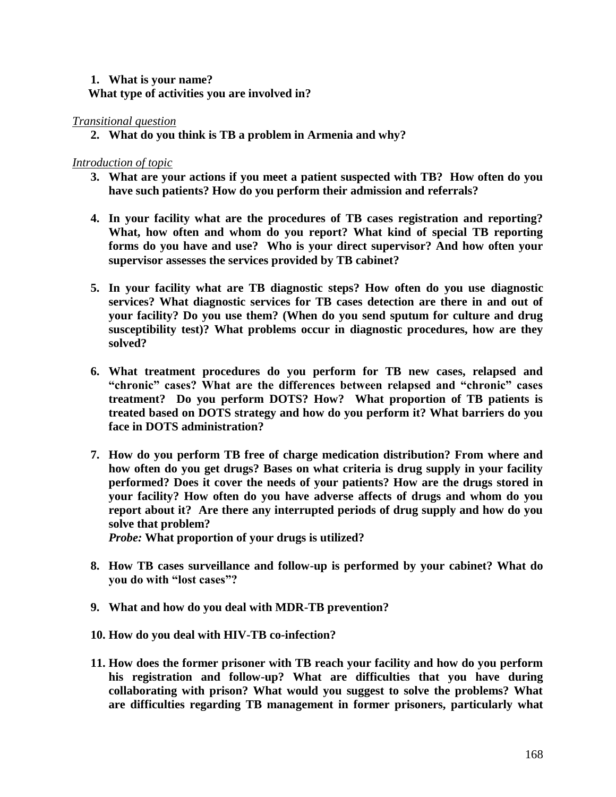### **1. What is your name? What type of activities you are involved in?**

### *Transitional question*

**2. What do you think is TB a problem in Armenia and why?**

### *Introduction of topic*

- **3. What are your actions if you meet a patient suspected with TB? How often do you have such patients? How do you perform their admission and referrals?**
- **4. In your facility what are the procedures of TB cases registration and reporting? What, how often and whom do you report? What kind of special TB reporting forms do you have and use? Who is your direct supervisor? And how often your supervisor assesses the services provided by TB cabinet?**
- **5. In your facility what are TB diagnostic steps? How often do you use diagnostic services? What diagnostic services for TB cases detection are there in and out of your facility? Do you use them? (When do you send sputum for culture and drug susceptibility test)? What problems occur in diagnostic procedures, how are they solved?**
- **6. What treatment procedures do you perform for TB new cases, relapsed and "chronic" cases? What are the differences between relapsed and "chronic" cases treatment? Do you perform DOTS? How? What proportion of TB patients is treated based on DOTS strategy and how do you perform it? What barriers do you face in DOTS administration?**
- **7. How do you perform TB free of charge medication distribution? From where and how often do you get drugs? Bases on what criteria is drug supply in your facility performed? Does it cover the needs of your patients? How are the drugs stored in your facility? How often do you have adverse affects of drugs and whom do you report about it? Are there any interrupted periods of drug supply and how do you solve that problem?**

*Probe:* **What proportion of your drugs is utilized?** 

- **8. How TB cases surveillance and follow-up is performed by your cabinet? What do you do with "lost cases"?**
- **9. What and how do you deal with MDR-TB prevention?**
- **10. How do you deal with HIV-TB co-infection?**
- **11. How does the former prisoner with TB reach your facility and how do you perform his registration and follow-up? What are difficulties that you have during collaborating with prison? What would you suggest to solve the problems? What are difficulties regarding TB management in former prisoners, particularly what**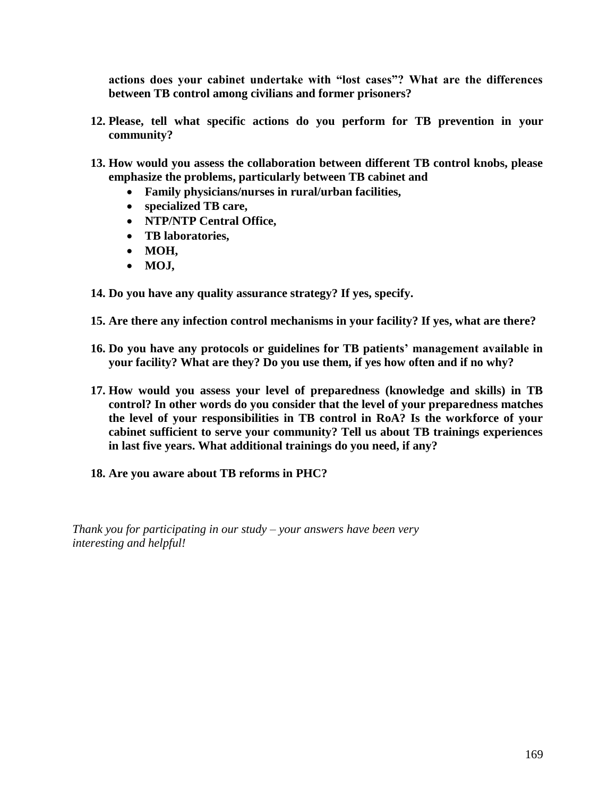**actions does your cabinet undertake with "lost cases"? What are the differences between TB control among civilians and former prisoners?** 

- **12. Please, tell what specific actions do you perform for TB prevention in your community?**
- **13. How would you assess the collaboration between different TB control knobs, please emphasize the problems, particularly between TB cabinet and** 
	- **Family physicians/nurses in rural/urban facilities,**
	- **specialized TB care,**
	- **NTP/NTP Central Office,**
	- **TB laboratories,**
	- MOH,
	- MOJ,
- **14. Do you have any quality assurance strategy? If yes, specify.**
- **15. Are there any infection control mechanisms in your facility? If yes, what are there?**
- **16. Do you have any protocols or guidelines for TB patients' management available in your facility? What are they? Do you use them, if yes how often and if no why?**
- **17. How would you assess your level of preparedness (knowledge and skills) in TB control? In other words do you consider that the level of your preparedness matches the level of your responsibilities in TB control in RoA? Is the workforce of your cabinet sufficient to serve your community? Tell us about TB trainings experiences in last five years. What additional trainings do you need, if any?**
- **18. Are you aware about TB reforms in PHC?**

*Thank you for participating in our study – your answers have been very interesting and helpful!*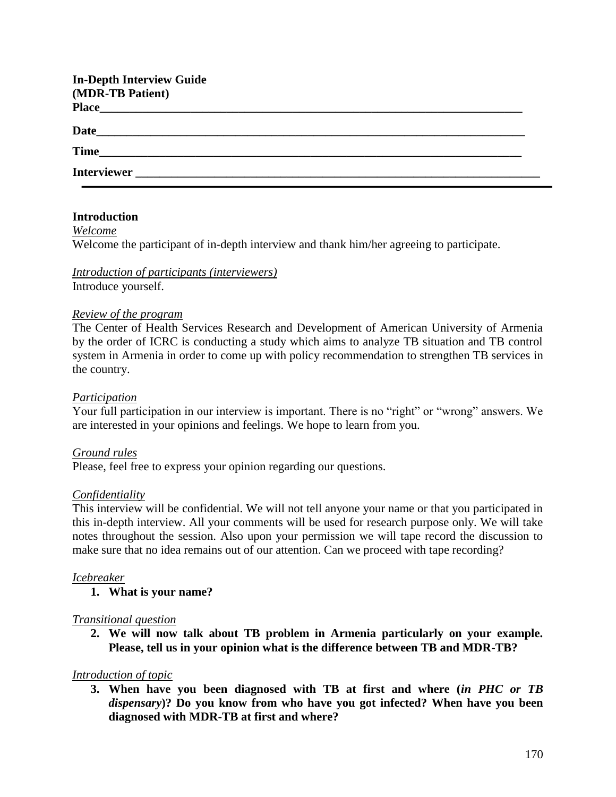| <b>In-Depth Interview Guide</b> |  |
|---------------------------------|--|
| (MDR-TB Patient)                |  |
|                                 |  |
|                                 |  |
|                                 |  |
| Time                            |  |
| Interviewer                     |  |

### **Introduction**

*Welcome* Welcome the participant of in-depth interview and thank him/her agreeing to participate.

### *Introduction of participants (interviewers)* Introduce yourself.

### *Review of the program*

The Center of Health Services Research and Development of American University of Armenia by the order of ICRC is conducting a study which aims to analyze TB situation and TB control system in Armenia in order to come up with policy recommendation to strengthen TB services in the country.

#### *Participation*

Your full participation in our interview is important. There is no "right" or "wrong" answers. We are interested in your opinions and feelings. We hope to learn from you.

### *Ground rules*

Please, feel free to express your opinion regarding our questions.

#### *Confidentiality*

This interview will be confidential. We will not tell anyone your name or that you participated in this in-depth interview. All your comments will be used for research purpose only. We will take notes throughout the session. Also upon your permission we will tape record the discussion to make sure that no idea remains out of our attention. Can we proceed with tape recording?

### *Icebreaker*

**1. What is your name?**

### *Transitional question*

**2. We will now talk about TB problem in Armenia particularly on your example. Please, tell us in your opinion what is the difference between TB and MDR-TB?**

### *Introduction of topic*

**3. When have you been diagnosed with TB at first and where (***in PHC or TB dispensary***)? Do you know from who have you got infected? When have you been diagnosed with MDR-TB at first and where?**